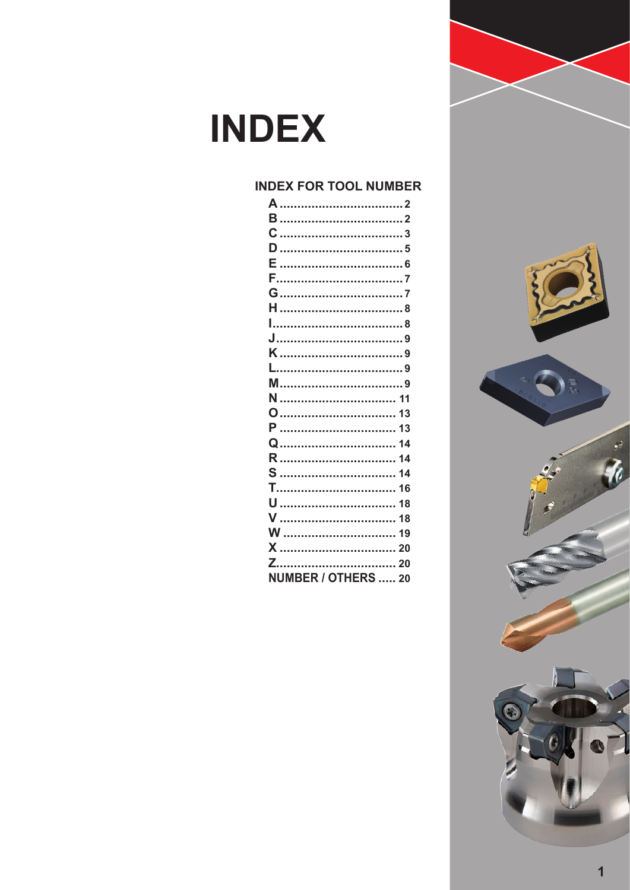### **INDEX FOR TOOL NUMBER**

| V  18               |
|---------------------|
|                     |
|                     |
|                     |
| NUMBER / OTHERS  20 |

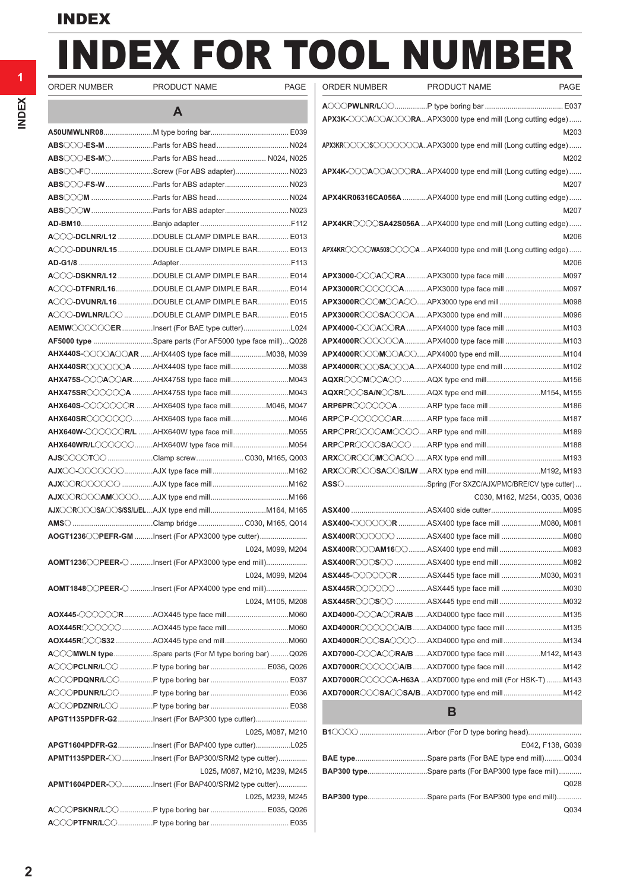# DEX FOR TOOL NUMBER ORDER NUMBER PRODUCT NAME PAGE

Ī

| ORDER NUMBER | <b>PRODUCT</b> |
|--------------|----------------|
|              |                |

|                                                            | A |                              |
|------------------------------------------------------------|---|------------------------------|
|                                                            |   |                              |
|                                                            |   |                              |
| <b>ABS</b> ◯◯◯- <b>ES-M</b> ◯Parts for ABS head N024, N025 |   |                              |
| ABS CO-FO Screw (For ABS adapter) N023                     |   |                              |
| <b>ABS</b> ◯◯◯- <b>FS-W</b> Parts for ABS adapterN023      |   |                              |
|                                                            |   |                              |
|                                                            |   |                              |
|                                                            |   |                              |
| ACCC-DCLNR/L12 DOUBLE CLAMP DIMPLE BAR E013                |   |                              |
| ACCC-DDUNR/L15DOUBLE CLAMP DIMPLE BAR E013                 |   |                              |
|                                                            |   |                              |
| ACCC-DSKNR/L12 DOUBLE CLAMP DIMPLE BAR E014                |   |                              |
| ACCC-DTFNR/L16DOUBLE CLAMP DIMPLE BAR E014                 |   |                              |
| ACCC-DVUNR/L16 DOUBLE CLAMP DIMPLE BAR E015                |   |                              |
| ACCO-DWLNR/LOO DOUBLE CLAMP DIMPLE BAR E015                |   |                              |
| AEMWOOOOOER Insert (For BAE type cutter)L024               |   |                              |
| AF5000 type Spare parts (For AF5000 type face mill)Q028    |   |                              |
| AHX440S-◯◯◯△◯△R AHX440S type face millM038, M039           |   |                              |
| AHX440SR◯◯◯◯◯A AHX440S type face millM038                  |   |                              |
|                                                            |   |                              |
| AHX475SR◯◯◯◯◯A AHX475S type face millM043                  |   |                              |
| <b>AHX640S-◯◯◯◯◯◯◯R AHX640S type face millM046, M047</b>   |   |                              |
|                                                            |   |                              |
|                                                            |   |                              |
| AHX640WR/L◯◯◯◯◯◯AHX640W type face millM054                 |   |                              |
| AJS◯◯◯◯T◯◯ Clamp screw C030, M165, Q003                    |   |                              |
|                                                            |   |                              |
|                                                            |   |                              |
|                                                            |   |                              |
|                                                            |   |                              |
|                                                            |   |                              |
| AOGT1236 CPEFR-GM Insert (For APX3000 type cutter)         |   |                              |
|                                                            |   | L024, M099, M204             |
| AOMT1236 CPEER- C Insert (For APX3000 type end mill)       |   |                              |
|                                                            |   | L024, M099, M204             |
| AOMT1848 CPEER- C Insert (For APX4000 type end mill)       |   |                              |
|                                                            |   | L024, M105, M208             |
|                                                            |   |                              |
|                                                            |   |                              |
| ACCOMWLN typeSpare parts (For M type boring bar)Q026       |   |                              |
| ACCOPCLNR/LCO P type boring bar  E036, Q026                |   |                              |
|                                                            |   |                              |
|                                                            |   |                              |
|                                                            |   |                              |
| APGT1135PDFR-G2 Insert (For BAP300 type cutter)            |   |                              |
|                                                            |   | L025, M087, M210             |
| APGT1604PDFR-G2Insert (For BAP400 type cutter)L025         |   |                              |
| APMT1135PDER-COInsert (For BAP300/SRM2 type cutter)        |   |                              |
|                                                            |   | L025, M087, M210, M239, M245 |
| <b>APMT1604PDER-◯◯Insert (For BAP400/SRM2 type cutter)</b> |   |                              |
|                                                            |   | L025, M239, M245             |
| ACCOPSKNR/LCC P type boring bar  E035, Q026                |   |                              |
|                                                            |   |                              |
|                                                            |   |                              |

| ORDER NUMBER | <b>PRODUCT NAME</b>                                                                                   | <b>PAGE</b> |
|--------------|-------------------------------------------------------------------------------------------------------|-------------|
|              |                                                                                                       |             |
|              | APX3K-COOACCORAAPX3000 type end mill (Long cutting edge)                                              |             |
|              |                                                                                                       | M203        |
|              | APX3KROOOSOOOOOOAAPX3000 type end mill (Long cutting edge)                                            |             |
|              |                                                                                                       | M202        |
|              | $APX4K$ -OOAOO $A$ OORAAPX4000 type end mill (Long cutting edge)                                      |             |
|              |                                                                                                       | M207        |
|              | APX4KR06316CA056A APX4000 type end mill (Long cutting edge)                                           |             |
|              |                                                                                                       | M207        |
|              | APX4KROOOSA42S056A APX4000 type end mill (Long cutting edge)                                          |             |
|              |                                                                                                       | M206        |
|              |                                                                                                       |             |
|              |                                                                                                       | M206        |
|              | APX3000-◯◯◯A◯◯RA APX3000 type face mill M097                                                          |             |
|              |                                                                                                       |             |
|              |                                                                                                       |             |
|              |                                                                                                       |             |
|              | APX4000-◯◯◯A◯◯RA APX4000 type face mill M103                                                          |             |
|              |                                                                                                       |             |
|              |                                                                                                       |             |
|              |                                                                                                       |             |
|              |                                                                                                       |             |
|              | AQXR◯◯◯SA/N◯◯S/LAQX type end millM154, M155                                                           |             |
|              |                                                                                                       |             |
|              |                                                                                                       |             |
|              |                                                                                                       |             |
|              |                                                                                                       |             |
|              |                                                                                                       |             |
|              |                                                                                                       |             |
|              |                                                                                                       |             |
|              | C030, M162, M254, Q035, Q036                                                                          |             |
|              |                                                                                                       |             |
|              |                                                                                                       |             |
|              |                                                                                                       |             |
|              |                                                                                                       |             |
|              | ASX400R◯◯◯S◯◯ ASX400 type end mill M082                                                               |             |
|              | ASX445-OOOOOR ASX445 type face mill M030, M031                                                        |             |
|              |                                                                                                       |             |
|              |                                                                                                       |             |
|              |                                                                                                       |             |
|              |                                                                                                       |             |
|              |                                                                                                       |             |
|              | <b>AXD7000-OOAOORA/B</b> AXD7000 type face mill M142, M143                                            |             |
|              |                                                                                                       |             |
|              | $AXD7000R$ $\circ$ $\circ$ $\circ$ $\circ$ $\circ$ $A$ -H63A  AXD7000 type end mill (For HSK-T)  M143 |             |
|              |                                                                                                       |             |
|              | В                                                                                                     |             |

| E042, F138, G039                                          |
|-----------------------------------------------------------|
|                                                           |
| <b>BAP300 typeSpare parts (For BAP300 type face mill)</b> |
| Q028                                                      |
| <b>BAP300 type</b> Spare parts (For BAP300 type end mill) |
| Q034                                                      |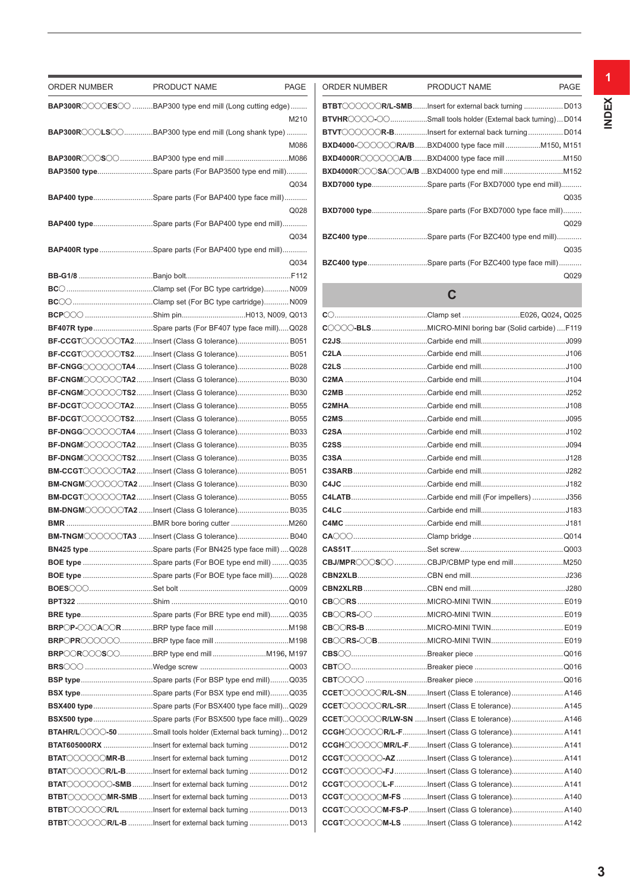| ORDER NUMBER | PRODUCT NAME                                                                                                              | PAGE | ORDER NUMBER | PRODUCT NAME                                                                                      | <b>PAGE</b> |
|--------------|---------------------------------------------------------------------------------------------------------------------------|------|--------------|---------------------------------------------------------------------------------------------------|-------------|
|              | $\mathsf{BAP300R}$ $\odot$ $\odot$ $\mathsf{CES}$ $\odot$ $\mathsf{BAP300}$ type end mill (Long cutting edge)             |      |              | <b>BTBT</b> COOOCR/L-SMBlnsert for external back turning D013                                     |             |
|              |                                                                                                                           | M210 |              | <b>BTVHR</b> COOO-COSmall tools holder (External back turning)D014                                |             |
|              | BAP300RCCOLSCOBAP300 type end mill (Long shank type)                                                                      |      |              | <b>BTVT</b> COOOCR-BInsert for external back turningD014                                          |             |
|              |                                                                                                                           | M086 |              | <b>BXD4000-◯◯◯◯◯RA/B</b> BXD4000 type face mill M150, M15                                         |             |
|              |                                                                                                                           |      |              | BXD4000R◯◯◯◯◯A/B BXD4000 type face mill M15(                                                      |             |
|              | <b>BAP3500 type</b> Spare parts (For BAP3500 type end mill)                                                               |      |              |                                                                                                   |             |
|              |                                                                                                                           | Q034 |              | <b>BXD7000 type</b> .Spare parts (For BXD7000 type end mill)                                      |             |
|              | <b>BAP400 type</b> Spare parts (For BAP400 type face mill)                                                                |      |              |                                                                                                   | Q03         |
|              |                                                                                                                           | Q028 |              | <b>BXD7000 type</b> .Spare parts (For BXD7000 type face mill)                                     |             |
|              | <b>BAP400 type</b> Spare parts (For BAP400 type end mill)                                                                 |      |              |                                                                                                   | Q029        |
|              |                                                                                                                           | Q034 |              | BZC400 typeSpare parts (For BZC400 type end mill)                                                 |             |
|              | <b>BAP400R type</b> Spare parts (For BAP400 type end mill)                                                                |      |              |                                                                                                   | Q03         |
|              |                                                                                                                           | Q034 |              | BZC400 typeSpare parts (For BZC400 type face mill)                                                |             |
|              |                                                                                                                           |      |              |                                                                                                   | Q029        |
|              |                                                                                                                           |      |              | $\mathbf C$                                                                                       |             |
|              |                                                                                                                           |      |              |                                                                                                   |             |
|              |                                                                                                                           |      |              |                                                                                                   |             |
|              | BF407R typeSpare parts (For BF407 type face mill)Q028                                                                     |      |              |                                                                                                   |             |
|              | <b>BF-CCGT</b> COOCCTA2Insert (Class G tolerance) B051                                                                    |      |              |                                                                                                   |             |
|              | <b>BF-CCGT</b> COOOOTS2Insert (Class G tolerance) B051                                                                    |      |              |                                                                                                   |             |
|              | BF-CNGG◯◯◯◯◯◯TA4 Insert (Class G tolerance) B028                                                                          |      |              |                                                                                                   |             |
|              | <b>BF-CNGM</b> COOOTA2Insert (Class G tolerance) B030                                                                     |      |              |                                                                                                   |             |
|              | BF-CNGM COOOTS2Insert (Class G tolerance) B030                                                                            |      |              |                                                                                                   |             |
|              | <b>BF-DCGT</b> ◯◯◯◯◯ TA2Insert (Class G tolerance) B055                                                                   |      |              |                                                                                                   |             |
|              | <b>BF-DCGT</b> COOOTS2Insert (Class G tolerance) B055                                                                     |      |              |                                                                                                   |             |
|              | <b>BF-DNGG</b> COOOOTA4 Insert (Class G tolerance) B033                                                                   |      |              |                                                                                                   |             |
|              | BF-DNGMOOOOOTA2Insert (Class G tolerance) B035                                                                            |      |              |                                                                                                   |             |
|              | BF-DNGM〇〇〇〇〇TS2Insert (Class G tolerance) B035                                                                            |      |              |                                                                                                   |             |
|              | <b>BM-CCGT</b> OOOOTA2Insert (Class G tolerance) B051                                                                     |      |              |                                                                                                   |             |
|              |                                                                                                                           |      |              |                                                                                                   |             |
|              | BM-DCGT COOOTA2Insert (Class G tolerance) B055                                                                            |      |              |                                                                                                   |             |
|              | BM-DNGMOOOOOTA2 Insert (Class G tolerance) B035                                                                           |      |              |                                                                                                   |             |
|              |                                                                                                                           |      |              |                                                                                                   |             |
|              | BM-TNGMOOOOOTA3 Insert (Class G tolerance) B040                                                                           |      |              |                                                                                                   |             |
|              | BN425 type Spare parts (For BN425 type face mill)  Q028                                                                   |      |              |                                                                                                   |             |
|              | BOE type Spare parts (For BOE type end mill) Q035                                                                         |      |              |                                                                                                   |             |
|              | BOE type Spare parts (For BOE type face mill)Q028                                                                         |      |              |                                                                                                   |             |
|              |                                                                                                                           |      |              |                                                                                                   |             |
|              |                                                                                                                           |      |              |                                                                                                   |             |
|              | BRE typeSpare parts (For BRE type end mill)Q035                                                                           |      |              |                                                                                                   |             |
|              |                                                                                                                           |      |              |                                                                                                   |             |
|              |                                                                                                                           |      |              |                                                                                                   |             |
|              |                                                                                                                           |      |              |                                                                                                   |             |
|              |                                                                                                                           |      |              |                                                                                                   |             |
|              | BSP typeSpare parts (For BSP type end mill)Q035                                                                           |      |              | CCET COOOOR/L-SNInsert (Class E tolerance) A146                                                   |             |
|              |                                                                                                                           |      |              | CCET COOOOR/L-SRInsert (Class E tolerance) A14                                                    |             |
|              | BSX400 typeSpare parts (For BSX400 type face mill)Q029                                                                    |      |              |                                                                                                   |             |
|              | BSX500 typeSpare parts (For BSX500 type face mill)Q029<br>BTAHR/LOOOO-50 Small tools holder (External back turning)  D012 |      |              | CCET COOOOR/LW-SN Insert (Class E tolerance) A146<br>CCGHOOOOOR/L-FInsert (Class G tolerance) A14 |             |
|              | BTAT605000RX Insert for external back turning D012                                                                        |      |              | CCGHOOOOOMR/L-FInsert (Class G tolerance) A14                                                     |             |
|              | BTAT COOOOMR-B Insert for external back turning  D012                                                                     |      |              | CCGT COOOO-AZ Insert (Class G tolerance) A14                                                      |             |
|              | BTAT COOOOR/L-BInsert for external back turning  D012                                                                     |      |              | CCGT COOOO-FJInsert (Class G tolerance) A14                                                       |             |
|              |                                                                                                                           |      |              | CCGT OCOOOL-FInsert (Class G tolerance) A14                                                       |             |
|              |                                                                                                                           |      |              |                                                                                                   |             |
|              | <b>BTBT</b> CCCCCMR-SMB lnsert for external back turning D013<br>BTBT COOOOR/LInsert for external back turning  D013      |      |              | CCGT COOCOM-FS-P Insert (Class G tolerance) A14                                                   |             |
|              |                                                                                                                           |      |              |                                                                                                   |             |
|              |                                                                                                                           |      |              | CCGT COOOOM-LS Insert (Class G tolerance) A142                                                    |             |

| <b>ORDER NUMBER</b> | <b>PRODUCT NAME</b>                                              | PAGE |
|---------------------|------------------------------------------------------------------|------|
|                     | <b>BTBT COOOOR/L-SMB</b> lnsert for external back turning  D013  |      |
|                     | <b>BTVHR</b> OOOOOSmall tools holder (External back turning)D014 |      |
|                     | BTVT COOOCR-BInsert for external back turning D014               |      |
|                     | <b>BXD4000-COOORA/BBXD4000 type face mill150, M151</b>           |      |
|                     |                                                                  |      |
|                     |                                                                  |      |
|                     | BXD7000 typeSpare parts (For BXD7000 type end mill)              |      |
|                     |                                                                  | Q035 |
|                     | BXD7000 typeSpare parts (For BXD7000 type face mill)             |      |
|                     |                                                                  | Q029 |
|                     | BZC400 typeSpare parts (For BZC400 type end mill)                |      |
|                     |                                                                  | Q035 |
|                     | BZC400 typeSpare parts (For BZC400 type face mill)               |      |
|                     |                                                                  | Q029 |

# **C**

| COOO-BLSMICRO-MINI boring bar (Solid carbide)F119 |  |
|---------------------------------------------------|--|
|                                                   |  |
|                                                   |  |
|                                                   |  |
|                                                   |  |
|                                                   |  |
|                                                   |  |
|                                                   |  |
|                                                   |  |
|                                                   |  |
|                                                   |  |
|                                                   |  |
|                                                   |  |
|                                                   |  |
|                                                   |  |
|                                                   |  |
|                                                   |  |
|                                                   |  |
|                                                   |  |
|                                                   |  |
|                                                   |  |
|                                                   |  |
|                                                   |  |
|                                                   |  |
|                                                   |  |
|                                                   |  |
|                                                   |  |
|                                                   |  |
| CCETOOOOOR/L-SNInsert (Class E tolerance) A146    |  |
| CCETOOOOOR/L-SRInsert (Class E tolerance) A145    |  |
| CCET COOOOR/LW-SN Insert (Class E tolerance) A146 |  |
| CCGHOOOOOR/L-FInsert (Class G tolerance) A141     |  |
| CCGHOOOOOMR/L-FInsert (Class G tolerance) A141    |  |
| CCGT COOOC-AZ Insert (Class G tolerance) A141     |  |
| CCGT COOOC-FJInsert (Class G tolerance) A140      |  |
| CCGT COOOL-FInsert (Class G tolerance) A141       |  |
| CCGT COOOM-FS Insert (Class G tolerance) A140     |  |
| CCGT COOOM-FS-P Insert (Class G tolerance) A140   |  |
| CCGT COOOM-LS Insert (Class G tolerance) A142     |  |
|                                                   |  |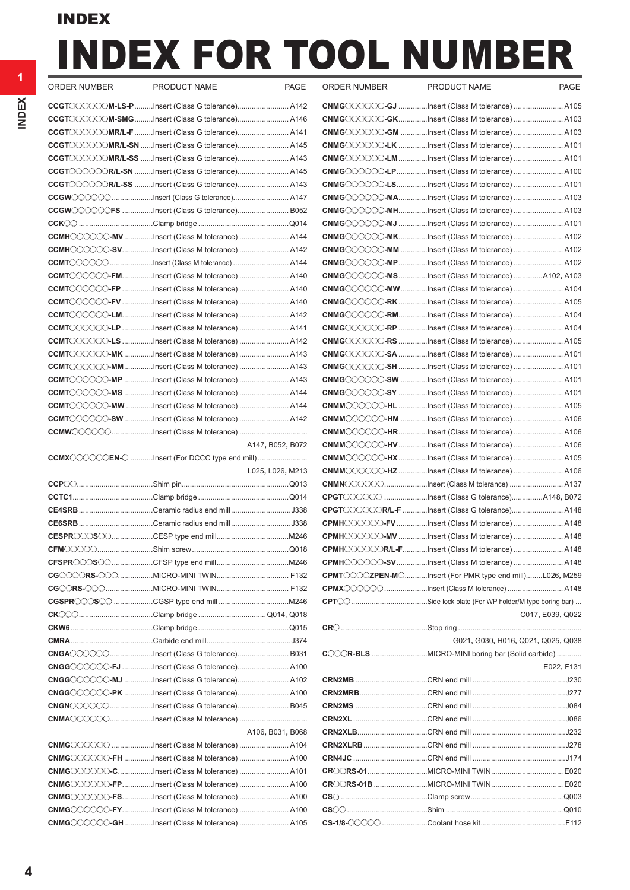# INDEX FOR TOOL NUMBER

| ORDER NUMBER | PRODUCT NAME                                            | PAGE             | ORDER NUMBER | PRODUCT NAME                                                                                                                                                                                                                                                                                                                                                                                                                               | <b>PAGE</b>      |
|--------------|---------------------------------------------------------|------------------|--------------|--------------------------------------------------------------------------------------------------------------------------------------------------------------------------------------------------------------------------------------------------------------------------------------------------------------------------------------------------------------------------------------------------------------------------------------------|------------------|
|              | CCGT COOOOM-LS-P Insert (Class G tolerance) A142        |                  |              |                                                                                                                                                                                                                                                                                                                                                                                                                                            |                  |
|              | CCGT COOOOM-SMGInsert (Class G tolerance) A146          |                  |              | $\mathsf{CMMG}\hspace{-0.01cm}\circ\hspace{-0.01cm} \circ\hspace{-0.01cm}\circ\hspace{-0.01cm}\circ\hspace{-0.01cm}\circ\hspace{-0.01cm}\circ\hspace{-0.01cm} \mathsf{CK}$ <code>A103</code>                                                                                                                                                                                                                                               |                  |
|              | <b>CCGT</b> OOOOOMR/L-F Insert (Class G tolerance) A141 |                  |              | CNMGOOOOOO-GM Insert (Class M tolerance)  A103                                                                                                                                                                                                                                                                                                                                                                                             |                  |
|              | CCGT COOOOMR/L-SN Insert (Class G tolerance) A145       |                  |              | $\mathsf{CMMG}\hspace{-0.01cm}\circ\hspace{-0.01cm} \circ\hspace{-0.01cm} \circ\hspace{-0.01cm}\circ\hspace{-0.01cm}\circ\hspace{-0.01cm} \circ\hspace{-0.01cm}\circ\hspace{-0.01cm} \circ\hspace{-0.01cm} \circ\hspace{-0.01cm} \circ\hspace{-0.01cm} \circ\hspace{-0.01cm} \circ\hspace{-0.01cm} \circ\hspace{-0.01cm} \circ\hspace{-0.01cm} \circ\hspace{-0.01cm} \circ\hspace{-0.01cm} \circ\hspace{-0.01cm} \circ\hs$                 |                  |
|              | CCGT COOOOMR/L-SS Insert (Class G tolerance) A143       |                  |              | $\mathsf{CMMG}\hspace{-0.01in}\circ\hspace{-0.01in} \circ\hspace{-0.01in} \circ\hspace{-0.01in} \circ\hspace{-0.01in} \mathsf{C}$ . $\mathsf{M}\hspace{-0.01in}$ . $\mathsf{M}\hspace{-0.01in}$ . $\mathsf{M}\hspace{-0.01in}$ . $\mathsf{M}\hspace{-0.01in}$ . $\mathsf{M}\hspace{-0.01in}$ . $\mathsf{M}\hspace{-0.01in}$                                                                                                                |                  |
|              | CCGT COOOCR/L-SN Insert (Class G tolerance) A145        |                  |              | CNMGOOOOO-LPInsert (Class M tolerance)  A100                                                                                                                                                                                                                                                                                                                                                                                               |                  |
|              | CCGT COOOOR/L-SS Insert (Class G tolerance) A143        |                  |              | CNMG〇〇〇〇〇-LSInsert (Class M tolerance)  A101                                                                                                                                                                                                                                                                                                                                                                                               |                  |
|              |                                                         |                  |              | CNMGOOOOOO-MAInsert (Class M tolerance)  A103                                                                                                                                                                                                                                                                                                                                                                                              |                  |
|              | CCGW COOOOFS Insert (Class G tolerance) B052            |                  |              | CNMGOOOOOO-MHInsert (Class M tolerance)  A103                                                                                                                                                                                                                                                                                                                                                                                              |                  |
|              |                                                         |                  |              | CNMGOOOOO-MJ Insert (Class M tolerance)  A101                                                                                                                                                                                                                                                                                                                                                                                              |                  |
|              | CCMHOOOOO-MVInsert (Class M tolerance) A144             |                  |              | CNMG〇〇〇〇〇–MKInsert (Class M tolerance)  A102                                                                                                                                                                                                                                                                                                                                                                                               |                  |
|              | CCMHOOOOO-SVInsert (Class M tolerance)  A142            |                  |              | CNMG COOOC-MM Insert (Class M tolerance)  A102                                                                                                                                                                                                                                                                                                                                                                                             |                  |
|              | CCMT COOOO Insert (Class M tolerance)  A144             |                  |              | CNMGOOOOOO-MPInsert (Class M tolerance)  A102                                                                                                                                                                                                                                                                                                                                                                                              |                  |
|              | CCMT COOOO-FMInsert (Class M tolerance)  A140           |                  |              | <b>CNMG</b> OOOOO-MSInsert (Class M tolerance) A102, A103                                                                                                                                                                                                                                                                                                                                                                                  |                  |
|              | CCMT COOOO-FP Insert (Class M tolerance)  A140          |                  |              | CNMG〇〇〇〇〇—MWInsert (Class M tolerance)  A104                                                                                                                                                                                                                                                                                                                                                                                               |                  |
|              | CCMTOOOOOO-FV Insert (Class M tolerance)  A140          |                  |              | CNMGOOOOO-RKInsert (Class M tolerance) A105                                                                                                                                                                                                                                                                                                                                                                                                |                  |
|              | CCMT COOOO-LMInsert (Class M tolerance)  A142           |                  |              | CNMGOOOOOO-RMInsert (Class M tolerance)  A104                                                                                                                                                                                                                                                                                                                                                                                              |                  |
|              | CCMT COOOO-LP Insert (Class M tolerance)  A141          |                  |              | CNMGOOOOOO-RP Insert (Class M tolerance)  A104                                                                                                                                                                                                                                                                                                                                                                                             |                  |
|              | CCMT COOOO-LS Insert (Class M tolerance)  A142          |                  |              | CNMGOOOOOO-RS Insert (Class M tolerance)  A105                                                                                                                                                                                                                                                                                                                                                                                             |                  |
|              | CCMTOOOOOO-MK Insert (Class M tolerance)  A143          |                  |              | CNMGOOOOOO-SA Insert (Class M tolerance)  A101                                                                                                                                                                                                                                                                                                                                                                                             |                  |
|              | CCMT COOOO-MMInsert (Class M tolerance)  A143           |                  |              | CNMGOOOOOO-SH Insert (Class M tolerance)  A101                                                                                                                                                                                                                                                                                                                                                                                             |                  |
|              |                                                         |                  |              | $\mathsf{CMMG}\hspace{-1.5pt}\circ\hspace{-1.5pt} \circ\hspace{-1.5pt} \circ\hspace{-1.5pt} \circ\hspace{-1.5pt} \circ\hspace{-1.5pt} \circ\hspace{-1.5pt} \circ\hspace{-1.5pt} \bullet\hspace{-1.5pt} \circ\hspace{-1.5pt} \circ\hspace{-1.5pt} \circ\hspace{-1.5pt} \circ\hspace{-1.5pt} \circ\hspace{-1.5pt} \circ\hspace{-1.5pt} \circ\hspace{-1.5pt} \circ\hspace{-1.5pt} \circ\hspace{-1.5pt} \circ\hspace{-1.5pt} \circ\hspace{-1.$ |                  |
|              | <b>CCMT</b> OOOOO-MS Insert (Class M tolerance)  A144   |                  |              | $\mathsf{CMMG}\hspace{-0.01cm}\circ\hspace{-0.01cm} \circ\hspace{-0.01cm} \circ\hspace{-0.01cm}\circ\hspace{-0.01cm} \circ\hspace{-0.01cm}\circ\hspace{-0.01cm} \circ\hspace{-0.01cm} \circ\hspace{-0.01cm} \circ\hspace{-0.01cm} \circ\hspace{-0.01cm} \circ\hspace{-0.01cm} \circ\hspace{-0.01cm} \circ\hspace{-0.01cm} \circ\hspace{-0.01cm} \circ\hspace{-0.01cm} \circ\hspace{-0.01cm} \circ\hspace{-0.01cm} \circ\$                  |                  |
|              | CCMT COOOO-MW Insert (Class M tolerance)  A144          |                  |              | $\mathsf{CNMMOOOO}$ -HL Insert (Class M tolerance)  A105                                                                                                                                                                                                                                                                                                                                                                                   |                  |
|              | CCMT COOOO - SW Insert (Class M tolerance)  A142        |                  |              | <b>CNMM◯◯◯◯◯◯-HM</b> Insert (Class M tolerance)  A106                                                                                                                                                                                                                                                                                                                                                                                      |                  |
|              |                                                         |                  |              | $\mathsf{CNMMOOOO}$ -HRInsert (Class M tolerance)  A106                                                                                                                                                                                                                                                                                                                                                                                    |                  |
|              |                                                         | A147, B052, B072 |              | <b>CNMM◯◯◯◯◯◯-HV</b> Insert (Class M tolerance)  A106                                                                                                                                                                                                                                                                                                                                                                                      |                  |
|              | CCMX COOOCEN-O Insert (For DCCC type end mill)          |                  |              | CNMMOOOOO-HXInsert (Class M tolerance) A105                                                                                                                                                                                                                                                                                                                                                                                                |                  |
|              |                                                         | L025, L026, M213 |              | <b>CNMM</b> 〇〇〇〇〇- <b>HZ</b> Insert (Class M tolerance)  A106                                                                                                                                                                                                                                                                                                                                                                              |                  |
|              |                                                         |                  |              | CNMNOOOOOInsert (Class M tolerance)  A137                                                                                                                                                                                                                                                                                                                                                                                                  |                  |
|              |                                                         |                  |              |                                                                                                                                                                                                                                                                                                                                                                                                                                            |                  |
|              |                                                         |                  |              | CPGT COOOOR/L-F Insert (Class G tolerance) A148                                                                                                                                                                                                                                                                                                                                                                                            |                  |
|              |                                                         |                  |              | CPMH〇〇〇〇〇-FV Insert (Class M tolerance)  A148                                                                                                                                                                                                                                                                                                                                                                                              |                  |
|              |                                                         |                  |              | CPMHOOOOOO-MV Insert (Class M tolerance)  A148                                                                                                                                                                                                                                                                                                                                                                                             |                  |
|              |                                                         |                  |              | CPMHOOOOOR/L-FInsert (Class M tolerance)  A148                                                                                                                                                                                                                                                                                                                                                                                             |                  |
|              |                                                         |                  |              | <b>CPMH</b> COOOO-SVInsert (Class M tolerance) A148                                                                                                                                                                                                                                                                                                                                                                                        |                  |
|              |                                                         |                  |              | $\mathsf{CPMT}\textcircled{\small\circ}\textcircled{\small\circ}$ ZPEN-M $\textcircled{\small\circ}\text{}$ Insert (For PMR type end mill)L026, M259                                                                                                                                                                                                                                                                                       |                  |
|              |                                                         |                  |              | CPMX COOOO Insert (Class M tolerance)  A148                                                                                                                                                                                                                                                                                                                                                                                                |                  |
|              |                                                         |                  |              |                                                                                                                                                                                                                                                                                                                                                                                                                                            |                  |
|              |                                                         |                  |              |                                                                                                                                                                                                                                                                                                                                                                                                                                            |                  |
|              |                                                         |                  |              |                                                                                                                                                                                                                                                                                                                                                                                                                                            | C017, E039, Q022 |
|              |                                                         |                  |              |                                                                                                                                                                                                                                                                                                                                                                                                                                            |                  |
|              |                                                         |                  |              | G021, G030, H016, Q021, Q025, Q038                                                                                                                                                                                                                                                                                                                                                                                                         |                  |
|              | CNGAOOOO Insert (Class G tolerance) B031                |                  |              | COOR-BLS MICRO-MINI boring bar (Solid carbide)                                                                                                                                                                                                                                                                                                                                                                                             |                  |
|              | CNGGOOOOOO-FJ Insert (Class G tolerance) A100           |                  |              |                                                                                                                                                                                                                                                                                                                                                                                                                                            | E022, F131       |
|              | CNGGCOOOO-MJ Insert (Class G tolerance) A102            |                  |              |                                                                                                                                                                                                                                                                                                                                                                                                                                            |                  |
|              | CNGGCOOOOO-PK Insert (Class G tolerance) A100           |                  |              |                                                                                                                                                                                                                                                                                                                                                                                                                                            |                  |
|              |                                                         |                  |              |                                                                                                                                                                                                                                                                                                                                                                                                                                            |                  |
|              |                                                         |                  |              |                                                                                                                                                                                                                                                                                                                                                                                                                                            |                  |
|              |                                                         | A106, B031, B068 |              |                                                                                                                                                                                                                                                                                                                                                                                                                                            |                  |
|              | CNMGOOOOO Insert (Class M tolerance)  A104              |                  |              |                                                                                                                                                                                                                                                                                                                                                                                                                                            |                  |
|              | <b>CNMG</b> OOOOO-FH Insert (Class M tolerance)  A100   |                  |              |                                                                                                                                                                                                                                                                                                                                                                                                                                            |                  |
|              | <b>CNMG</b> OOOOO-CInsert (Class M tolerance) A101      |                  |              |                                                                                                                                                                                                                                                                                                                                                                                                                                            |                  |
|              | CNMGOOOOO-FPInsert (Class M tolerance)  A100            |                  |              |                                                                                                                                                                                                                                                                                                                                                                                                                                            |                  |
|              | CNMGCOOOO-FSInsert (Class M tolerance)  A100            |                  |              |                                                                                                                                                                                                                                                                                                                                                                                                                                            |                  |
|              | <b>CNMG</b> COOOO-FYInsert (Class M tolerance)  A100    |                  |              | CS〇〇………………………………………Shim ……………………………………………………………………Q010                                                                                                                                                                                                                                                                                                                                                                                     |                  |
|              | CNMGOOOOOO-GHInsert (Class M tolerance)  A105           |                  |              |                                                                                                                                                                                                                                                                                                                                                                                                                                            |                  |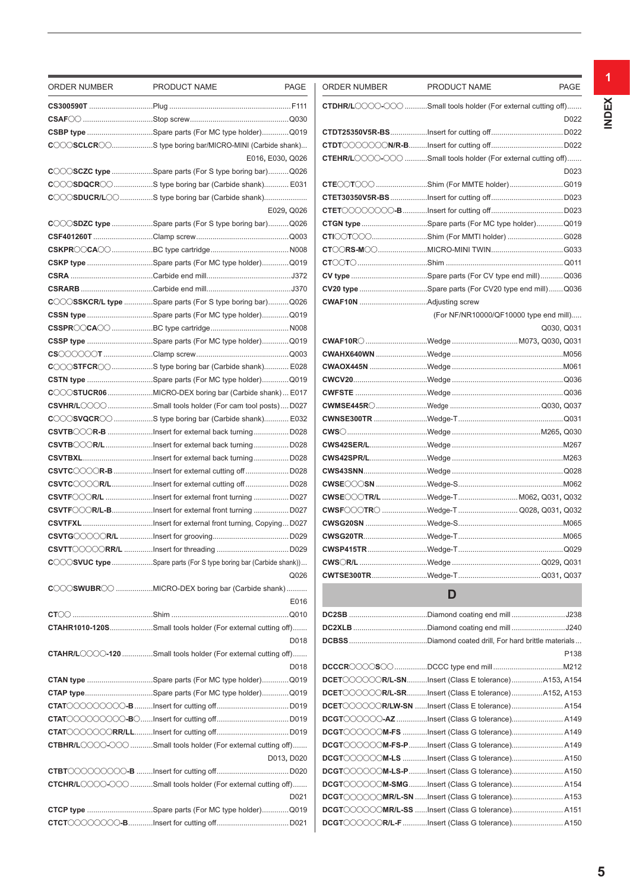| ORDER NUMBER | PRODUCT NAME                                                                                                                                                | PAGE             | ORDER NUMBER | PRODUCT NAME                                                                                                                                                                                                                        | <b>PAGE</b>      |
|--------------|-------------------------------------------------------------------------------------------------------------------------------------------------------------|------------------|--------------|-------------------------------------------------------------------------------------------------------------------------------------------------------------------------------------------------------------------------------------|------------------|
|              |                                                                                                                                                             |                  |              | <b>CTDHR/L</b> OOOOO Small tools holder (For external cutting off)                                                                                                                                                                  |                  |
|              |                                                                                                                                                             |                  |              |                                                                                                                                                                                                                                     | D022             |
|              | CSBP type Spare parts (For MC type holder)Q019                                                                                                              |                  |              |                                                                                                                                                                                                                                     |                  |
|              | COOSCLCROOS type boring bar/MICRO-MINI (Carbide shank)                                                                                                      |                  |              |                                                                                                                                                                                                                                     |                  |
|              |                                                                                                                                                             | E016, E030, Q026 |              | CTEHR/LOOOOOO Small tools holder (For external cutting off)                                                                                                                                                                         |                  |
|              | CCCSCZC type Spare parts (For S type boring bar)Q026                                                                                                        |                  |              |                                                                                                                                                                                                                                     | D023             |
|              | COOSDQCRO S type boring bar (Carbide shank) E031                                                                                                            |                  |              |                                                                                                                                                                                                                                     |                  |
|              | COOSDUCR/LOO S type boring bar (Carbide shank)                                                                                                              |                  |              |                                                                                                                                                                                                                                     |                  |
|              |                                                                                                                                                             | E029, Q026       |              |                                                                                                                                                                                                                                     |                  |
|              | COOSDZC type Spare parts (For S type boring bar)Q026                                                                                                        |                  |              | CTGN type Spare parts (For MC type holder)Q019                                                                                                                                                                                      |                  |
|              |                                                                                                                                                             |                  |              | CTI◯◯T◯◯◯Shim (For MMTI holder) G028                                                                                                                                                                                                |                  |
|              |                                                                                                                                                             |                  |              |                                                                                                                                                                                                                                     |                  |
|              | CSKP type Spare parts (For MC type holder)Q019                                                                                                              |                  |              |                                                                                                                                                                                                                                     |                  |
|              |                                                                                                                                                             |                  |              |                                                                                                                                                                                                                                     |                  |
|              |                                                                                                                                                             |                  |              | CV20 type Spare parts (For CV20 type end mill)Q036                                                                                                                                                                                  |                  |
|              | COOSSKCR/L type Spare parts (For S type boring bar)Q026                                                                                                     |                  |              |                                                                                                                                                                                                                                     |                  |
|              | CSSN type Spare parts (For MC type holder)Q019                                                                                                              |                  |              | (For NF/NR10000/QF10000 type end mill)                                                                                                                                                                                              |                  |
|              |                                                                                                                                                             |                  |              |                                                                                                                                                                                                                                     | Q030, Q03'       |
|              | CSSP type Spare parts (For MC type holder)Q019                                                                                                              |                  |              | <b>CWAF10R</b> COMPOSE CONSERVED THE RESERVED THE WALK OF THE WALK OF THE WALK OF THE RESERVED THAT A REPORT THAT A RESERVED THAT A REPORT OF THE RESERVED THAT A REPORT OF THE REPORT OF THE REPORT OF THE REPORT OF THE REPORT OF |                  |
|              |                                                                                                                                                             |                  |              |                                                                                                                                                                                                                                     |                  |
|              | COOSTFCRO S type boring bar (Carbide shank) E028                                                                                                            |                  |              |                                                                                                                                                                                                                                     |                  |
|              | CSTN type Spare parts (For MC type holder)Q019                                                                                                              |                  |              |                                                                                                                                                                                                                                     |                  |
|              |                                                                                                                                                             |                  |              |                                                                                                                                                                                                                                     |                  |
|              |                                                                                                                                                             |                  |              |                                                                                                                                                                                                                                     |                  |
|              | $C$ $\circ$ $\circ$ $SVQCR$ $\circ$ S type boring bar (Carbide shank) E032                                                                                  |                  |              |                                                                                                                                                                                                                                     |                  |
|              |                                                                                                                                                             |                  |              |                                                                                                                                                                                                                                     |                  |
|              |                                                                                                                                                             |                  |              |                                                                                                                                                                                                                                     |                  |
|              |                                                                                                                                                             |                  |              |                                                                                                                                                                                                                                     |                  |
|              | CSVTCOOOR-B Insert for external cutting off  D028                                                                                                           |                  |              |                                                                                                                                                                                                                                     |                  |
|              |                                                                                                                                                             |                  |              |                                                                                                                                                                                                                                     |                  |
|              | CSVTFCOOR/L Insert for external front turning D027                                                                                                          |                  |              | CWSECOTR/L Wedge-T  M062, Q031, Q032                                                                                                                                                                                                |                  |
|              | CSVTFCCCR/L-BInsert for external front turning D027                                                                                                         |                  |              | CWSF COTRO Wedge-T Q028, Q031, Q032                                                                                                                                                                                                 |                  |
|              |                                                                                                                                                             |                  |              |                                                                                                                                                                                                                                     |                  |
|              |                                                                                                                                                             |                  |              |                                                                                                                                                                                                                                     |                  |
|              |                                                                                                                                                             |                  |              |                                                                                                                                                                                                                                     |                  |
|              | <b>COOSVUC type </b> Spare parts (For S type boring bar (Carbide shank))                                                                                    |                  |              |                                                                                                                                                                                                                                     |                  |
|              |                                                                                                                                                             | Q026             |              |                                                                                                                                                                                                                                     |                  |
|              | <b>C</b> OOSWUBROO MICRO-DEX boring bar (Carbide shank)                                                                                                     | E016             |              | D                                                                                                                                                                                                                                   |                  |
|              |                                                                                                                                                             |                  |              |                                                                                                                                                                                                                                     |                  |
|              | CTAHR1010-120SSmall tools holder (For external cutting off)                                                                                                 |                  |              |                                                                                                                                                                                                                                     |                  |
|              |                                                                                                                                                             | D018             |              |                                                                                                                                                                                                                                     |                  |
|              | <b>CTAHR/L</b> OOO-120 Small tools holder (For external cutting off)                                                                                        |                  |              |                                                                                                                                                                                                                                     | P <sub>138</sub> |
|              |                                                                                                                                                             | D018             |              |                                                                                                                                                                                                                                     |                  |
|              | CTAN type Spare parts (For MC type holder)Q019                                                                                                              |                  |              | DCET COOOOR/L-SNInsert (Class E tolerance)A153, A154                                                                                                                                                                                |                  |
|              | <b>CTAP typeSpare parts (For MC type holder)Q019</b>                                                                                                        |                  |              | DCET COOOOR/L-SRInsert (Class E tolerance)A152, A153                                                                                                                                                                                |                  |
|              |                                                                                                                                                             |                  |              | DCET COOOOR/LW-SN Insert (Class E tolerance) A154                                                                                                                                                                                   |                  |
|              |                                                                                                                                                             |                  |              | DCGT COOOC-AZ Insert (Class G tolerance) A149                                                                                                                                                                                       |                  |
|              |                                                                                                                                                             |                  |              | DCGT COOOOM-FS Insert (Class G tolerance) A149                                                                                                                                                                                      |                  |
|              | <b>CTBHR/L</b> OOOO-OOO Small tools holder (For external cutting off)                                                                                       |                  |              | DCGT COOOM-FS-P Insert (Class G tolerance) A149                                                                                                                                                                                     |                  |
|              |                                                                                                                                                             | D013, D020       |              | DCGT COOOOM-LS Insert (Class G tolerance) A150                                                                                                                                                                                      |                  |
|              |                                                                                                                                                             |                  |              | DCGT COOOOM-LS-P Insert (Class G tolerance) A150                                                                                                                                                                                    |                  |
|              | $\mathsf{CTCHR}/\mathsf{L}\bigcirc\bigcirc\bigcirc\bigcirc\bigcirc\bigcirc\ldots\ldots\ldots\bigcirc\mathsf{Small}$ tools holder (For external cutting off) |                  |              | DCGT COOCOM-SMGInsert (Class G tolerance) A154                                                                                                                                                                                      |                  |
|              |                                                                                                                                                             | D021             |              | DCGT COOCOMR/L-SN Insert (Class G tolerance) A15                                                                                                                                                                                    |                  |
|              | <b>CTCP type</b> Spare parts (For MC type holder)Q019                                                                                                       |                  |              |                                                                                                                                                                                                                                     |                  |
|              |                                                                                                                                                             |                  |              | DCGT COOOOR/L-F Insert (Class G tolerance) A150                                                                                                                                                                                     |                  |

| <b>ORDER NUMBER</b> | PRODUCT NAME                                                                                                                                                                                                                                                                                                                                                                                                                                                                                                                                                    | PAGE                                                                                                                                                                                                                                                                                                                                                                                                                                                                                                                                                    |
|---------------------|-----------------------------------------------------------------------------------------------------------------------------------------------------------------------------------------------------------------------------------------------------------------------------------------------------------------------------------------------------------------------------------------------------------------------------------------------------------------------------------------------------------------------------------------------------------------|---------------------------------------------------------------------------------------------------------------------------------------------------------------------------------------------------------------------------------------------------------------------------------------------------------------------------------------------------------------------------------------------------------------------------------------------------------------------------------------------------------------------------------------------------------|
|                     | <b>CTDHR/L</b> OOOOOSmall tools holder (For external cutting off)                                                                                                                                                                                                                                                                                                                                                                                                                                                                                               |                                                                                                                                                                                                                                                                                                                                                                                                                                                                                                                                                         |
|                     |                                                                                                                                                                                                                                                                                                                                                                                                                                                                                                                                                                 | D022                                                                                                                                                                                                                                                                                                                                                                                                                                                                                                                                                    |
|                     |                                                                                                                                                                                                                                                                                                                                                                                                                                                                                                                                                                 |                                                                                                                                                                                                                                                                                                                                                                                                                                                                                                                                                         |
|                     |                                                                                                                                                                                                                                                                                                                                                                                                                                                                                                                                                                 |                                                                                                                                                                                                                                                                                                                                                                                                                                                                                                                                                         |
|                     | CTEHR/LOOOO-OOO Small tools holder (For external cutting off)                                                                                                                                                                                                                                                                                                                                                                                                                                                                                                   |                                                                                                                                                                                                                                                                                                                                                                                                                                                                                                                                                         |
|                     |                                                                                                                                                                                                                                                                                                                                                                                                                                                                                                                                                                 | D023                                                                                                                                                                                                                                                                                                                                                                                                                                                                                                                                                    |
|                     | CTEOOTOOO Shim (For MMTE holder) G019                                                                                                                                                                                                                                                                                                                                                                                                                                                                                                                           |                                                                                                                                                                                                                                                                                                                                                                                                                                                                                                                                                         |
|                     |                                                                                                                                                                                                                                                                                                                                                                                                                                                                                                                                                                 |                                                                                                                                                                                                                                                                                                                                                                                                                                                                                                                                                         |
|                     |                                                                                                                                                                                                                                                                                                                                                                                                                                                                                                                                                                 |                                                                                                                                                                                                                                                                                                                                                                                                                                                                                                                                                         |
|                     | CTGN type Spare parts (For MC type holder)Q019                                                                                                                                                                                                                                                                                                                                                                                                                                                                                                                  |                                                                                                                                                                                                                                                                                                                                                                                                                                                                                                                                                         |
|                     | CTIOOTOO Shim (For MMTI holder) G028                                                                                                                                                                                                                                                                                                                                                                                                                                                                                                                            |                                                                                                                                                                                                                                                                                                                                                                                                                                                                                                                                                         |
|                     |                                                                                                                                                                                                                                                                                                                                                                                                                                                                                                                                                                 |                                                                                                                                                                                                                                                                                                                                                                                                                                                                                                                                                         |
|                     |                                                                                                                                                                                                                                                                                                                                                                                                                                                                                                                                                                 |                                                                                                                                                                                                                                                                                                                                                                                                                                                                                                                                                         |
|                     |                                                                                                                                                                                                                                                                                                                                                                                                                                                                                                                                                                 |                                                                                                                                                                                                                                                                                                                                                                                                                                                                                                                                                         |
|                     | CV20 type Spare parts (For CV20 type end mill)Q036                                                                                                                                                                                                                                                                                                                                                                                                                                                                                                              |                                                                                                                                                                                                                                                                                                                                                                                                                                                                                                                                                         |
|                     |                                                                                                                                                                                                                                                                                                                                                                                                                                                                                                                                                                 |                                                                                                                                                                                                                                                                                                                                                                                                                                                                                                                                                         |
|                     | (For NF/NR10000/QF10000 type end mill)                                                                                                                                                                                                                                                                                                                                                                                                                                                                                                                          |                                                                                                                                                                                                                                                                                                                                                                                                                                                                                                                                                         |
|                     |                                                                                                                                                                                                                                                                                                                                                                                                                                                                                                                                                                 | Q030, Q031                                                                                                                                                                                                                                                                                                                                                                                                                                                                                                                                              |
|                     |                                                                                                                                                                                                                                                                                                                                                                                                                                                                                                                                                                 |                                                                                                                                                                                                                                                                                                                                                                                                                                                                                                                                                         |
|                     |                                                                                                                                                                                                                                                                                                                                                                                                                                                                                                                                                                 |                                                                                                                                                                                                                                                                                                                                                                                                                                                                                                                                                         |
|                     |                                                                                                                                                                                                                                                                                                                                                                                                                                                                                                                                                                 |                                                                                                                                                                                                                                                                                                                                                                                                                                                                                                                                                         |
|                     |                                                                                                                                                                                                                                                                                                                                                                                                                                                                                                                                                                 |                                                                                                                                                                                                                                                                                                                                                                                                                                                                                                                                                         |
|                     |                                                                                                                                                                                                                                                                                                                                                                                                                                                                                                                                                                 |                                                                                                                                                                                                                                                                                                                                                                                                                                                                                                                                                         |
|                     |                                                                                                                                                                                                                                                                                                                                                                                                                                                                                                                                                                 |                                                                                                                                                                                                                                                                                                                                                                                                                                                                                                                                                         |
|                     |                                                                                                                                                                                                                                                                                                                                                                                                                                                                                                                                                                 |                                                                                                                                                                                                                                                                                                                                                                                                                                                                                                                                                         |
|                     | CWS〇…………………………………Wedge ……………………………………M265, Q030                                                                                                                                                                                                                                                                                                                                                                                                                                                                                                                 |                                                                                                                                                                                                                                                                                                                                                                                                                                                                                                                                                         |
|                     |                                                                                                                                                                                                                                                                                                                                                                                                                                                                                                                                                                 |                                                                                                                                                                                                                                                                                                                                                                                                                                                                                                                                                         |
|                     |                                                                                                                                                                                                                                                                                                                                                                                                                                                                                                                                                                 |                                                                                                                                                                                                                                                                                                                                                                                                                                                                                                                                                         |
|                     |                                                                                                                                                                                                                                                                                                                                                                                                                                                                                                                                                                 |                                                                                                                                                                                                                                                                                                                                                                                                                                                                                                                                                         |
|                     |                                                                                                                                                                                                                                                                                                                                                                                                                                                                                                                                                                 |                                                                                                                                                                                                                                                                                                                                                                                                                                                                                                                                                         |
|                     | CWSE COTR/L Wedge-T  M062, Q031, Q032                                                                                                                                                                                                                                                                                                                                                                                                                                                                                                                           |                                                                                                                                                                                                                                                                                                                                                                                                                                                                                                                                                         |
|                     | CWSF COOTRO Wedge-T Q028, Q031, Q032                                                                                                                                                                                                                                                                                                                                                                                                                                                                                                                            |                                                                                                                                                                                                                                                                                                                                                                                                                                                                                                                                                         |
|                     |                                                                                                                                                                                                                                                                                                                                                                                                                                                                                                                                                                 |                                                                                                                                                                                                                                                                                                                                                                                                                                                                                                                                                         |
|                     |                                                                                                                                                                                                                                                                                                                                                                                                                                                                                                                                                                 |                                                                                                                                                                                                                                                                                                                                                                                                                                                                                                                                                         |
| <b>CWSP415TR</b>    | Wedge-T                                                                                                                                                                                                                                                                                                                                                                                                                                                                                                                                                         | $\begin{array}{r} \begin{array}{c} \begin{array}{c} \begin{array}{c} \end{array} \end{array} \end{array} \end{array} \end{array} \end{array} \begin{array}{c} \begin{array}{c} \begin{array}{c} \end{array} \end{array} \end{array} \end{array} \begin{array}{c} \begin{array}{c} \end{array} \end{array} \end{array} \begin{array}{c} \begin{array}{c} \end{array} \end{array} \end{array} \begin{array}{c} \begin{array}{c} \end{array} \end{array} \end{array} \begin{array}{c} \begin{array}{c} \end{array} \end{array} \end{array} \begin{array}{$ |
|                     |                                                                                                                                                                                                                                                                                                                                                                                                                                                                                                                                                                 |                                                                                                                                                                                                                                                                                                                                                                                                                                                                                                                                                         |
|                     |                                                                                                                                                                                                                                                                                                                                                                                                                                                                                                                                                                 |                                                                                                                                                                                                                                                                                                                                                                                                                                                                                                                                                         |
|                     | D                                                                                                                                                                                                                                                                                                                                                                                                                                                                                                                                                               |                                                                                                                                                                                                                                                                                                                                                                                                                                                                                                                                                         |
|                     |                                                                                                                                                                                                                                                                                                                                                                                                                                                                                                                                                                 |                                                                                                                                                                                                                                                                                                                                                                                                                                                                                                                                                         |
|                     |                                                                                                                                                                                                                                                                                                                                                                                                                                                                                                                                                                 |                                                                                                                                                                                                                                                                                                                                                                                                                                                                                                                                                         |
|                     |                                                                                                                                                                                                                                                                                                                                                                                                                                                                                                                                                                 |                                                                                                                                                                                                                                                                                                                                                                                                                                                                                                                                                         |
|                     |                                                                                                                                                                                                                                                                                                                                                                                                                                                                                                                                                                 | P138                                                                                                                                                                                                                                                                                                                                                                                                                                                                                                                                                    |
|                     |                                                                                                                                                                                                                                                                                                                                                                                                                                                                                                                                                                 |                                                                                                                                                                                                                                                                                                                                                                                                                                                                                                                                                         |
|                     | DCET COOOOR/L-SNInsert (Class E tolerance)A153, A154                                                                                                                                                                                                                                                                                                                                                                                                                                                                                                            |                                                                                                                                                                                                                                                                                                                                                                                                                                                                                                                                                         |
|                     | DCET COOOOR/L-SRInsert (Class E tolerance)A152, A153                                                                                                                                                                                                                                                                                                                                                                                                                                                                                                            |                                                                                                                                                                                                                                                                                                                                                                                                                                                                                                                                                         |
|                     |                                                                                                                                                                                                                                                                                                                                                                                                                                                                                                                                                                 |                                                                                                                                                                                                                                                                                                                                                                                                                                                                                                                                                         |
|                     | $\mathsf{DGET}$ $\circlearrowright$ $\circlearrowright$ $\circlearrowright$ $\circlearrowright$ $\circlearrowright$ $\circlearrowright$ $\circlearrowright$ $\circlearrowright$ $\circlearrowright$ $\circlearrowright$ $\circlearrowright$ $\circlearrowright$ $\circlearrowright$ $\circlearrowright$ $\circlearrowright$ $\circlearrowright$ $\circlearrowright$ $\circlearrowright$ $\circlearrowright$ $\circlearrowright$ $\circlearrowright$ $\circlearrowright$ $\circlearrowright$ $\circlearrowright$ $\circlearrowright$ $\circlearrowright$ $\circ$ |                                                                                                                                                                                                                                                                                                                                                                                                                                                                                                                                                         |
|                     |                                                                                                                                                                                                                                                                                                                                                                                                                                                                                                                                                                 |                                                                                                                                                                                                                                                                                                                                                                                                                                                                                                                                                         |
|                     | DCGTOOOOOM-FS Insert (Class G tolerance) A149                                                                                                                                                                                                                                                                                                                                                                                                                                                                                                                   |                                                                                                                                                                                                                                                                                                                                                                                                                                                                                                                                                         |
|                     | DCGTOOOOOM-FS-PInsert (Class G tolerance) A149                                                                                                                                                                                                                                                                                                                                                                                                                                                                                                                  |                                                                                                                                                                                                                                                                                                                                                                                                                                                                                                                                                         |
|                     |                                                                                                                                                                                                                                                                                                                                                                                                                                                                                                                                                                 |                                                                                                                                                                                                                                                                                                                                                                                                                                                                                                                                                         |
|                     | DCGTOOOOOM-LS-PInsert (Class G tolerance) A150                                                                                                                                                                                                                                                                                                                                                                                                                                                                                                                  |                                                                                                                                                                                                                                                                                                                                                                                                                                                                                                                                                         |
|                     | $\mathsf{DCGT}$ $\circlearrowright$ $\circlearrowright$ $\circlearrowright$ $\circlearrowright$ $\circlearrowright$ $\circlearrowright$ and $\circlearrowright$ $\circlearrowright$ and $\circlearrowright$ $\circlearrowright$ $\circlearrowright$ $\circlearrowright$ $\circlearrowright$ $\circlearrowright$ $\circlearrowright$ $\circlearrowright$ $\circlearrowright$ $\circlearrowright$ $\circlearrowright$ $\circlearrowright$ $\circlearrowright$ $\circlearrowright$ $\circlearrowright$ $\circlearrowright$ $\circlearrowright$ $\circ$             |                                                                                                                                                                                                                                                                                                                                                                                                                                                                                                                                                         |
|                     | DCGT COOOOMR/L-SN Insert (Class G tolerance) A153                                                                                                                                                                                                                                                                                                                                                                                                                                                                                                               |                                                                                                                                                                                                                                                                                                                                                                                                                                                                                                                                                         |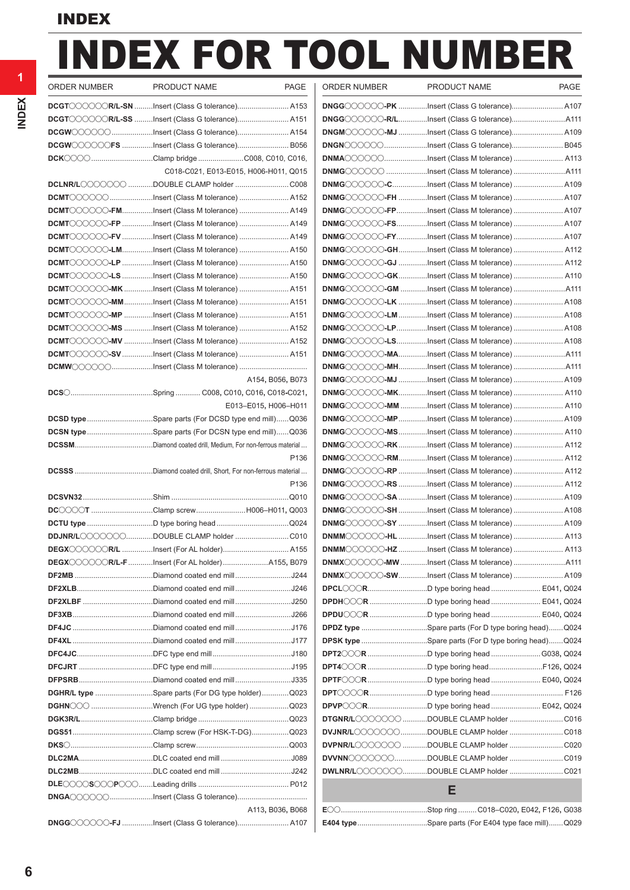# INDEX FOR TOOL NUMBER PAGE | ORDER NUMBER PRODUCT NAME

| PRODUCT NAME                                                                   | <b>PAGE</b>          |
|--------------------------------------------------------------------------------|----------------------|
| DCGT COOOCR/L-SN Insert (Class G tolerance) A153                               |                      |
| DCGT COOOCR/L-SS Insert (Class G tolerance) A151                               |                      |
| DCGWOOOOOInsert (Class G tolerance) A154                                       |                      |
| DCGWOOOOOFS Insert (Class G tolerance) B056                                    |                      |
| <b>DCK</b> (200 Clamp bridge C008, C010, C016,                                 |                      |
| C018-C021, E013-E015, H006-H011, Q015                                          |                      |
| DCLNR/LOOOOOO DOUBLE CLAMP holder C008                                         |                      |
| DCMT COOOO Insert (Class M tolerance)  A152                                    |                      |
| DCMT COOOO-FMInsert (Class M tolerance)  A149                                  |                      |
| DCMT COOOO-FP Insert (Class M tolerance)  A149                                 |                      |
| DCMT COOOO-FV Insert (Class M tolerance)  A149                                 |                      |
| DCMT COOOO-LMInsert (Class M tolerance)  A150                                  |                      |
| DCMT COOOO-LP Insert (Class M tolerance)  A150                                 |                      |
| DCMT COOOO-LS Insert (Class M tolerance)  A150                                 |                      |
| DCMT COOOO-MK Insert (Class M tolerance)  A151                                 |                      |
| DCMT COOOO-MMInsert (Class M tolerance)  A151                                  |                      |
| DCMT COOOO-MP Insert (Class M tolerance)  A151                                 |                      |
| DCMT COOOO-MS Insert (Class M tolerance)  A152                                 |                      |
| DCMT COOOO-MV Insert (Class M tolerance)  A152                                 |                      |
| DCMT COOOO-SV Insert (Class M tolerance)  A151                                 |                      |
|                                                                                |                      |
|                                                                                | A154, B056, B073     |
| <b>DCS</b> ( <i>m.m.m.m.m.m.m.m.m.m.m.Spring </i> C008, C010, C016, C018-C021, |                      |
|                                                                                | E013-E015, H006-H011 |
| DCSD type Spare parts (For DCSD type end mill)Q036                             |                      |
| DCSN typeSpare parts (For DCSN type end mill)Q036                              |                      |
|                                                                                |                      |
|                                                                                | P136                 |
|                                                                                |                      |
|                                                                                |                      |
|                                                                                | P136                 |
|                                                                                |                      |
| DC◯◯◯◯T Clamp screwH006–H011, Q003                                             |                      |
|                                                                                |                      |
| DDJNR/LOOOOOODOUBLE CLAMP holder C010                                          |                      |
|                                                                                |                      |
| <b>DEGX</b> COOOCR/L-F Insert (For AL holder) A155, B079                       |                      |
|                                                                                |                      |
|                                                                                |                      |
|                                                                                |                      |
| DF2XLBF Diamond coated end mill J250                                           |                      |
|                                                                                |                      |
|                                                                                |                      |
|                                                                                |                      |
|                                                                                |                      |
|                                                                                |                      |
|                                                                                |                      |
| DGHR/L type Spare parts (For DG type holder)Q023                               |                      |
| DGHNOO Wrench (For UG type holder)  Q023                                       |                      |
|                                                                                |                      |
|                                                                                |                      |
|                                                                                |                      |
|                                                                                |                      |
|                                                                                |                      |

**DNGG**OOOO-FJ ..............Insert (Class G tolerance)............................ A107

| <b>UNDLIN INUIVIDLIN</b> |                                                            |  |
|--------------------------|------------------------------------------------------------|--|
|                          | DNGG COOOO-PK Insert (Class G tolerance) A107              |  |
|                          |                                                            |  |
|                          | DNGMOOOOO-MJ Insert (Class G tolerance) A109               |  |
|                          | DNGNOOOO Insert (Class G tolerance) B045                   |  |
|                          | DNMAOOOOInsert (Class M tolerance)  A113                   |  |
|                          |                                                            |  |
|                          | DNMGOOOOO-CInsert (Class M tolerance)  A109                |  |
|                          | DNMGOOOOO-FH Insert (Class M tolerance)  A107              |  |
|                          | DNMGOOOOO-FPInsert (Class M tolerance)  A107               |  |
|                          |                                                            |  |
|                          | DNMGOOOOO-FSInsert (Class M tolerance)  A107               |  |
|                          | DNMGOOOOO-FYInsert (Class M tolerance)  A107               |  |
|                          | DNMGOOOOO-GHInsert (Class M tolerance)  A112               |  |
|                          | DNMGOOOOOGJ Insert (Class M tolerance)  A112               |  |
|                          | DNMGOOOOOOGKInsert (Class M tolerance) A110                |  |
|                          |                                                            |  |
|                          | DNMGOOOOO-LK Insert (Class M tolerance)  A108              |  |
|                          | DNMGOOOOO-LM Insert (Class M tolerance)  A108              |  |
|                          | DNMGOOOOO-LPInsert (Class M tolerance)  A108               |  |
|                          | DNMG COOOO-LSInsert (Class M tolerance)  A108              |  |
|                          | DNMGOOOOO-MAInsert (Class M tolerance) A111                |  |
|                          | DNMGOOOOO-MHInsert (Class M tolerance) A111                |  |
|                          | DNMGOOOOO-MJ Insert (Class M tolerance)  A109              |  |
|                          | DNMGOOOOO-MKInsert (Class M tolerance)  A110               |  |
|                          | DNMGOOOOO-MM Insert (Class M tolerance)  A110              |  |
|                          | DNMGOOOOOO-MPInsert (Class M tolerance)  A109              |  |
|                          | DNMGOOOOO-MSInsert (Class M tolerance)  A110               |  |
|                          | DNMGOOOOO-RKInsert (Class M tolerance)  A112               |  |
|                          | DNMGOOOOO-RMInsert (Class M tolerance)  A112               |  |
|                          |                                                            |  |
|                          | DNMGOOOOO-RP Insert (Class M tolerance)  A112              |  |
|                          | DNMGOOOOO-RS Insert (Class M tolerance)  A112              |  |
|                          | DNMGOOOOO-SA Insert (Class M tolerance)  A109              |  |
|                          | DNMGOOOOOOSH Insert (Class M tolerance)  A108              |  |
|                          | DNMGOOOOOOSY Insert (Class M tolerance)  A109              |  |
|                          | DNMMOOOOO-HL Insert (Class M tolerance)  A113              |  |
|                          | DNMMOOOOO-HZ Insert (Class M tolerance)  A113              |  |
|                          |                                                            |  |
|                          | DNMX COOOO-SWInsert (Class M tolerance)  A109              |  |
|                          |                                                            |  |
|                          | <b>DPDH</b> COOR D type boring head  E041, Q024            |  |
|                          |                                                            |  |
|                          | <b>DPDZ type</b> Spare parts (For D type boring head)Q024  |  |
|                          | <b>DPSK type</b> Spare parts (For D type boring head)Q024  |  |
|                          | <b>DPT2</b> ◯◯◯R D type boring head G038, Q024             |  |
|                          | DPT4 CR D type boring headF126, Q024                       |  |
|                          | DPTF COR D type boring head  E040, Q024                    |  |
|                          |                                                            |  |
|                          | <b>DPVP</b> CCORD type boring head  E042, Q024             |  |
|                          | DTGNR/LOOOOOO DOUBLE CLAMP holder C016                     |  |
|                          | DVJNR/LOOOOOODOUBLE CLAMP holder  C018                     |  |
|                          |                                                            |  |
|                          | DVPNR/L〇〇〇〇〇〇 DOUBLE CLAMP holder C020                     |  |
|                          | DVVNNOOOOOODOUBLE CLAMP holder  C019                       |  |
|                          |                                                            |  |
|                          | Е                                                          |  |
|                          |                                                            |  |
|                          | <b>E404 type</b> Spare parts (For E404 type face mill)Q029 |  |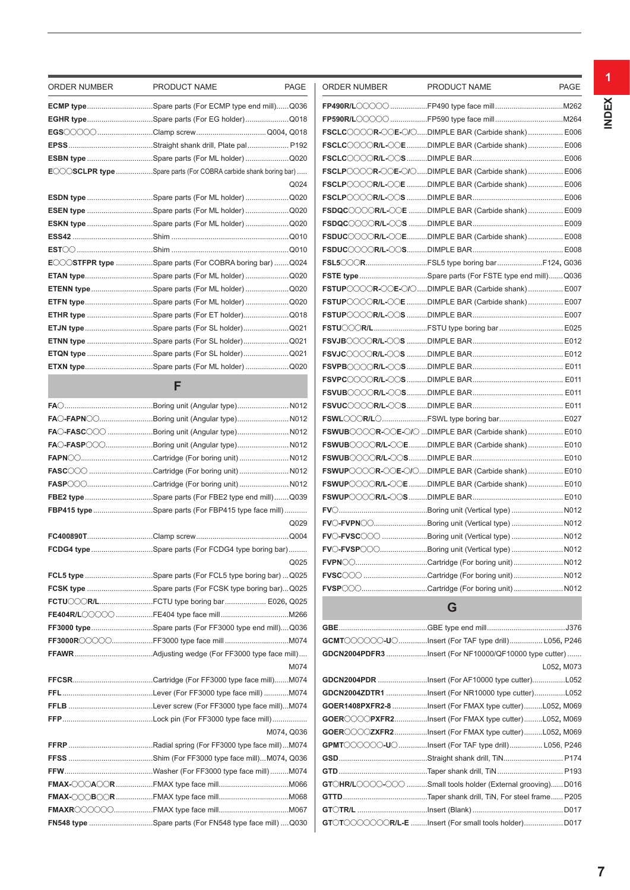| ORDER NUMBER | PRODUCT NAME<br><b>PAGE</b>                                             | <b>ORDER NUMBER</b> | PRODUCT NAME                                                | <b>PAGE</b> |
|--------------|-------------------------------------------------------------------------|---------------------|-------------------------------------------------------------|-------------|
|              | <b>ECMP type</b> Spare parts (For ECMP type end mill)Q036               |                     |                                                             |             |
|              | EGHR typeSpare parts (For EG holder)Q018                                |                     |                                                             |             |
|              |                                                                         |                     | FSCLC COOR-OC-O/CDIMPLE BAR (Carbide shank) E006            |             |
|              |                                                                         |                     | FSCLC COOR/L-OOE DIMPLE BAR (Carbide shank)  E006           |             |
|              | ESBN type Spare parts (For ML holder) Q020                              |                     |                                                             |             |
|              | <b>ECCOSCLPR type </b> Spare parts (For COBRA carbide shank boring bar) |                     | FSCLP COOR-OCE-O/ODIMPLE BAR (Carbide shank) E006           |             |
|              | Q024                                                                    |                     | FSCLP COOR/L-OE DIMPLE BAR (Carbide shank)  E006            |             |
|              | ESDN type Spare parts (For ML holder)  Q020                             |                     |                                                             |             |
|              | ESEN type Spare parts (For ML holder) Q020                              |                     | FSDQCOOOR/L-OOE DIMPLE BAR (Carbide shank)  E009            |             |
|              | ESKN type Spare parts (For ML holder) Q020                              |                     |                                                             |             |
|              |                                                                         |                     | FSDUCOOOR/L-OOEDIMPLE BAR (Carbide shank) E008              |             |
|              |                                                                         |                     |                                                             |             |
|              | ECCOSTFPR type Spare parts (For COBRA boring bar) Q024                  |                     | <b>FSL5</b> CORFSL5 type boring barF124, G036               |             |
|              | ETAN typeSpare parts (For ML holder) Q020                               |                     | <b>FSTE type</b> Spare parts (For FSTE type end mill)Q036   |             |
|              | ETENN typeSpare parts (For ML holder) Q020                              |                     | FSTUP COOR-OCE-O/ODIMPLE BAR (Carbide shank) E007           |             |
|              | ETFN typeSpare parts (For ML holder) Q020                               |                     | FSTUP COOR/L-OOE DIMPLE BAR (Carbide shank)  E007           |             |
|              | ETHR type Spare parts (For ET holder)Q018                               |                     |                                                             |             |
|              |                                                                         |                     |                                                             |             |
|              | ETNN type Spare parts (For SL holder)Q021                               |                     |                                                             |             |
|              |                                                                         |                     |                                                             |             |
|              | ETXN typeSpare parts (For ML holder) Q020                               |                     |                                                             |             |
|              | F                                                                       |                     |                                                             |             |
|              |                                                                         |                     |                                                             |             |
|              |                                                                         |                     |                                                             |             |
|              | FAO-FAPNOOBoring unit (Angular type) N012                               |                     |                                                             |             |
|              | FAO-FASCOOO Boring unit (Angular type) N012                             |                     | <b>FSWUB</b> CCCOR-CCE-C/C DIMPLE BAR (Carbide shank)  E010 |             |
|              | FAO-FASPOOOBoring unit (Angular type) N012                              |                     | <b>FSWUB</b> CCCCR/L-CCEDIMPLE BAR (Carbide shank) E010     |             |
|              |                                                                         |                     |                                                             |             |
|              |                                                                         |                     | <b>FSWUP</b> CCCOR-COE-O/ODIMPLE BAR (Carbide shank) E010   |             |
|              | FASPOOOCartridge (For boring unit)N012                                  |                     | FSWUPOOOR/L-OOE DIMPLE BAR (Carbide shank)  E010            |             |
|              | FBE2 type Spare parts (For FBE2 type end mill)Q039                      |                     |                                                             |             |
|              | FBP415 type Spare parts (For FBP415 type face mill)                     |                     |                                                             |             |
|              | Q029                                                                    |                     | FVO-FVPNOOBoring unit (Vertical type) N012                  |             |
|              | .Q004                                                                   |                     | FVO-FVSCOO Boring unit (Vertical type)  N012                |             |
|              | FCDG4 typeSpare parts (For FCDG4 type boring bar)                       |                     | FVO-FVSPOOOBoring unit (Vertical type)N012                  |             |
|              | Q025                                                                    |                     | <b>FVPN</b> COCartridge (For boring unit)N012               |             |
|              | FCL5 type Spare parts (For FCL5 type boring bar) Q025                   |                     | FVSCOO Cartridge (For boring unit)  N012                    |             |
|              |                                                                         |                     | FVSPOO Cartridge (For boring unit)  N012                    |             |
|              | <b>FCTU</b> COR/LFCTU type boring bar E026, Q025                        |                     | G                                                           |             |
|              |                                                                         |                     |                                                             |             |
|              | FF3000 typeSpare parts (For FF3000 type end mill)Q036                   |                     |                                                             |             |
|              |                                                                         |                     | <b>GCMT</b> COOOO-UOInsert (For TAF type drill) L056, P246  |             |
|              | M074                                                                    |                     | GDCN2004PDFR3 Insert (For NF10000/QF10000 type cutter)      | L052, M073  |
|              |                                                                         |                     | GDCN2004PDR Insert (For AF10000 type cutter)L052            |             |
|              |                                                                         |                     | GDCN2004ZDTR1 Insert (For NR10000 type cutter)L052          |             |
|              |                                                                         |                     | GOER1408PXFR2-8 Insert (For FMAX type cutter)L052, M069     |             |
|              |                                                                         |                     | GOEROCOPXFR2Insert (For FMAX type cutter)L052, M069         |             |
|              | M074, Q036                                                              |                     | GOEROOCZXFR2Insert (For FMAX type cutter)L052, M069         |             |
|              |                                                                         |                     | GPMT COOOO-UOInsert (For TAF type drill) L056, P246         |             |
|              |                                                                         |                     |                                                             |             |
|              |                                                                         |                     |                                                             |             |
|              |                                                                         |                     | GTOHR/LOOOO-OOO Small tools holder (External grooving) D016 |             |
|              |                                                                         |                     |                                                             |             |
|              |                                                                         |                     |                                                             |             |
|              | FN548 type Spare parts (For FN548 type face mill)  Q030                 |                     | GTOTOOOOOOR/L-E Insert (For small tools holder) D017        |             |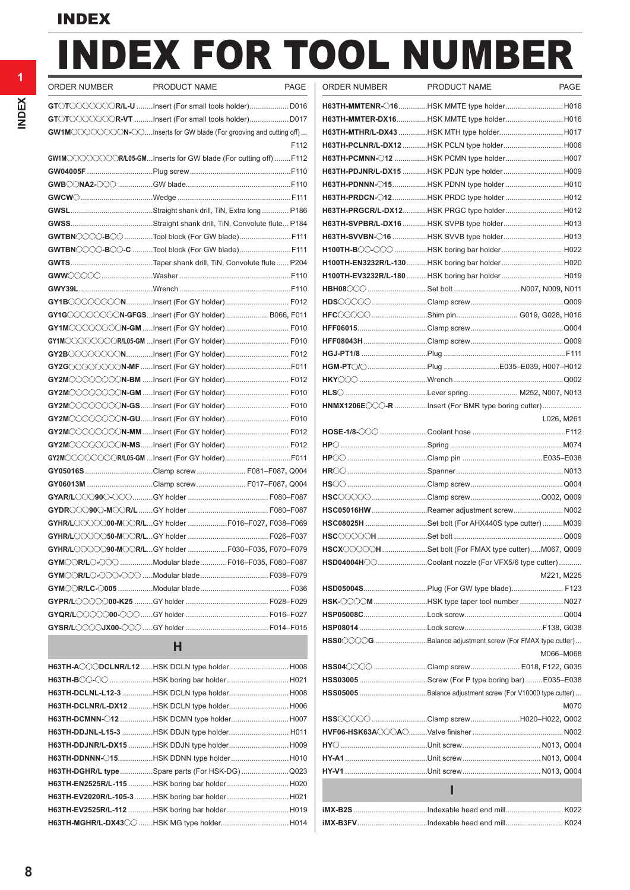# INDEX FOR TOOL NUMBER

| ORDER NUMBER | PRODUCT NAME                                                       | PAGE |
|--------------|--------------------------------------------------------------------|------|
|              | GTOTOOOOOOR/L-U Insert (For small tools holder) D016               |      |
|              | GTOTOOOOOOR-VT Insert (For small tools holder) D017                |      |
|              | GW1MOOOOOOON-OOInserts for GW blade (For grooving and cutting off) |      |
|              |                                                                    | F112 |
|              | GW1M COOOCOOR/L05-GMInserts for GW blade (For cutting off) F112    |      |
|              |                                                                    |      |
|              |                                                                    |      |
|              |                                                                    |      |
|              |                                                                    |      |
|              |                                                                    |      |
|              | GWTBNOOO-BOO Tool block (For GW blade) F111                        |      |
|              | GWTBNOOO-BOO-C Tool block (For GW blade) F111                      |      |
|              |                                                                    |      |
|              |                                                                    |      |
|              |                                                                    |      |
|              | <b>GY1B</b> COOOOONInsert (For GY holder) F012                     |      |
|              | GY1GOOOOOON-GFGSInsert (For GY holder) B066, F011                  |      |
|              | GY1M◯◯◯◯◯◯◯N-GM Insert (For GY holder) F010                        |      |
|              | GY1MOOOOOOR/L05-GM Insert (For GY holder) F010                     |      |
|              | GY2BOOOOOONInsert (For GY holder) F012                             |      |
|              | GY2GCOOOOON-MF Insert (For GY holder)F011                          |      |
|              |                                                                    |      |
|              | GY2MOOOOOOON-GM Insert (For GY holder) F010                        |      |
|              | GY2MOOOOOOON-GSInsert (For GY holder) F010                         |      |
|              |                                                                    |      |
|              | GY2MOOOOOOON-MM Insert (For GY holder) F012                        |      |
|              | GY2MOOOOOOON-MSInsert (For GY holder) F012                         |      |
|              |                                                                    |      |
|              | GY05016SClamp screw F081-F087, Q004                                |      |
|              | GY06013M Clamp screw F017-F087, Q004                               |      |
|              |                                                                    |      |
|              |                                                                    |      |
|              | GYHR/LOOOOO00-MOOR/LGY holder F016-F027, F038-F069                 |      |
|              |                                                                    |      |
|              | <b>GYHR/L</b> OOOO90-MOOR/LGY holder F030-F035. F070-F079          |      |
|              | GYMOOR/LO-OOO Modular bladeF016-F035, F080-F087                    |      |
|              |                                                                    |      |
|              |                                                                    |      |
|              |                                                                    |      |
|              |                                                                    |      |
|              |                                                                    |      |
|              | н                                                                  |      |

| H63TH-ACCODCLNR/L12HSK DCLN type holderH008     |  |
|-------------------------------------------------|--|
|                                                 |  |
|                                                 |  |
| H63TH-DCLNR/L-DX12HSK DCLN type holder H006     |  |
|                                                 |  |
| H63TH-DDJNL-L15-3 HSK DDJN type holder H011     |  |
| H63TH-DDJNR/L-DX15 HSK DDJN type holderH009     |  |
|                                                 |  |
| H63TH-DGHR/L typeSpare parts (For HSK-DG)Q023   |  |
| H63TH-EN2525R/L-115 HSK boring bar holder  H020 |  |
|                                                 |  |
|                                                 |  |
|                                                 |  |
|                                                 |  |

| ORDER NUMBER | PRODUCT NAME                                                                                                                                                                          | PAGE | ORDER NUMBER                                            | PRODUCT NAME | <b>PAGE</b> |
|--------------|---------------------------------------------------------------------------------------------------------------------------------------------------------------------------------------|------|---------------------------------------------------------|--------------|-------------|
|              |                                                                                                                                                                                       |      | H63TH-MMTENR- 016HSK MMTE type holder H016              |              |             |
|              |                                                                                                                                                                                       |      | H63TH-MMTER-DX16HSK MMTE type holder H016               |              |             |
|              | GW1M COOOOON-OOInserts for GW blade (For grooving and cutting off)                                                                                                                    |      |                                                         |              |             |
|              |                                                                                                                                                                                       | F112 | H63TH-PCLNR/L-DX12 HSK PCLN type holder H006            |              |             |
|              | $\texttt{GW1M}\text{\textcircled{\textcircled{\textcirc}}} \text{C}\text{\textcircled{\textcircled{\textcirc}}} \texttt{R}\text{/L05-GM}$ Inserts for GW blade (For cutting off) F112 |      | H63TH-PCMNN-012 HSK PCMN type holderH007                |              |             |
|              |                                                                                                                                                                                       |      |                                                         |              |             |
|              |                                                                                                                                                                                       |      |                                                         |              |             |
|              |                                                                                                                                                                                       |      | H63TH-PRDCN-012HSK PRDC type holderH012                 |              |             |
|              |                                                                                                                                                                                       |      | H63TH-PRGCR/L-DX12HSK PRGC type holder H012             |              |             |
|              |                                                                                                                                                                                       |      | H63TH-SVPBR/L-DX16 HSK SVPB type holder H013            |              |             |
|              |                                                                                                                                                                                       |      |                                                         |              |             |
|              | GWTBNOOO-BOO-C Tool block (For GW blade)F111                                                                                                                                          |      | H100TH-BOO-OOO HSK boring bar holderH022                |              |             |
|              |                                                                                                                                                                                       |      | H100TH-EN3232R/L-130 HSK boring bar holder  H020        |              |             |
|              |                                                                                                                                                                                       |      | H100TH-EV3232R/L-180 HSK boring bar holder  H019        |              |             |
|              |                                                                                                                                                                                       |      |                                                         |              |             |
|              |                                                                                                                                                                                       |      |                                                         |              |             |
|              | GY1G COOOOON-GFGSInsert (For GY holder) B066, F011                                                                                                                                    |      | HFC 0000 Shim pin G019, G028, H016                      |              |             |
|              | GY1MOOOOOOON-GM Insert (For GY holder) F010                                                                                                                                           |      |                                                         |              |             |
|              | GY1M〇〇〇〇〇〇〇R/L05-GM Insert (For GY holder) F010                                                                                                                                       |      |                                                         |              |             |
|              | <b>GY2B</b> ◯◯◯◯◯◯◯NInsert (For GY holder) F012                                                                                                                                       |      |                                                         |              |             |
|              | <b>GY2G</b> ◯◯◯◯◯◯◯N-MF Insert (For GY holder)F011                                                                                                                                    |      |                                                         |              |             |
|              | <b>GY2M</b> COCOCOO <b>N-BM</b> Insert (For GY holder) F012                                                                                                                           |      |                                                         |              |             |
|              | <b>GY2M</b> COCOCO <b>N-GM</b> Insert (For GY holder) F010                                                                                                                            |      |                                                         |              |             |
|              | <b>GY2M</b> ◯◯◯◯◯◯◯ <b>N-GS</b> Insert (For GY holder) F010                                                                                                                           |      | HNMX1206ECCO-R Insert (For BMR type boring cutter)      |              |             |
|              | <b>GY2M</b> COOOCCN <b>-GU</b> Insert (For GY holder) F010                                                                                                                            |      |                                                         |              | L026, M261  |
|              | GY2M COOOOON-MM Insert (For GY holder) F012                                                                                                                                           |      |                                                         |              |             |
|              | <b>GY2M</b> COOOCCO <b>N-MS</b> Insert (For GY holder) F012                                                                                                                           |      |                                                         |              |             |
|              | GY2M◯◯◯◯◯◯◯R/L05-GM Insert (For GY holder)F011                                                                                                                                        |      |                                                         |              |             |
|              | GY05016S Clamp screw  F081-F087, Q004                                                                                                                                                 |      |                                                         |              |             |
|              | GY06013M Clamp screw F017–F087, Q004                                                                                                                                                  |      |                                                         |              |             |
|              |                                                                                                                                                                                       |      |                                                         |              |             |
|              |                                                                                                                                                                                       |      | HSC05016HWReamer adjustment screw N002                  |              |             |
|              | GYHR/L COOOOO-M CR/LGY holder  F016-F027, F038-F069                                                                                                                                   |      | HSC08025H Set bolt (For AHX440S type cutter) M039       |              |             |
|              |                                                                                                                                                                                       |      |                                                         |              |             |
|              | GYHR/L COO 30-M CR/LGY holder F030-F035, F070-F079                                                                                                                                    |      | HSCX COOCH Set bolt (For FMAX type cutter)M067, Q009    |              |             |
|              | <b>GYM◯CR/L⊖-◯◯◯ Modular bladeF016–F035, F080–F087</b>                                                                                                                                |      | HSD04004HCCCoolant nozzle (For VFX5/6 type cutter)      |              |             |
|              |                                                                                                                                                                                       |      |                                                         |              | M221, M225  |
|              |                                                                                                                                                                                       |      |                                                         |              |             |
|              |                                                                                                                                                                                       |      | HSK-OOOM HSK type taper tool number  N027               |              |             |
|              |                                                                                                                                                                                       |      |                                                         |              |             |
|              |                                                                                                                                                                                       |      |                                                         |              |             |
|              | H                                                                                                                                                                                     |      | HSSOCOOGBalance adjustment screw (For FMAX type cutter) |              |             |
|              |                                                                                                                                                                                       |      |                                                         |              | M066-M068   |
|              | <b>H63TH-A◯◯◯DCLNR/L12</b> HSK DCLN type holderH008                                                                                                                                   |      | HSS04 000 Clamp screw  E018, F122, G035                 |              |             |
|              | H63TH-B〇〇-〇〇 HSK boring bar holderH021                                                                                                                                                |      | HSS03005 Screw (For P type boring bar) E035-E038        |              |             |
|              | H63TH-DCLNL-L12-3 HSK DCLN type holderH008                                                                                                                                            |      |                                                         |              |             |
|              | H63TH-DCLNR/L-DX12 HSK DCLN type holder H006                                                                                                                                          |      |                                                         |              | M070        |
|              | H63TH-DCMNN-012 HSK DCMN type holder H007                                                                                                                                             |      | HSS COOO Clamp screw H020-H022, Q002                    |              |             |
|              | H63TH-DDJNL-L15-3 HSK DDJN type holder H011                                                                                                                                           |      |                                                         |              |             |
|              | H63TH-DDJNR/L-DX15HSK DDJN type holderH009                                                                                                                                            |      |                                                         |              |             |
|              | H63TH-DDNNN-015HSK DDNN type holderH010                                                                                                                                               |      |                                                         |              |             |
|              | H63TH-DGHR/L typeSpare parts (For HSK-DG)Q023                                                                                                                                         |      |                                                         |              |             |
|              | H63TH-EN2525R/L-115 HSK boring bar holder H020                                                                                                                                        |      |                                                         | ı            |             |
|              | H63TH-EV2020R/L-105-3 HSK boring bar holder  H021                                                                                                                                     |      |                                                         |              |             |
|              | H63TH-EV2525R/L-112 HSK boring bar holder  H019                                                                                                                                       |      |                                                         |              |             |
|              | Н63ТН-MGHR/L-DХ43◯◯ НSК MG type holder Н014                                                                                                                                           |      |                                                         |              |             |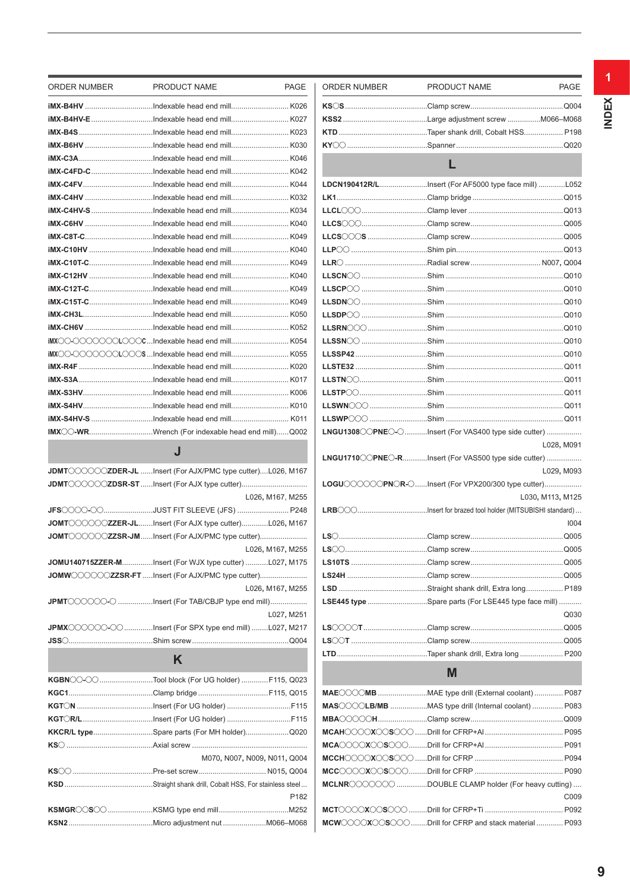| ORDER NUMBER | PRODUCT NAME                                                                                                                                                                        | <b>PAGE</b>      | ORDER NUMBER | PRODUCT NAME                                          | <b>PAGE</b>      |
|--------------|-------------------------------------------------------------------------------------------------------------------------------------------------------------------------------------|------------------|--------------|-------------------------------------------------------|------------------|
|              |                                                                                                                                                                                     |                  |              |                                                       |                  |
|              |                                                                                                                                                                                     |                  |              |                                                       |                  |
|              |                                                                                                                                                                                     |                  |              |                                                       |                  |
|              |                                                                                                                                                                                     |                  |              |                                                       |                  |
|              |                                                                                                                                                                                     |                  |              |                                                       |                  |
|              |                                                                                                                                                                                     |                  |              | L                                                     |                  |
|              |                                                                                                                                                                                     |                  |              |                                                       |                  |
|              |                                                                                                                                                                                     |                  |              |                                                       |                  |
|              |                                                                                                                                                                                     |                  |              |                                                       |                  |
|              |                                                                                                                                                                                     |                  |              |                                                       |                  |
|              |                                                                                                                                                                                     |                  |              |                                                       |                  |
|              |                                                                                                                                                                                     |                  |              |                                                       |                  |
|              |                                                                                                                                                                                     |                  |              |                                                       |                  |
|              |                                                                                                                                                                                     |                  |              |                                                       |                  |
|              |                                                                                                                                                                                     |                  |              |                                                       |                  |
|              |                                                                                                                                                                                     |                  |              |                                                       |                  |
|              |                                                                                                                                                                                     |                  |              |                                                       |                  |
|              |                                                                                                                                                                                     |                  |              |                                                       |                  |
|              |                                                                                                                                                                                     |                  |              |                                                       |                  |
|              |                                                                                                                                                                                     |                  |              |                                                       |                  |
|              |                                                                                                                                                                                     |                  |              |                                                       |                  |
|              |                                                                                                                                                                                     |                  |              |                                                       |                  |
|              |                                                                                                                                                                                     |                  |              |                                                       |                  |
|              |                                                                                                                                                                                     |                  |              |                                                       |                  |
|              |                                                                                                                                                                                     |                  |              |                                                       |                  |
|              | IMX C-WRWrench (For indexable head end mill)Q002                                                                                                                                    |                  |              | LNGU1308 CPNEC-CInsert (For VAS400 type side cutter)  |                  |
|              |                                                                                                                                                                                     |                  |              |                                                       | L028, M091       |
|              | J                                                                                                                                                                                   |                  |              | LNGU1710 COPNEC-RInsert (For VAS500 type side cutter) |                  |
|              | JDMT COOCOZDER-JL Insert (For AJX/PMC type cutter)L026, M167                                                                                                                        |                  |              |                                                       | L029, M093       |
|              |                                                                                                                                                                                     |                  |              | LOGUOOOOPNOR-OInsert (For VPX200/300 type cutter)     |                  |
|              |                                                                                                                                                                                     | L026, M167, M255 |              |                                                       | L030, M113, M125 |
|              |                                                                                                                                                                                     |                  |              |                                                       |                  |
|              | $\mathsf{JOMT}\text{-}\text{CO}\text{-}\text{OZ}$ ZZER-JLInsert (For AJX type cutter)L026, M167                                                                                     |                  |              |                                                       | 1004             |
|              | $\mathsf{JOMT}\hspace{-0.01cm}\subset\hspace{-0.01cm}\subset\hspace{-0.01cm}\subset\hspace{-0.01cm}\subset\hspace{-0.01cm}\subset\hspace{-0.01cm}\subset\hspace{-0.01cm}\mathbb{Z}$ |                  |              |                                                       |                  |
|              |                                                                                                                                                                                     | L026, M167, M255 |              |                                                       |                  |
|              | <b>JOMU140715ZZER-M</b> Insert (For WJX type cutter) L027, M175                                                                                                                     |                  |              |                                                       |                  |
|              |                                                                                                                                                                                     |                  |              |                                                       |                  |
|              |                                                                                                                                                                                     | L026, M167, M255 |              |                                                       |                  |
|              | JPMT COOOO Insert (For TAB/CBJP type end mill)                                                                                                                                      |                  |              | LSE445 type Spare parts (For LSE445 type face mill)   |                  |
|              |                                                                                                                                                                                     | L027, M251       |              |                                                       | Q030             |
|              | <b>JPMX</b> CCCCC-CCInsert (For SPX type end mill)L027, M217                                                                                                                        |                  |              |                                                       | Q005             |
|              |                                                                                                                                                                                     |                  |              |                                                       |                  |
|              |                                                                                                                                                                                     |                  |              |                                                       |                  |
|              | K                                                                                                                                                                                   |                  |              |                                                       |                  |
|              | <b>KGBN</b> CO-COTool block (For UG holder) F115, Q023                                                                                                                              |                  |              | M                                                     |                  |
|              |                                                                                                                                                                                     |                  |              |                                                       |                  |
|              |                                                                                                                                                                                     |                  |              |                                                       |                  |
|              |                                                                                                                                                                                     |                  |              | MAS◯◯◯◯LB/MB MAS type drill (Internal coolant)  P083  |                  |
|              |                                                                                                                                                                                     |                  |              |                                                       |                  |
|              | KKCR/L typeSpare parts (For MH holder) Q020                                                                                                                                         |                  |              |                                                       |                  |
|              |                                                                                                                                                                                     |                  |              |                                                       |                  |
|              | M070, N007, N009, N011, Q004                                                                                                                                                        |                  |              |                                                       |                  |
|              |                                                                                                                                                                                     |                  |              |                                                       |                  |
|              |                                                                                                                                                                                     | P <sub>182</sub> |              | MCLNROOOOOO DOUBLE CLAMP holder (For heavy cutting)   | C009             |
|              |                                                                                                                                                                                     |                  |              |                                                       |                  |
|              |                                                                                                                                                                                     |                  |              | MCW COXOSOO Drill for CFRP and stack material  P093   |                  |

**1**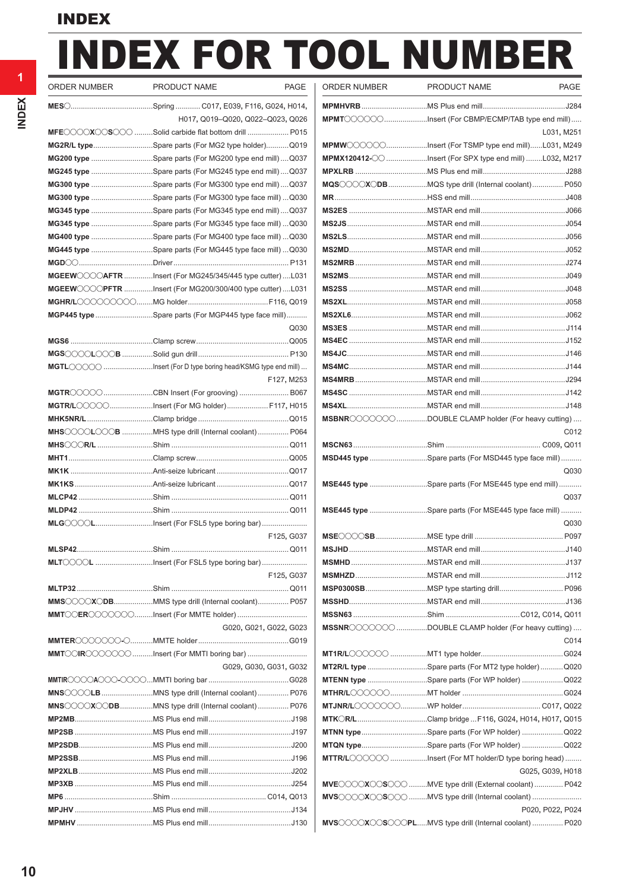# INDEX FOR TOOL NUMBER

| ORDER NUMBER | PRODUCT NAME<br>PAGE                                                | ORDER NUMBER    | PRODUCT NAME                                                | <b>PAGE</b>                             |
|--------------|---------------------------------------------------------------------|-----------------|-------------------------------------------------------------|-----------------------------------------|
|              |                                                                     |                 |                                                             |                                         |
|              | H017, Q019-Q020, Q022-Q023, Q026                                    |                 | MPMT COOOOInsert (For CBMP/ECMP/TAB type end mill)          |                                         |
|              | MFEOOOXOOSOOO Solid carbide flat bottom drill  P015                 |                 |                                                             | L031, M25 <sup><math>\cdot</math></sup> |
|              | MG2R/L typeSpare parts (For MG2 type holder)Q019                    |                 | MPMWOOOOOInsert (For TSMP type end mill)L031, M249          |                                         |
|              | MG200 type Spare parts (For MG200 type end mill)Q037                |                 | <b>MPMX120412-</b> Insert (For SPX type end mill) L032, M21 |                                         |
|              | MG245 type Spare parts (For MG245 type end mill) Q037               |                 |                                                             |                                         |
|              | MG300 type Spare parts (For MG300 type end mill)Q037                |                 | MQS COXODB MQS type drill (Internal coolant)  P050          |                                         |
|              | MG300 type Spare parts (For MG300 type face mill) Q030              |                 |                                                             |                                         |
|              | MG345 type Spare parts (For MG345 type end mill)Q037                |                 |                                                             |                                         |
|              | MG345 type Spare parts (For MG345 type face mill) Q030              |                 |                                                             |                                         |
|              | MG400 type Spare parts (For MG400 type face mill)  Q030             |                 |                                                             |                                         |
|              | MG445 type Spare parts (For MG445 type face mill) Q030              |                 |                                                             |                                         |
|              |                                                                     |                 |                                                             |                                         |
|              | MGEEWOOOGAFTR Insert (For MG245/345/445 type cutter) L031           |                 |                                                             |                                         |
|              | MGEEW〇〇〇PFTR Insert (For MG200/300/400 type cutter) L031            |                 |                                                             |                                         |
|              |                                                                     |                 |                                                             |                                         |
|              | <b>MGP445 type</b> Spare parts (For MGP445 type face mill)          |                 |                                                             |                                         |
|              | Q030                                                                |                 |                                                             |                                         |
|              |                                                                     |                 |                                                             |                                         |
|              |                                                                     |                 |                                                             |                                         |
|              | <b>MGTL</b> CCCO Insert (For D type boring head/KSMG type end mill) |                 |                                                             |                                         |
|              | F127, M253                                                          |                 |                                                             |                                         |
|              |                                                                     |                 |                                                             |                                         |
|              | MGTR/LOOOOInsert (For MG holder) F117, H015                         |                 |                                                             |                                         |
|              |                                                                     |                 | MSBNROOOOOO DOUBLE CLAMP holder (For heavy cutting)         |                                         |
|              | MHSOOOLOOOB MHS type drill (Internal coolant)  P064                 |                 |                                                             | C012                                    |
|              |                                                                     |                 |                                                             |                                         |
|              |                                                                     |                 | MSD445 type Spare parts (For MSD445 type face mill)         |                                         |
|              |                                                                     |                 |                                                             | Q <sub>03(</sub>                        |
|              |                                                                     |                 | <b>MSE445 type</b> Spare parts (For MSE445 type end mill)   |                                         |
|              |                                                                     |                 |                                                             | Q037                                    |
|              |                                                                     |                 |                                                             |                                         |
|              |                                                                     |                 | MSE445 type Spare parts (For MSE445 type face mill)         |                                         |
|              | MLG COOLInsert (For FSL5 type boring bar)                           |                 |                                                             | Q <sub>03(</sub>                        |
|              | F125, G037                                                          | <b>MSECCOSB</b> | MSE type drill                                              | P09                                     |
|              |                                                                     |                 |                                                             |                                         |
|              | MLTOOOL Insert (For FSL5 type boring bar)                           |                 |                                                             |                                         |
|              | F125, G037                                                          |                 |                                                             |                                         |
|              |                                                                     |                 |                                                             |                                         |
|              | MMS COXODBMMS type drill (Internal coolant) P057                    |                 |                                                             |                                         |
|              | MMTOCEROOOOOOInsert (For MMTE holder)                               |                 |                                                             |                                         |
|              | G020, G021, G022, G023                                              |                 | MSSNROOOOOO DOUBLE CLAMP holder (For heavy cutting)         |                                         |
|              |                                                                     |                 |                                                             | CO14                                    |
|              | <b>MMT</b> COIROCOOO Insert (For MMTI boring bar)                   |                 |                                                             |                                         |
|              | G029, G030, G031, G032                                              |                 | MT2R/L type Spare parts (For MT2 type holder)  Q020         |                                         |
|              |                                                                     |                 | MTENN type Spare parts (For WP holder) Q022                 |                                         |
|              | MNS◯◯◯◯LB MNS type drill (Internal coolant)  P076                   |                 |                                                             |                                         |
|              | MNS◯◯◯◯X◯◯DBMNS type drill (Internal coolant) P076                  |                 |                                                             |                                         |
|              |                                                                     |                 | <b>MTK R/L</b> Clamp bridge  F116, G024, H014, H017, Q019   |                                         |
|              |                                                                     |                 | MTNN typeSpare parts (For WP holder) Q022                   |                                         |
|              |                                                                     |                 | MTQN typeSpare parts (For WP holder) Q022                   |                                         |
|              |                                                                     |                 | MTTR/LOOOOO Insert (For MT holder/D type boring head)       |                                         |
|              |                                                                     |                 | G025, G039, H018                                            |                                         |
|              |                                                                     |                 | MVECOOXOOSOO MVE type drill (External coolant)  P042        |                                         |
|              |                                                                     |                 | MVSCOOXOOSOOO MVS type drill (Internal coolant)             |                                         |
|              |                                                                     |                 | P020, P022, P024                                            |                                         |
|              |                                                                     |                 | MVSCOOXCOSCOOPLMVS type drill (Internal coolant)  P020      |                                         |

| ORDER NUMBER | PRODUCT NAME                                                                                                                                                                                                                                                                                                                                                                                                                                                                                                   | <b>PAGE</b>      |
|--------------|----------------------------------------------------------------------------------------------------------------------------------------------------------------------------------------------------------------------------------------------------------------------------------------------------------------------------------------------------------------------------------------------------------------------------------------------------------------------------------------------------------------|------------------|
|              |                                                                                                                                                                                                                                                                                                                                                                                                                                                                                                                |                  |
|              | MPMT COOOOInsert (For CBMP/ECMP/TAB type end mill)                                                                                                                                                                                                                                                                                                                                                                                                                                                             |                  |
|              |                                                                                                                                                                                                                                                                                                                                                                                                                                                                                                                | L031, M251       |
|              | MPMWOOOOOInsert (For TSMP type end mill)L031, M249                                                                                                                                                                                                                                                                                                                                                                                                                                                             |                  |
|              |                                                                                                                                                                                                                                                                                                                                                                                                                                                                                                                |                  |
|              |                                                                                                                                                                                                                                                                                                                                                                                                                                                                                                                |                  |
|              | MQSOOOXODBMQS type drill (Internal coolant) P050                                                                                                                                                                                                                                                                                                                                                                                                                                                               |                  |
|              |                                                                                                                                                                                                                                                                                                                                                                                                                                                                                                                |                  |
|              |                                                                                                                                                                                                                                                                                                                                                                                                                                                                                                                |                  |
|              |                                                                                                                                                                                                                                                                                                                                                                                                                                                                                                                |                  |
|              |                                                                                                                                                                                                                                                                                                                                                                                                                                                                                                                |                  |
|              |                                                                                                                                                                                                                                                                                                                                                                                                                                                                                                                |                  |
|              |                                                                                                                                                                                                                                                                                                                                                                                                                                                                                                                |                  |
|              |                                                                                                                                                                                                                                                                                                                                                                                                                                                                                                                |                  |
|              |                                                                                                                                                                                                                                                                                                                                                                                                                                                                                                                |                  |
|              |                                                                                                                                                                                                                                                                                                                                                                                                                                                                                                                |                  |
|              |                                                                                                                                                                                                                                                                                                                                                                                                                                                                                                                |                  |
|              |                                                                                                                                                                                                                                                                                                                                                                                                                                                                                                                |                  |
|              |                                                                                                                                                                                                                                                                                                                                                                                                                                                                                                                |                  |
|              |                                                                                                                                                                                                                                                                                                                                                                                                                                                                                                                |                  |
|              |                                                                                                                                                                                                                                                                                                                                                                                                                                                                                                                |                  |
|              |                                                                                                                                                                                                                                                                                                                                                                                                                                                                                                                |                  |
|              |                                                                                                                                                                                                                                                                                                                                                                                                                                                                                                                |                  |
|              |                                                                                                                                                                                                                                                                                                                                                                                                                                                                                                                |                  |
|              | MSBNROOOOOODOUBLE CLAMP holder (For heavy cutting)                                                                                                                                                                                                                                                                                                                                                                                                                                                             |                  |
|              |                                                                                                                                                                                                                                                                                                                                                                                                                                                                                                                | C012             |
|              |                                                                                                                                                                                                                                                                                                                                                                                                                                                                                                                |                  |
|              | MSD445 type Spare parts (For MSD445 type face mill)                                                                                                                                                                                                                                                                                                                                                                                                                                                            |                  |
|              |                                                                                                                                                                                                                                                                                                                                                                                                                                                                                                                | Q030             |
|              | MSE445 type Spare parts (For MSE445 type end mill)                                                                                                                                                                                                                                                                                                                                                                                                                                                             |                  |
|              |                                                                                                                                                                                                                                                                                                                                                                                                                                                                                                                | Q037             |
|              | MSE445 type Spare parts (For MSE445 type face mill)                                                                                                                                                                                                                                                                                                                                                                                                                                                            |                  |
|              |                                                                                                                                                                                                                                                                                                                                                                                                                                                                                                                | Q030             |
|              |                                                                                                                                                                                                                                                                                                                                                                                                                                                                                                                |                  |
|              |                                                                                                                                                                                                                                                                                                                                                                                                                                                                                                                |                  |
|              |                                                                                                                                                                                                                                                                                                                                                                                                                                                                                                                |                  |
|              |                                                                                                                                                                                                                                                                                                                                                                                                                                                                                                                |                  |
|              |                                                                                                                                                                                                                                                                                                                                                                                                                                                                                                                |                  |
|              |                                                                                                                                                                                                                                                                                                                                                                                                                                                                                                                |                  |
|              |                                                                                                                                                                                                                                                                                                                                                                                                                                                                                                                |                  |
|              | MSSNROOOCOO DOUBLE CLAMP holder (For heavy cutting)                                                                                                                                                                                                                                                                                                                                                                                                                                                            |                  |
|              |                                                                                                                                                                                                                                                                                                                                                                                                                                                                                                                | C014             |
|              |                                                                                                                                                                                                                                                                                                                                                                                                                                                                                                                |                  |
|              | MT2R/L type Spare parts (For MT2 type holder) Q020<br>MTENN type Spare parts (For WP holder)  Q022                                                                                                                                                                                                                                                                                                                                                                                                             |                  |
|              |                                                                                                                                                                                                                                                                                                                                                                                                                                                                                                                |                  |
|              |                                                                                                                                                                                                                                                                                                                                                                                                                                                                                                                |                  |
|              | MTK CR/LClamp bridge  F116, G024, H014, H017, Q015                                                                                                                                                                                                                                                                                                                                                                                                                                                             |                  |
|              | MTNN typeSpare parts (For WP holder) Q022                                                                                                                                                                                                                                                                                                                                                                                                                                                                      |                  |
|              | MTQN typeSpare parts (For WP holder) Q022                                                                                                                                                                                                                                                                                                                                                                                                                                                                      |                  |
|              | MTTR/LOOOOO Insert (For MT holder/D type boring head)                                                                                                                                                                                                                                                                                                                                                                                                                                                          |                  |
|              |                                                                                                                                                                                                                                                                                                                                                                                                                                                                                                                | G025, G039, H018 |
|              | MVECOOOXOOSOOO MVE type drill (External coolant)  P042                                                                                                                                                                                                                                                                                                                                                                                                                                                         |                  |
|              | $\mathsf{MVS}\hspace{-1pt}\circ\hspace{-1pt}\circ\hspace{-1pt}\circ\hspace{-1pt}\circ\hspace{-1pt}\circ\hspace{-1pt}\circ\hspace{-1pt}\circ\hspace{-1pt}\circ\hspace{-1pt}\circ\hspace{-1pt}\circ\hspace{-1pt}\circ\hspace{-1pt}\circ\hspace{-1pt}\circ\hspace{-1pt}\circ\hspace{-1pt}\circ\hspace{-1pt}\circ\hspace{-1pt}\circ\hspace{-1pt}\circ\hspace{-1pt}\circ\hspace{-1pt}\circ\hspace{-1pt}\circ\hspace{-1pt}\circ\hspace{-1pt}\circ\hspace{-1pt}\circ\hspace{-1pt}\circ\hspace{-1pt}\circ\hspace{-1pt$ |                  |
|              |                                                                                                                                                                                                                                                                                                                                                                                                                                                                                                                | P020, P022, P024 |
|              | MVS COOXOOSOOOPLMVS type drill (Internal coolant)  P020                                                                                                                                                                                                                                                                                                                                                                                                                                                        |                  |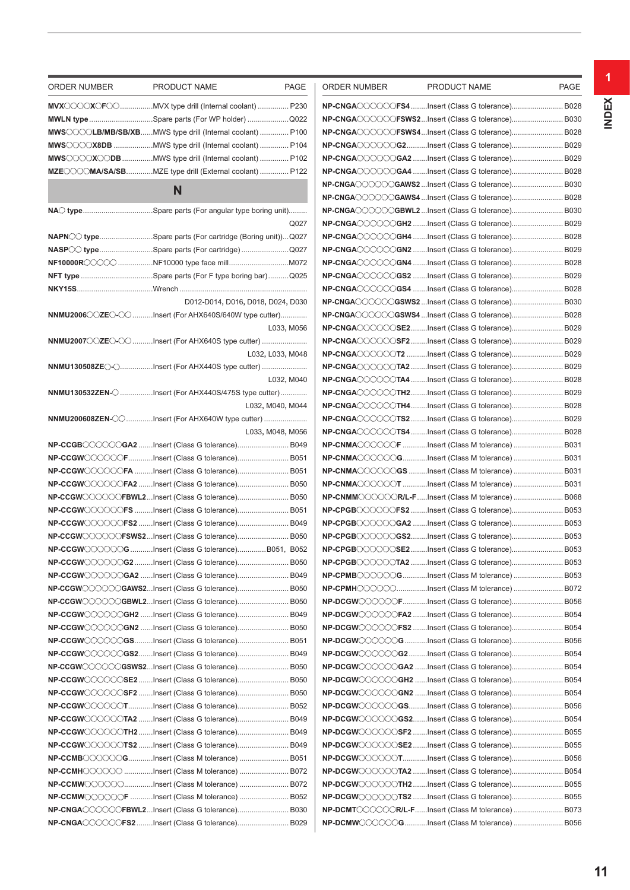| ORDER NUMBER | PRODUCT NAME                                              | PAGE             | ORDER NUMBER                                                    | PRODUCT NAME | PAGE |
|--------------|-----------------------------------------------------------|------------------|-----------------------------------------------------------------|--------------|------|
|              | MVX COOX FOO MVX type drill (Internal coolant)  P230      |                  | NP-CNGAOOOOOFS4Insert (Class G tolerance) B028                  |              |      |
|              | MWLN typeSpare parts (For WP holder)Q022                  |                  | NP-CNGAOOOOOFSWS2Insert (Class G tolerance) B030                |              |      |
|              | MWS COLB/MB/SB/XBMWS type drill (Internal coolant)  P100  |                  | NP-CNGA◯◯◯◯◯CFSWS4Insert (Class G tolerance) B028               |              |      |
|              | MWS◯◯◯X8DB MWS type drill (Internal coolant)  P104        |                  | NP-CNGAOOOOOG2Insert (Class G tolerance) B029                   |              |      |
|              |                                                           |                  | NP-CNGAOOOOOGA2 Insert (Class G tolerance) B029                 |              |      |
|              | MZEOOOMA/SA/SBMZE type drill (External coolant)  P122     |                  | NP-CNGA◯◯◯◯◯GA4 Insert (Class G tolerance) B028                 |              |      |
|              |                                                           |                  | <b>NP-CNGA〇〇〇〇〇〇GAWS2</b> Insert (Class G tolerance) B030       |              |      |
|              | N                                                         |                  | NP-CNGAOOOOGAWS4 Insert (Class G tolerance) B028                |              |      |
|              | NAO typeSpare parts (For angular type boring unit)        |                  | <b>NP-CNGA◯◯◯◯◯⊙GBWL2</b> Insert (Class G tolerance) B030       |              |      |
|              |                                                           | Q027             | NP-CNGA◯◯◯◯◯CGH2 Insert (Class G tolerance) B029                |              |      |
|              | NAPN O typeSpare parts (For cartridge (Boring unit))Q027  |                  | NP-CNGACCOCOGH4 Insert (Class G tolerance) B028                 |              |      |
|              | NASP Cotype Spare parts (For cartridge) Q027              |                  | NP-CNGAOOOOOGN2 Insert (Class G tolerance) B029                 |              |      |
|              | NF10000R◯◯◯◯◯ NF10000 type face millM072                  |                  | NP-CNGA COOOCGN4 Insert (Class G tolerance) B028                |              |      |
|              |                                                           |                  | NP-CNGAOOOOOGS2 Insert (Class G tolerance) B029                 |              |      |
|              |                                                           |                  | NP-CNGAOOOOOGS4 Insert (Class G tolerance) B028                 |              |      |
|              | D012-D014, D016, D018, D024, D030                         |                  | NP-CNGAOOOOOGSWS2 Insert (Class G tolerance) B030               |              |      |
|              | NNMU2006◯◯ZE◯-◯◯ Insert (For AHX640S/640W type cutter)    |                  | NP-CNGA〇〇〇〇〇〇GSWS4 Insert (Class G tolerance) B028              |              |      |
|              |                                                           | L033, M056       | NP-CNGA◯◯◯◯◯SE2Insert (Class G tolerance) B029                  |              |      |
|              | NNMU2007 CZEO-CO Insert (For AHX640S type cutter)         |                  | NP-CNGACCOOOSF2Insert (Class G tolerance) B029                  |              |      |
|              |                                                           | L032, L033, M048 | <b>NP-CNGA◯◯◯◯◯◯T2</b> Insert (Class G tolerance) B029          |              |      |
|              |                                                           |                  | NP-CNGACCOCOTA2 Insert (Class G tolerance) B029                 |              |      |
|              |                                                           | L032, M040       | NP-CNGAOOOOOOTA4 Insert (Class G tolerance) B028                |              |      |
|              | NNMU130532ZEN- C Insert (For AHX440S/475S type cutter)    |                  | NP-CNGAOOOOOTH2Insert (Class G tolerance) B029                  |              |      |
|              |                                                           | L032, M040, M044 | <b>NP-CNGA◯◯◯◯◯◯TH4Insert (Class G tolerance) B028</b>          |              |      |
|              | NNMU200608ZEN-〇〇Insert (For AHX640W type cutter)          |                  | NP-CNGACCOOOTS2Insert (Class G tolerance) B029                  |              |      |
|              |                                                           | L033, M048, M056 | NP-CNGA◯◯◯◯◯ TS4 Insert (Class G tolerance) B028                |              |      |
|              | NP-CCGB COOOGA2 Insert (Class G tolerance) B049           |                  | <b>NP-CNMA</b> CCOOOF Insert (Class M tolerance)  B031          |              |      |
|              | <b>NP-CCGW</b> ◯◯◯◯◯FInsert (Class G tolerance) B051      |                  | <b>NP-CNMA</b> OOOOGInsert (Class M tolerance) B031             |              |      |
|              | <b>NP-CCGW</b> ◯◯◯◯◯FA Insert (Class G tolerance) B051    |                  | <b>NP-CNMA</b> CCCCCGS Insert (Class M tolerance)  B031         |              |      |
|              | <b>NP-CCGW</b> ◯◯◯◯◯FA2 Insert (Class G tolerance) B050   |                  | <b>NP-CNMA</b> OOOOOT Insert (Class M tolerance)  B031          |              |      |
|              | NP-CCGWOOOOOFBWL2Insert (Class G tolerance) B050          |                  | NP-CNMMOOOOOR/L-FInsert (Class M tolerance)  B068               |              |      |
|              | NP-CCGWOOOOOFS Insert (Class G tolerance) B051            |                  | NP-CPGBOOOOOFS2 Insert (Class G tolerance) B053                 |              |      |
|              | NP-CCGW◯◯◯◯◯FS2 Insert (Class G tolerance) B049           |                  | NP-CPGBOOOOOGA2 Insert (Class G tolerance) B053                 |              |      |
|              | <b>NP-CCGW◯◯◯◯◯◯FSWS2</b> Insert (Class G tolerance) B050 |                  | NP-CPGBOOOOOGS2Insert (Class G tolerance) B053                  |              |      |
|              | NP-CCGWOOOOOG Insert (Class G tolerance)B051, B052        |                  | NP-CPGBOOOOOSE2Insert (Class G tolerance) B053                  |              |      |
|              | <b>NP-CCGW</b> ◯◯◯◯◯G2 Insert (Class G tolerance) B050    |                  | NP-CPGBOOOOOTA2 Insert (Class G tolerance) B053                 |              |      |
|              | NP-CCGWOOOOOGA2 Insert (Class G tolerance) B049           |                  | NP-CPMBOOOOOGInsert (Class M tolerance) B053                    |              |      |
|              | NP-CCGWOOOOOGAWS2Insert (Class G tolerance) B050          |                  | NP-CPMHOOOOOInsert (Class M tolerance) B072                     |              |      |
|              | NP-CCGWOOOOOGBWL2Insert (Class G tolerance) B050          |                  | <b>NP-DCGW◯◯◯◯◯⊝F</b> Insert (Class G tolerance) B056           |              |      |
|              | NP-CCGWOOOOOGH2 Insert (Class G tolerance) B049           |                  | <b>NP-DCGW</b> ◯◯◯◯◯F <b>A2</b> Insert (Class G tolerance) B054 |              |      |
|              | NP-CCGWOOOOOGN2 Insert (Class G tolerance) B050           |                  | NP-DCGWOOOOOFS2 Insert (Class G tolerance) B054                 |              |      |
|              | <b>NP-CCGW</b> ◯◯◯◯◯◯GSInsert (Class G tolerance) B051    |                  | NP-DCGWOOOOG Insert (Class G tolerance) B056                    |              |      |
|              | NP-CCGW◯◯◯◯◯GS2Insert (Class G tolerance) B049            |                  | <b>NP-DCGW</b> CCCCCG2Insert (Class G tolerance) B054           |              |      |
|              | NP-CCGWOOOOOGSWS2Insert (Class G tolerance) B050          |                  | NP-DCGWOOOOOGA2 Insert (Class G tolerance) B054                 |              |      |
|              | NP-CCGWOOOOOSE2Insert (Class G tolerance) B050            |                  | NP-DCGWOOOOOGH2 Insert (Class G tolerance) B054                 |              |      |
|              | NP-CCGWOOOOOSF2 Insert (Class G tolerance) B050           |                  | NP-DCGWOOOOOGN2 Insert (Class G tolerance) B054                 |              |      |
|              | NP-CCGWOOOOOTInsert (Class G tolerance) B052              |                  | NP-DCGWOOOOOGSInsert (Class G tolerance) B056                   |              |      |
|              | NP-CCGWOOOOOTA2 Insert (Class G tolerance) B049           |                  | NP-DCGWOOOOOGS2Insert (Class G tolerance) B054                  |              |      |
|              | NP-CCGWOOOOOTH2Insert (Class G tolerance) B049            |                  | NP-DCGWOOOOOSF2 Insert (Class G tolerance) B055                 |              |      |
|              | NP-CCGWOOOOOTS2 Insert (Class G tolerance) B049           |                  | NP-DCGWOOOOOSE2Insert (Class G tolerance) B055                  |              |      |
|              | NP-CCMBOOOOOGInsert (Class M tolerance) B051              |                  | NP-DCGWOOOOOTInsert (Class G tolerance) B056                    |              |      |
|              | NP-CCMHOOOOO Insert (Class M tolerance)  B072             |                  | NP-DCGWOOOOOTA2 Insert (Class G tolerance) B054                 |              |      |
|              | NP-CCMWOOOOOInsert (Class M tolerance) B072               |                  | NP-DCGWOOOOOTH2Insert (Class G tolerance) B055                  |              |      |
|              | <b>NP-CCMW</b> OOOOOF Insert (Class M tolerance)  B052    |                  | NP-DCGWOOOOOTS2 Insert (Class G tolerance) B055                 |              |      |
|              | NP-CNGAOOOOOFBWL2Insert (Class G tolerance) B030          |                  | NP-DCMTOOOOOR/L-FInsert (Class M tolerance)  B073               |              |      |
|              | NP-CNGAOOOOOFS2Insert (Class G tolerance) B029            |                  | NP-DCMWOOOOOGInsert (Class M tolerance) B056                    |              |      |
|              |                                                           |                  |                                                                 |              |      |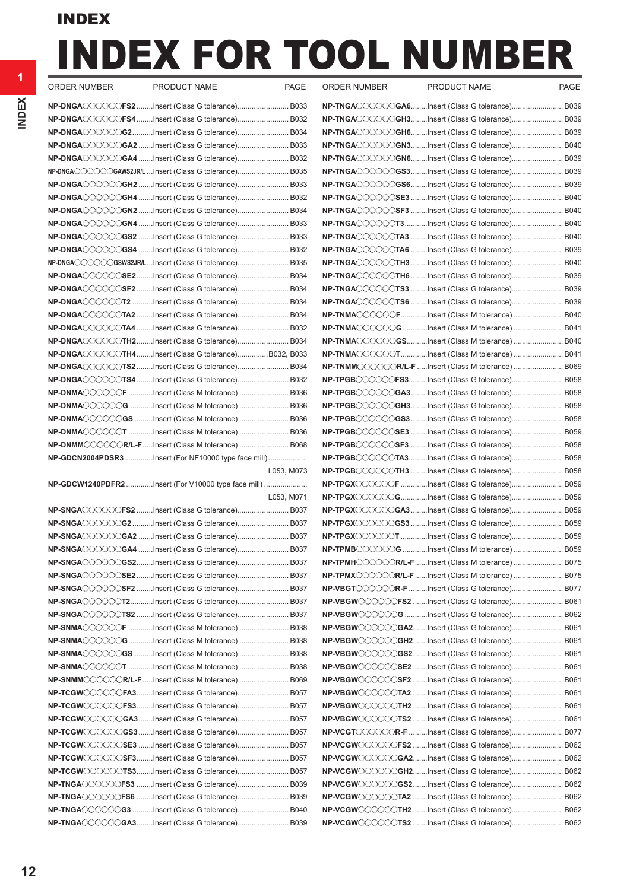# INDEX FOR TOOL NUMBER

| ORDER NUMBER<br>PRODUCT NAME                                                                                                                                                                                                                                                                                                                                                                                              | <b>PAGE</b> | ORDER NUMBER | PRODUCT NAME                                                                                                                       | <b>PAGE</b> |
|---------------------------------------------------------------------------------------------------------------------------------------------------------------------------------------------------------------------------------------------------------------------------------------------------------------------------------------------------------------------------------------------------------------------------|-------------|--------------|------------------------------------------------------------------------------------------------------------------------------------|-------------|
|                                                                                                                                                                                                                                                                                                                                                                                                                           |             |              | NP-TNGAOOOOOGA6Insert (Class G tolerance) B039                                                                                     |             |
| <b>NP-DNGA</b> ◯◯◯◯◯CFS4 Insert (Class G tolerance) B032                                                                                                                                                                                                                                                                                                                                                                  |             |              | <b>NP-TNGA◯◯◯◯◯⊙GH3Insert (Class G tolerance) B039</b>                                                                             |             |
| <b>NP-DNGA</b> 〇〇〇〇〇 <b>G2</b> Insert (Class G tolerance) B034                                                                                                                                                                                                                                                                                                                                                            |             |              | NP-TNGAOOOOOGH6Insert (Class G tolerance) B039                                                                                     |             |
| <b>NP-DNGA</b> ◯◯◯◯◯G <b>A2</b> Insert (Class G tolerance)B033                                                                                                                                                                                                                                                                                                                                                            |             |              | NP-TNGAOOOOOGN3Insert (Class G tolerance) B040                                                                                     |             |
| <b>NP-DNGA</b> ◯◯◯◯◯◯GA4 Insert (Class G tolerance) B032                                                                                                                                                                                                                                                                                                                                                                  |             |              | NP-TNGAOOOOOGN6Insert (Class G tolerance) B039                                                                                     |             |
| <b>NP-DNGA〇〇〇〇〇〇〇GAWS2JR/L</b> Insert (Class G tolerance) B035                                                                                                                                                                                                                                                                                                                                                            |             |              | NP-TNGAOOOOOGS3Insert (Class G tolerance) B039                                                                                     |             |
| <b>NP-DNGA◯◯◯◯◯⊙GH2</b> Insert (Class G tolerance) B033                                                                                                                                                                                                                                                                                                                                                                   |             |              | NP-TNGAOOOOOGS6Insert (Class G tolerance) B039                                                                                     |             |
| <b>NP-DNGA</b> ◯◯◯◯◯◯GH4 Insert (Class G tolerance)B032                                                                                                                                                                                                                                                                                                                                                                   |             |              | NP-TNGAOOOOOSE3 Insert (Class G tolerance) B040                                                                                    |             |
| <b>NP-DNGA◯◯◯◯◯◯GN2 Insert (Class G tolerance) B034</b>                                                                                                                                                                                                                                                                                                                                                                   |             |              | NP-TNGAOOOOOSF3 Insert (Class G tolerance) B040                                                                                    |             |
| <b>NP-DNGA◯◯◯◯◯⊙GN4</b> Insert (Class G tolerance) B033                                                                                                                                                                                                                                                                                                                                                                   |             |              | NP-TNGAOOOOOT3Insert (Class G tolerance) B040                                                                                      |             |
| $\mathsf{NP\text{-}DNGA}\hspace{-0.01in} \hspace{-0.01in} \mathbb{C}\hspace{-0.01in} \mathbb{C}\hspace{-0.01in} \mathbb{C}\hspace{-0.01in} \mathbb{C}\hspace{-0.01in} \mathbb{C}\hspace{-0.01in} \mathbb{C}\hspace{-0.01in} \mathbb{C}\hspace{-0.01in} \mathbb{C}\hspace{-0.01in} \mathbb{C}\hspace{-0.01in} \mathbb{C}\hspace{-0.01in} \mathbb{C}\hspace{-0.01in} \mathbb{C}\hspace{-0.01in} \mathbb{C}\hspace$          |             |              | NP-TNGAOOOOOTA3 Insert (Class G tolerance) B040                                                                                    |             |
| <b>NP-DNGA</b> ◯◯◯◯◯G <b>S4</b> Insert (Class G tolerance)B032                                                                                                                                                                                                                                                                                                                                                            |             |              | NP-TNGAOOOOOTA6 Insert (Class G tolerance) B039                                                                                    |             |
| NP-DNGA〇〇〇〇〇〇GSWS2JR/LInsert (Class G tolerance) B035                                                                                                                                                                                                                                                                                                                                                                     |             |              | NP-TNGAOOOOOTH3 Insert (Class G tolerance) B040                                                                                    |             |
| <b>NP-DNGA</b> ○○○○○SE2Insert (Class G tolerance) B034                                                                                                                                                                                                                                                                                                                                                                    |             |              | NP-TNGAOOOOOTH6 Insert (Class G tolerance) B039                                                                                    |             |
| <b>NP-DNGA</b> ◯◯◯◯◯◯SF2 Insert (Class G tolerance) B034                                                                                                                                                                                                                                                                                                                                                                  |             |              | NP-TNGAOOOOOTS3 Insert (Class G tolerance) B039                                                                                    |             |
|                                                                                                                                                                                                                                                                                                                                                                                                                           |             |              | NP-TNGAOOOOOTS6 Insert (Class G tolerance) B039                                                                                    |             |
| <b>NP-DNGA</b> ○○○○○ <b>TA2</b> Insert (Class G tolerance) B034                                                                                                                                                                                                                                                                                                                                                           |             |              | NP-TNMAOOOOOFInsert (Class M tolerance) B040                                                                                       |             |
|                                                                                                                                                                                                                                                                                                                                                                                                                           |             |              | NP-TNMAOOOOOGInsert (Class M tolerance) B041                                                                                       |             |
| <b>NP-DNGA◯◯◯◯◯◯TH2Insert (Class G tolerance) B034</b>                                                                                                                                                                                                                                                                                                                                                                    |             |              | NP-TNMAOOOOOGSInsert (Class M tolerance) B040                                                                                      |             |
|                                                                                                                                                                                                                                                                                                                                                                                                                           |             |              | NP-TNMAOOOOOTInsert (Class M tolerance) B041                                                                                       |             |
| <b>NP-DNGA</b> ○○○○○T <b>S2</b> Insert (Class G tolerance) B034                                                                                                                                                                                                                                                                                                                                                           |             |              | NP-TNMMOOOOOR/L-F Insert (Class M tolerance)  B069                                                                                 |             |
| <b>NP-DNGA</b> 〇〇〇〇〇 <b>TS4</b> Insert (Class G tolerance) B032                                                                                                                                                                                                                                                                                                                                                           |             |              | NP-TPGBOOOOOFS3Insert (Class G tolerance) B058                                                                                     |             |
| <b>NP-DNMA</b> ◯◯◯◯◯◯F Insert (Class M tolerance)  B036                                                                                                                                                                                                                                                                                                                                                                   |             |              | NP-TPGBOOOOGA3Insert (Class G tolerance) B058                                                                                      |             |
| <b>NP-DNMA</b> ◯◯◯◯◯◯ <b>G</b> Insert (Class M tolerance)  B036                                                                                                                                                                                                                                                                                                                                                           |             |              | NP-TPGBOOOOOGH3Insert (Class G tolerance) B058                                                                                     |             |
|                                                                                                                                                                                                                                                                                                                                                                                                                           |             |              | NP-TPGBOOOOOGS3 Insert (Class G tolerance) B058                                                                                    |             |
| <b>NP-DNMA</b> 〇〇〇〇〇 <b>T</b> Insert (Class M tolerance)  B036                                                                                                                                                                                                                                                                                                                                                            |             |              | NP-TPGBOOOOOSE3 Insert (Class G tolerance) B059                                                                                    |             |
|                                                                                                                                                                                                                                                                                                                                                                                                                           |             |              | NP-TPGBOOOOOSF3Insert (Class G tolerance) B058                                                                                     |             |
| <b>NP-GDCN2004PDSR3</b> Insert (For NF10000 type face mill)                                                                                                                                                                                                                                                                                                                                                               |             |              | <b>NP-TPGB</b> COOOOTA3Insert (Class G tolerance) B058                                                                             |             |
|                                                                                                                                                                                                                                                                                                                                                                                                                           | L053, M073  |              | <b>NP-TPGB</b> COOOOT <b>H3</b> Insert (Class G tolerance) B058                                                                    |             |
| NP-GDCW1240PDFR2 Insert (For V10000 type face mill)                                                                                                                                                                                                                                                                                                                                                                       |             |              | NP-TPGXOOOOOF Insert (Class G tolerance) B059                                                                                      |             |
|                                                                                                                                                                                                                                                                                                                                                                                                                           | L053, M071  |              | NP-TPGXOOOOGInsert (Class G tolerance) B059                                                                                        |             |
| <b>NP-SNGA</b> ◯◯◯◯◯◯F <b>S2</b> Insert (Class G tolerance) B037                                                                                                                                                                                                                                                                                                                                                          |             |              | NP-TPGXOOOOGA3 Insert (Class G tolerance) B059                                                                                     |             |
|                                                                                                                                                                                                                                                                                                                                                                                                                           |             |              | NP-TPGXOOOOOGS3 Insert (Class G tolerance) B059                                                                                    |             |
| <b>NP-SNGA</b> ◯◯◯◯◯◯ <b>GA2</b> Insert (Class G tolerance) B037                                                                                                                                                                                                                                                                                                                                                          |             |              | NP-TPGXOOOOOOT Insert (Class G tolerance) B059                                                                                     |             |
|                                                                                                                                                                                                                                                                                                                                                                                                                           |             |              | NP-TPMBOOOOOG Insert (Class M tolerance)  B059                                                                                     |             |
| <b>NP-SNGA</b> ◯◯◯◯◯◯G <b>S2</b> Insert (Class G tolerance) B037                                                                                                                                                                                                                                                                                                                                                          |             |              | NP-TPMHOOOOOR/L-FInsert (Class M tolerance)  B075                                                                                  |             |
| <b>NP-SNGA</b> 〇〇〇〇〇S <b>E2</b> Insert (Class G tolerance) B037                                                                                                                                                                                                                                                                                                                                                           |             |              | NP-TPMXOOOOOR/L-F Insert (Class M tolerance)  B075                                                                                 |             |
| <b>NP-SNGA</b> 〇〇〇〇〇SF2 Insert (Class G tolerance) B037                                                                                                                                                                                                                                                                                                                                                                   |             |              | NP-VBGTOOOOOR-F Insert (Class G tolerance) B077                                                                                    |             |
| NP-SNGA〇〇〇〇〇〇T2Insert (Class G tolerance) B037                                                                                                                                                                                                                                                                                                                                                                            |             |              | NP-VBGWOOOOOFS2 Insert (Class G tolerance) B061                                                                                    |             |
| NP-SNGA〇〇〇〇〇〇TS2 Insert (Class G tolerance) B037                                                                                                                                                                                                                                                                                                                                                                          |             |              | NP-VBGWOOOOOG Insert (Class G tolerance) B062                                                                                      |             |
| NP-SNMA〇〇〇〇〇厂 Insert (Class M tolerance)  B038                                                                                                                                                                                                                                                                                                                                                                            |             |              | NP-VBGWOOOOOGA2Insert (Class G tolerance) B061                                                                                     |             |
|                                                                                                                                                                                                                                                                                                                                                                                                                           |             |              | NP-VBGWOOOOOGH2Insert (Class G tolerance) B061                                                                                     |             |
| <b>NP-SNMA</b> ○○○○○ <b>GS</b> Insert (Class M tolerance)  B038                                                                                                                                                                                                                                                                                                                                                           |             |              | NP-VBGWOOOOOGS2Insert (Class G tolerance) B061<br>NP-VBGWOOOOOSE2 Insert (Class G tolerance) B061                                  |             |
| <b>NP-SNMM◯◯◯◯◯◯R/L-F</b> Insert (Class M tolerance)  B069                                                                                                                                                                                                                                                                                                                                                                |             |              | NP-VBGWOOOOOSF2 Insert (Class G tolerance) B061                                                                                    |             |
| $\mathsf{NP}\text{-}\mathsf{TCGW}\hspace{-.02in}\circlearrowright\hspace{-.02in}.\hspace{-.02in}C\hspace{-.02in}.\hspace{-.02in}C\hspace{-.02in}.\hspace{-.02in}P\mathsf{A}3\hspace{-.02in}.\hspace{-.02in}.\hspace{-.02in}1.0\text{meV}\hspace{-.02in}(\mathsf{Class}\hspace{.02in}G\text{ tolerance})\hspace{-.02in}.\hspace{-.02in}.\hspace{-.02in}1.0\ldots\ldots\ldots\ldots\ldots\hspace{-.02in}.\hspace{-.02in}1.$ |             |              | NP-VBGWOOOOOTA2 Insert (Class G tolerance) B061                                                                                    |             |
| <b>NP-TCGW</b> ◯◯◯◯◯ <b>FS3Insert (Class G tolerance) B057</b>                                                                                                                                                                                                                                                                                                                                                            |             |              |                                                                                                                                    |             |
|                                                                                                                                                                                                                                                                                                                                                                                                                           |             |              | <b>NP-VBGW</b> ◯◯◯◯◯ <b>TH2</b> Insert (Class G tolerance) B061<br><b>NP-VBGW</b> ◯◯◯◯◯ <b>TS2</b> Insert (Class G tolerance) B061 |             |
|                                                                                                                                                                                                                                                                                                                                                                                                                           |             |              | NP-VCGTOOOOOR-F Insert (Class G tolerance) B077                                                                                    |             |
| <code>NP-TCGW</code> ◯◯◯◯◯SE3 Insert (Class G tolerance) B057                                                                                                                                                                                                                                                                                                                                                             |             |              | NP-VCGWOOOOOFS2 Insert (Class G tolerance) B062                                                                                    |             |
| <code>NP-TCGW</code> ◯◯◯◯◯SF3Insert (Class G tolerance) B057                                                                                                                                                                                                                                                                                                                                                              |             |              | NP-VCGW COOOGA2Insert (Class G tolerance) B062                                                                                     |             |
| <b>NP-TCGW</b> ◯◯◯◯◯ <b>TS3Insert (Class G tolerance) B057</b>                                                                                                                                                                                                                                                                                                                                                            |             |              | NP-VCGWOOOOOGH2Insert (Class G tolerance) B062                                                                                     |             |
| <b>NP-TNGA</b> ◯◯◯◯◯CFS3 Insert (Class G tolerance) B039                                                                                                                                                                                                                                                                                                                                                                  |             |              | NP-VCGWOOOOOGS2Insert (Class G tolerance) B062                                                                                     |             |
| <b>NP-TNGA</b> ◯◯◯◯◯CFS6 Insert (Class G tolerance) B039                                                                                                                                                                                                                                                                                                                                                                  |             |              | NP-VCGWOOOOOTA2 Insert (Class G tolerance) B062                                                                                    |             |
|                                                                                                                                                                                                                                                                                                                                                                                                                           |             |              | NP-VCGWOOOOOTH2 Insert (Class G tolerance) B062                                                                                    |             |
|                                                                                                                                                                                                                                                                                                                                                                                                                           |             |              |                                                                                                                                    |             |

**NP-TNGA**oooooo**GA3**........Insert (Class G tolerance)......................... B039 **NP-VCGW**oooooo**TS2** .......Insert (Class G tolerance)......................... B062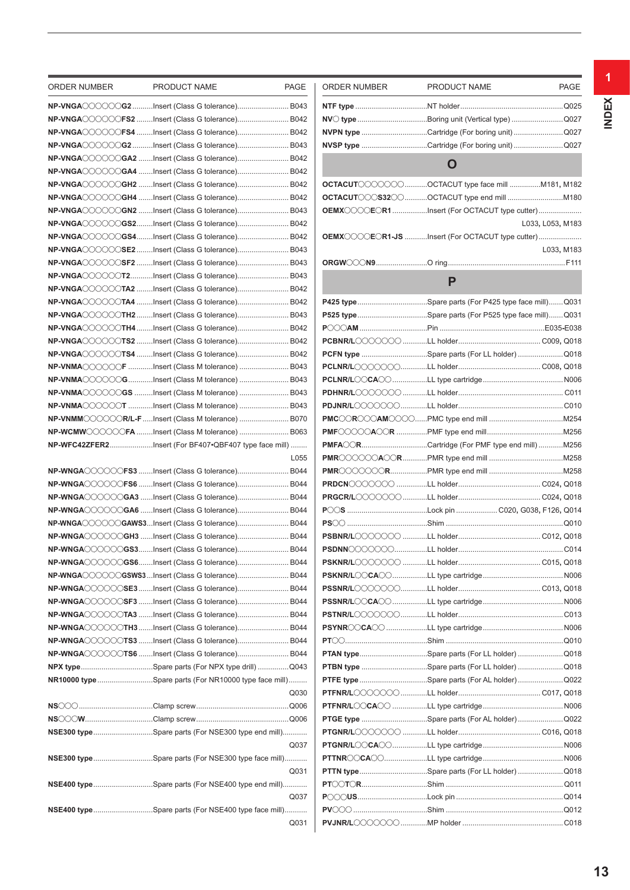| ORDER NUMBER | PRODUCT NAME                                            | PAGE | ORDER NUMBER | PRODUCT NAME                                          | <b>PAGE</b>      |
|--------------|---------------------------------------------------------|------|--------------|-------------------------------------------------------|------------------|
|              | NP-VNGAOOOOOG2Insert (Class G tolerance) B043           |      |              |                                                       |                  |
|              | NP-VNGAOOOOOFS2 Insert (Class G tolerance) B042         |      |              |                                                       |                  |
|              | NP-VNGAOOOOOFS4 Insert (Class G tolerance) B042         |      |              | NVPN type Cartridge (For boring unit) Q027            |                  |
|              | NP-VNGA COOOG2Insert (Class G tolerance) B043           |      |              | NVSP type Cartridge (For boring unit) Q027            |                  |
|              | NP-VNGAOOOOOGA2 Insert (Class G tolerance) B042         |      |              |                                                       |                  |
|              | NP-VNGA COOOGA4 Insert (Class G tolerance) B042         |      |              | O                                                     |                  |
|              | NP-VNGAOOOOOGH2 Insert (Class G tolerance) B042         |      |              | <b>OCTACUT</b> OOOOOOCTACUT type face mill M181, M182 |                  |
|              | NP-VNGA COOOCGH4 Insert (Class G tolerance) B042        |      |              |                                                       |                  |
|              | NP-VNGAOOOOOGN2 Insert (Class G tolerance) B043         |      |              | OEMXOOOEOR1Insert (For OCTACUT type cutter)           |                  |
|              | NP-VNGAOOOOOGS2Insert (Class G tolerance) B042          |      |              |                                                       | L033, L053, M183 |
|              | NP-VNGAOOOOOGS4Insert (Class G tolerance) B042          |      |              | OEMXOOOEOR1-JS Insert (For OCTACUT type cutter)       |                  |
|              | NP-VNGAOOOOOSE2Insert (Class G tolerance) B043          |      |              |                                                       | L033, M183       |
|              | NP-VNGAOOOOOSF2 Insert (Class G tolerance) B043         |      |              |                                                       |                  |
|              | NP-VNGAOOOOOT2Insert (Class G tolerance) B043           |      |              |                                                       |                  |
|              | NP-VNGAOOOOOTA2 Insert (Class G tolerance) B042         |      |              | P                                                     |                  |
|              | NP-VNGAOOOOOTA4 Insert (Class G tolerance) B042         |      |              | P425 typeSpare parts (For P425 type face mill)Q03     |                  |
|              | NP-VNGAOOOOOTH2Insert (Class G tolerance) B043          |      |              | P525 typeSpare parts (For P525 type face mill)Q03     |                  |
|              | NP-VNGAOOOOOTH4 Insert (Class G tolerance) B042         |      |              |                                                       |                  |
|              | NP-VNGAOOOOOTS2 Insert (Class G tolerance) B042         |      |              |                                                       |                  |
|              | NP-VNGAOOOOOTS4 Insert (Class G tolerance) B042         |      |              | PCFN type Spare parts (For LL holder) Q018            |                  |
|              | NP-VNMAOOOOOF Insert (Class M tolerance)  B043          |      |              |                                                       |                  |
|              | NP-VNMAOOOOOGInsert (Class M tolerance) B043            |      |              |                                                       |                  |
|              | <b>NP-VNMA</b> CCOCCGS Insert (Class M tolerance)  B043 |      |              |                                                       |                  |
|              | NP-VNMA COOOOT Insert (Class M tolerance)  B043         |      |              |                                                       |                  |
|              | NP-VNMM COOOOR/L-F  Insert (Class M tolerance)  B070    |      |              |                                                       |                  |
|              | NP-WCMWOOOOOFA Insert (Class M tolerance)  B063         |      |              |                                                       |                  |
|              | NP-WFC42ZFER2Insert (For BF407.QBF407 type face mill)   |      |              | PMFA CRCartridge (For PMF type end mill)M256          |                  |
|              |                                                         | L055 |              |                                                       |                  |
|              | NP-WNGAOOOOOFS3 Insert (Class G tolerance) B044         |      |              |                                                       |                  |
|              |                                                         |      |              |                                                       |                  |
|              | NP-WNGAOOOOOFS6 Insert (Class G tolerance) B044         |      |              |                                                       |                  |
|              | NP-WNGAOOOOOGA3 Insert (Class G tolerance) B044         |      |              |                                                       |                  |
|              | NP-WNGAOOOOOGA6 Insert (Class G tolerance) B044         |      |              |                                                       |                  |
|              | NP-WNGAOOOOOGAWS3Insert (Class G tolerance) B044        |      |              |                                                       |                  |
|              | NP-WNGAOOOOOGH3 Insert (Class G tolerance) B044         |      |              |                                                       |                  |
|              | NP-WNGAOOOOGS3Insert (Class G tolerance) B044           |      |              |                                                       |                  |
|              | NP-WNGAOOOOGS6Insert (Class G tolerance) B044           |      |              |                                                       |                  |
|              | NP-WNGA◯◯◯◯◯GSWS3Insert (Class G tolerance) B044        |      |              |                                                       |                  |
|              | NP-WNGAOOOOSE3Insert (Class G tolerance) B044           |      |              |                                                       |                  |
|              | NP-WNGAOOOOOSF3 Insert (Class G tolerance) B044         |      |              |                                                       |                  |
|              | NP-WNGA◯◯◯◯◯TA3 Insert (Class G tolerance) B044         |      |              |                                                       |                  |
|              | NP-WNGAOOOOOTH3Insert (Class G tolerance) B044          |      |              |                                                       |                  |
|              | NP-WNGA〇〇〇〇〇TS3 Insert (Class G tolerance) B044         |      |              |                                                       |                  |
|              | NP-WNGAOOOOOTS6 Insert (Class G tolerance) B044         |      |              | PTAN typeSpare parts (For LL holder) Q018             |                  |
|              | NPX typeSpare parts (For NPX type drill) Q043           |      |              | PTBN type Spare parts (For LL holder) Q018            |                  |
|              | NR10000 type Spare parts (For NR10000 type face mill)   |      |              | PTFE type Spare parts (For AL holder) Q022            |                  |
|              |                                                         | Q030 |              |                                                       |                  |
|              |                                                         |      |              |                                                       |                  |
|              |                                                         |      |              | PTGE type Spare parts (For AL holder) Q022            |                  |
|              | NSE300 typeSpare parts (For NSE300 type end mill)       |      |              |                                                       |                  |
|              |                                                         | Q037 |              |                                                       |                  |
|              | NSE300 typeSpare parts (For NSE300 type face mill)      |      |              |                                                       |                  |
|              |                                                         | Q031 |              | PTTN typeSpare parts (For LL holder) Q018             |                  |
|              | NSE400 typeSpare parts (For NSE400 type end mill)       |      |              |                                                       |                  |
|              |                                                         | Q037 |              |                                                       |                  |
|              | NSE400 typeSpare parts (For NSE400 type face mill)      |      |              |                                                       |                  |
|              |                                                         | Q031 |              |                                                       |                  |

| ORDER NUMBER | PRODUCT NAME                                                                                                                                                                                                                                                                                                                                                                                                                                                                                                                                              | PAGE             |
|--------------|-----------------------------------------------------------------------------------------------------------------------------------------------------------------------------------------------------------------------------------------------------------------------------------------------------------------------------------------------------------------------------------------------------------------------------------------------------------------------------------------------------------------------------------------------------------|------------------|
|              |                                                                                                                                                                                                                                                                                                                                                                                                                                                                                                                                                           |                  |
|              | NV Ctype Boring unit (Vertical type) Q027                                                                                                                                                                                                                                                                                                                                                                                                                                                                                                                 |                  |
|              | NVPN type Cartridge (For boring unit) Q027                                                                                                                                                                                                                                                                                                                                                                                                                                                                                                                |                  |
|              | NVSP type Cartridge (For boring unit) Q027                                                                                                                                                                                                                                                                                                                                                                                                                                                                                                                |                  |
|              |                                                                                                                                                                                                                                                                                                                                                                                                                                                                                                                                                           |                  |
|              | O                                                                                                                                                                                                                                                                                                                                                                                                                                                                                                                                                         |                  |
|              | $\mathsf{OCTACUT}$ $\circlearrowright$ $\circlearrowright$ $\circlearrowright$ $\circlearrowright$ $\circlearrowright$ $\circlearrowright$ $\circlearrowright$ are $\circlearrowright$ $\circlearrowright$ $\circlearrowright$ $\circlearrowright$ $\circlearrowright$ $\circlearrowright$ $\circlearrowright$ $\circlearrowright$ $\circlearrowright$ $\circlearrowright$ $\circlearrowright$ $\circlearrowright$ $\circlearrowright$ $\circlearrowright$ $\circlearrowright$ $\circlearrowright$ $\circlearrowright$ $\circlearrowright$ $\circlearrow$ |                  |
|              |                                                                                                                                                                                                                                                                                                                                                                                                                                                                                                                                                           |                  |
|              | OEMXOOOEOR1Insert (For OCTACUT type cutter)                                                                                                                                                                                                                                                                                                                                                                                                                                                                                                               |                  |
|              |                                                                                                                                                                                                                                                                                                                                                                                                                                                                                                                                                           | L033, L053, M183 |
|              | OEMXCOOECR1-JS Insert (For OCTACUT type cutter)                                                                                                                                                                                                                                                                                                                                                                                                                                                                                                           |                  |
|              |                                                                                                                                                                                                                                                                                                                                                                                                                                                                                                                                                           | L033, M183       |
|              |                                                                                                                                                                                                                                                                                                                                                                                                                                                                                                                                                           |                  |
|              | Р                                                                                                                                                                                                                                                                                                                                                                                                                                                                                                                                                         |                  |
|              |                                                                                                                                                                                                                                                                                                                                                                                                                                                                                                                                                           |                  |
|              | P425 typeSpare parts (For P425 type face mill)Q031                                                                                                                                                                                                                                                                                                                                                                                                                                                                                                        |                  |
|              | P525 typeSpare parts (For P525 type face mill)Q031                                                                                                                                                                                                                                                                                                                                                                                                                                                                                                        |                  |
|              |                                                                                                                                                                                                                                                                                                                                                                                                                                                                                                                                                           |                  |
|              |                                                                                                                                                                                                                                                                                                                                                                                                                                                                                                                                                           |                  |
|              | PCFN type Spare parts (For LL holder) Q018                                                                                                                                                                                                                                                                                                                                                                                                                                                                                                                |                  |
|              |                                                                                                                                                                                                                                                                                                                                                                                                                                                                                                                                                           |                  |
|              |                                                                                                                                                                                                                                                                                                                                                                                                                                                                                                                                                           |                  |
|              |                                                                                                                                                                                                                                                                                                                                                                                                                                                                                                                                                           |                  |
|              |                                                                                                                                                                                                                                                                                                                                                                                                                                                                                                                                                           |                  |
|              |                                                                                                                                                                                                                                                                                                                                                                                                                                                                                                                                                           |                  |
|              |                                                                                                                                                                                                                                                                                                                                                                                                                                                                                                                                                           |                  |
|              | PMFA CRCartridge (For PMF type end mill)M256                                                                                                                                                                                                                                                                                                                                                                                                                                                                                                              |                  |
|              |                                                                                                                                                                                                                                                                                                                                                                                                                                                                                                                                                           |                  |
|              |                                                                                                                                                                                                                                                                                                                                                                                                                                                                                                                                                           |                  |
|              |                                                                                                                                                                                                                                                                                                                                                                                                                                                                                                                                                           |                  |
|              |                                                                                                                                                                                                                                                                                                                                                                                                                                                                                                                                                           |                  |
|              |                                                                                                                                                                                                                                                                                                                                                                                                                                                                                                                                                           |                  |
|              | PS〇〇………………………………………Shim ………………………………………………………………………Q010                                                                                                                                                                                                                                                                                                                                                                                                                                                                                                   |                  |
|              |                                                                                                                                                                                                                                                                                                                                                                                                                                                                                                                                                           |                  |
|              |                                                                                                                                                                                                                                                                                                                                                                                                                                                                                                                                                           |                  |
|              |                                                                                                                                                                                                                                                                                                                                                                                                                                                                                                                                                           |                  |
|              |                                                                                                                                                                                                                                                                                                                                                                                                                                                                                                                                                           |                  |
|              |                                                                                                                                                                                                                                                                                                                                                                                                                                                                                                                                                           |                  |
|              |                                                                                                                                                                                                                                                                                                                                                                                                                                                                                                                                                           |                  |
|              |                                                                                                                                                                                                                                                                                                                                                                                                                                                                                                                                                           |                  |
|              |                                                                                                                                                                                                                                                                                                                                                                                                                                                                                                                                                           |                  |
|              | PT〇〇………………………………………Shim ……………………………………………………………………Q010                                                                                                                                                                                                                                                                                                                                                                                                                                                                                                    |                  |
|              | PTAN typeSpare parts (For LL holder) Q018                                                                                                                                                                                                                                                                                                                                                                                                                                                                                                                 |                  |
|              | PTBN type Spare parts (For LL holder) Q018                                                                                                                                                                                                                                                                                                                                                                                                                                                                                                                |                  |
|              | PTFE type Spare parts (For AL holder) Q022                                                                                                                                                                                                                                                                                                                                                                                                                                                                                                                |                  |
|              |                                                                                                                                                                                                                                                                                                                                                                                                                                                                                                                                                           |                  |
|              |                                                                                                                                                                                                                                                                                                                                                                                                                                                                                                                                                           |                  |
|              | PTGE type Spare parts (For AL holder) Q022                                                                                                                                                                                                                                                                                                                                                                                                                                                                                                                |                  |
|              |                                                                                                                                                                                                                                                                                                                                                                                                                                                                                                                                                           |                  |
|              |                                                                                                                                                                                                                                                                                                                                                                                                                                                                                                                                                           |                  |
|              |                                                                                                                                                                                                                                                                                                                                                                                                                                                                                                                                                           |                  |
|              | PTTN typeSpare parts (For LL holder) Q018                                                                                                                                                                                                                                                                                                                                                                                                                                                                                                                 |                  |
|              |                                                                                                                                                                                                                                                                                                                                                                                                                                                                                                                                                           |                  |
|              |                                                                                                                                                                                                                                                                                                                                                                                                                                                                                                                                                           |                  |
|              |                                                                                                                                                                                                                                                                                                                                                                                                                                                                                                                                                           |                  |
|              |                                                                                                                                                                                                                                                                                                                                                                                                                                                                                                                                                           |                  |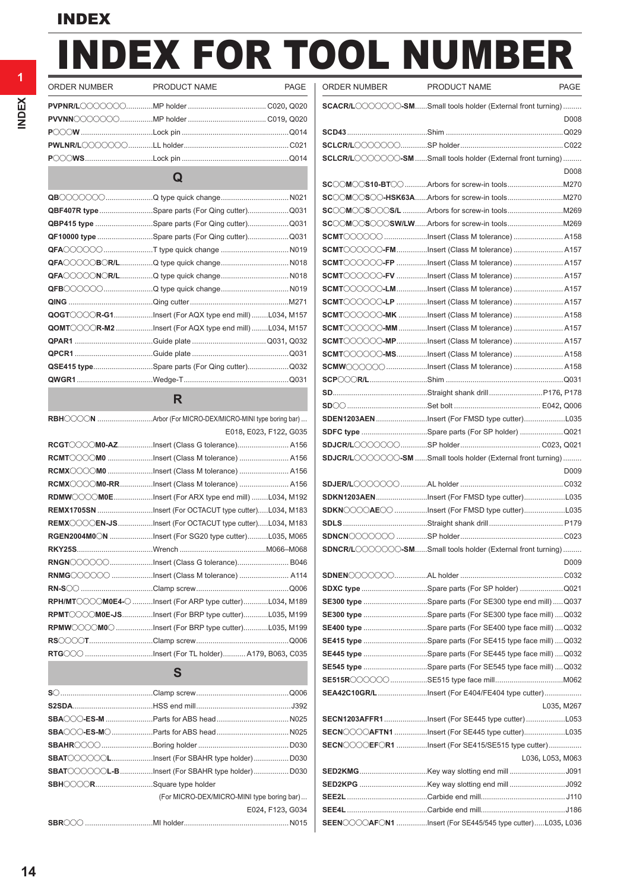# INDEX FOR TOOL NUMBER

 $\overline{\phantom{a}}$ 

**1**

### ORDER NUMBER PRODUCT NAME PAGE | O **PVPNR/L**ooooooo.............MP holder ...................................... C020**,** Q020 **PVVNN**ooooooo................MP holder ...................................... C019**,** Q020 **P**ooo**W** ...................................Lock pin ....................................................Q014 **PWLNR/L**ooooooo............LL holder...................................................C021 **P**ooo**WS**.................................Lock pin ....................................................Q014 **Q QB**ooooooo.......................Q type quick change.................................N021 **QBF407R type**..........................Spare parts (For Qing cutter)....................Q031 **QBP415 type** ............................Spare parts (For Qing cutter)....................Q031 **QF10000 type** ...........................Spare parts (For Qing cutter)....................Q031 **QFA**oooooo........................T type quick change .................................N019 **QFA**ooooo**B**o**R/L**................Q type quick change.................................N018 **QFA**ooooo**N**o**R/L**................Q type quick change.................................N018 **QFB**oooooo........................Q type quick change.................................N019

| $\mathsf{QOGT}$ $\circ$ $\circ$ $\circ$ $\mathsf{R}\textrm{-}\mathsf{G}$ 1Insert (For AQX type end mill)L034, M157 |  |
|--------------------------------------------------------------------------------------------------------------------|--|
| $\mathsf{QOMT}$ $\circ$ $\circ$ $\circ$ $\mathsf{R}\textrm{-}$ M2 Insert (For AQX type end mill)L034, M157         |  |
|                                                                                                                    |  |
|                                                                                                                    |  |
| QSE415 typeSpare parts (For Qing cutter)Q032                                                                       |  |
|                                                                                                                    |  |

#### **R**

| RBHOOON Arbor (For MICRO-DEX/MICRO-MINI type boring bar) |
|----------------------------------------------------------|
| E018, E023, F122, G035                                   |
| RCGTOOOM0-AZInsert (Class G tolerance) A156              |
| RCMT COOM0 Insert (Class M tolerance)  A156              |
| RCMX COOM0 Insert (Class M tolerance)  A156              |
| RCMX COOM0-RRInsert (Class M tolerance)  A156            |
| RDMWOOOM0EInsert (For ARX type end mill)L034, M192       |
| REMX1705SN Insert (For OCTACUT type cutter)L034, M183    |
| REMXOOOEN-JSInsert (For OCTACUT type cutter)L034, M183   |
| RGEN2004M0 ON Insert (For SG20 type cutter)L035, M065    |
|                                                          |
| RNGNOOOOOInsert (Class G tolerance) B046                 |
| RNMGOOOOO Insert (Class M tolerance)  A114               |
|                                                          |
| RPH/MTOOOOM0E4-O Insert (For ARP type cutter)L034, M189  |
| RPMT COOMOE-JSInsert (For BRP type cutter)L035, M199     |
| RPMWCOCOMOC Insert (For BRP type cutter)L035, M199       |
|                                                          |
|                                                          |

#### **S**

| SBAT COOCOLInsert (For SBAHR type holder) D030  |                                            |
|-------------------------------------------------|--------------------------------------------|
| SBAT COOCCL-BInsert (For SBAHR type holder)D030 |                                            |
| SBHOOORSquare type holder                       |                                            |
|                                                 | (For MICRO-DEX/MICRO-MINI type boring bar) |
|                                                 | E024, F123, G034                           |
|                                                 |                                            |

| ORDER NUMBER | <b>PRODUCT NAME</b>                                                                                                                                                                                                                                                                                                                                                                                                                                                                                                                                                                                                                                                                                                                                                                                  | <b>PAGE</b>      |
|--------------|------------------------------------------------------------------------------------------------------------------------------------------------------------------------------------------------------------------------------------------------------------------------------------------------------------------------------------------------------------------------------------------------------------------------------------------------------------------------------------------------------------------------------------------------------------------------------------------------------------------------------------------------------------------------------------------------------------------------------------------------------------------------------------------------------|------------------|
|              | SCACR/LOOOOOO-SMSmall tools holder (External front turning)                                                                                                                                                                                                                                                                                                                                                                                                                                                                                                                                                                                                                                                                                                                                          |                  |
|              |                                                                                                                                                                                                                                                                                                                                                                                                                                                                                                                                                                                                                                                                                                                                                                                                      | D008             |
|              |                                                                                                                                                                                                                                                                                                                                                                                                                                                                                                                                                                                                                                                                                                                                                                                                      |                  |
|              |                                                                                                                                                                                                                                                                                                                                                                                                                                                                                                                                                                                                                                                                                                                                                                                                      |                  |
|              | SCLCR/LOOOOOO-SM Small tools holder (External front turning)                                                                                                                                                                                                                                                                                                                                                                                                                                                                                                                                                                                                                                                                                                                                         | D <sub>008</sub> |
|              |                                                                                                                                                                                                                                                                                                                                                                                                                                                                                                                                                                                                                                                                                                                                                                                                      |                  |
|              |                                                                                                                                                                                                                                                                                                                                                                                                                                                                                                                                                                                                                                                                                                                                                                                                      |                  |
|              |                                                                                                                                                                                                                                                                                                                                                                                                                                                                                                                                                                                                                                                                                                                                                                                                      |                  |
|              |                                                                                                                                                                                                                                                                                                                                                                                                                                                                                                                                                                                                                                                                                                                                                                                                      |                  |
|              |                                                                                                                                                                                                                                                                                                                                                                                                                                                                                                                                                                                                                                                                                                                                                                                                      |                  |
|              | SCMT COOOO-FMInsert (Class M tolerance)  A157                                                                                                                                                                                                                                                                                                                                                                                                                                                                                                                                                                                                                                                                                                                                                        |                  |
|              | SCMT COOOO-FP Insert (Class M tolerance)  A157                                                                                                                                                                                                                                                                                                                                                                                                                                                                                                                                                                                                                                                                                                                                                       |                  |
|              | $\mathsf{SCMT}\text{-}\text{C}\text{-}\text{C}\text{-}\text{FV}$ Insert (Class M tolerance)  A157                                                                                                                                                                                                                                                                                                                                                                                                                                                                                                                                                                                                                                                                                                    |                  |
|              | SCMT COOOO-LM Insert (Class M tolerance)  A157                                                                                                                                                                                                                                                                                                                                                                                                                                                                                                                                                                                                                                                                                                                                                       |                  |
|              | SCMT COOOO-LP Insert (Class M tolerance)  A157                                                                                                                                                                                                                                                                                                                                                                                                                                                                                                                                                                                                                                                                                                                                                       |                  |
|              | SCMT COOOO-MK Insert (Class M tolerance)  A158                                                                                                                                                                                                                                                                                                                                                                                                                                                                                                                                                                                                                                                                                                                                                       |                  |
|              | SCMT COOOO-MM Insert (Class M tolerance)  A157                                                                                                                                                                                                                                                                                                                                                                                                                                                                                                                                                                                                                                                                                                                                                       |                  |
|              | SCMT COOOO-MPInsert (Class M tolerance)  A157                                                                                                                                                                                                                                                                                                                                                                                                                                                                                                                                                                                                                                                                                                                                                        |                  |
|              |                                                                                                                                                                                                                                                                                                                                                                                                                                                                                                                                                                                                                                                                                                                                                                                                      |                  |
|              | SCMT COOOO-MSInsert (Class M tolerance)  A158                                                                                                                                                                                                                                                                                                                                                                                                                                                                                                                                                                                                                                                                                                                                                        |                  |
|              | $\textsf{SCMW} \textcirclearrowright \textcirclearrowleft \textcirclearrowright \textcirclearrowleft \textcirclearrowleft \textcirclearrowleft \textcirclearrowleft \textcirclearrowleft \textcirclearrowleft \textcirclearrowright \textcirclearrowleft \textcirclearrowleft \textcirclearrowright \textcirclearrowleft \textcirclearrowleft \textcirclearrowright \textcirclearrowleft \textcirclearrowleft \textcirclearrowleft \textcirclearrowright \textcirclearrowright \textcirclearrowleft \textcirclearrowleft \textcirclearrowright \textcirclearrowleft \textcirclearrowleft \textcirclearrowleft \textcirclearrowright \textcirclearrowleft \textcirclearrowright \textcirclearrowleft \textcirclearrowright \textcirclearrowleft \textcirclearrowright \textcirclearrowleft \textcirc$ |                  |
|              |                                                                                                                                                                                                                                                                                                                                                                                                                                                                                                                                                                                                                                                                                                                                                                                                      |                  |
|              |                                                                                                                                                                                                                                                                                                                                                                                                                                                                                                                                                                                                                                                                                                                                                                                                      |                  |
|              |                                                                                                                                                                                                                                                                                                                                                                                                                                                                                                                                                                                                                                                                                                                                                                                                      |                  |
|              | SDEN1203AENInsert (For FMSD type cutter)L035                                                                                                                                                                                                                                                                                                                                                                                                                                                                                                                                                                                                                                                                                                                                                         |                  |
|              | SDFC type Spare parts (For SP holder) Q021                                                                                                                                                                                                                                                                                                                                                                                                                                                                                                                                                                                                                                                                                                                                                           |                  |
|              |                                                                                                                                                                                                                                                                                                                                                                                                                                                                                                                                                                                                                                                                                                                                                                                                      |                  |
|              | SDJCR/LOOOOOO-SM Small tools holder (External front turning)                                                                                                                                                                                                                                                                                                                                                                                                                                                                                                                                                                                                                                                                                                                                         | D <sub>009</sub> |
|              |                                                                                                                                                                                                                                                                                                                                                                                                                                                                                                                                                                                                                                                                                                                                                                                                      |                  |
|              | SDKN1203AENInsert (For FMSD type cutter)L035                                                                                                                                                                                                                                                                                                                                                                                                                                                                                                                                                                                                                                                                                                                                                         |                  |
|              | SDKNOOOAEOO Insert (For FMSD type cutter)L035                                                                                                                                                                                                                                                                                                                                                                                                                                                                                                                                                                                                                                                                                                                                                        |                  |
|              |                                                                                                                                                                                                                                                                                                                                                                                                                                                                                                                                                                                                                                                                                                                                                                                                      |                  |
|              |                                                                                                                                                                                                                                                                                                                                                                                                                                                                                                                                                                                                                                                                                                                                                                                                      |                  |
|              | ${\tt SDNCR/L}$ $\circ$ $\circ$ $\circ$ $\circ$ $\circ$ $\bullet$ $\mathbf{S}\mathbf{M}$ Small tools holder (External front turning)                                                                                                                                                                                                                                                                                                                                                                                                                                                                                                                                                                                                                                                                 |                  |
|              |                                                                                                                                                                                                                                                                                                                                                                                                                                                                                                                                                                                                                                                                                                                                                                                                      | D <sub>009</sub> |
|              |                                                                                                                                                                                                                                                                                                                                                                                                                                                                                                                                                                                                                                                                                                                                                                                                      |                  |
|              | SDXC type Spare parts (For SP holder) Q021                                                                                                                                                                                                                                                                                                                                                                                                                                                                                                                                                                                                                                                                                                                                                           |                  |
|              | <b>SE300 type</b> Spare parts (For SE300 type end mill)Q037                                                                                                                                                                                                                                                                                                                                                                                                                                                                                                                                                                                                                                                                                                                                          |                  |
|              | SE300 type Spare parts (For SE300 type face mill) Q032                                                                                                                                                                                                                                                                                                                                                                                                                                                                                                                                                                                                                                                                                                                                               |                  |
|              | <b>SE400 type</b> Spare parts (For SE400 type face mill) Q032                                                                                                                                                                                                                                                                                                                                                                                                                                                                                                                                                                                                                                                                                                                                        |                  |
|              | SE415 type Spare parts (For SE415 type face mill) Q032                                                                                                                                                                                                                                                                                                                                                                                                                                                                                                                                                                                                                                                                                                                                               |                  |
|              | <b>SE445 type</b> Spare parts (For SE445 type face mill) Q032                                                                                                                                                                                                                                                                                                                                                                                                                                                                                                                                                                                                                                                                                                                                        |                  |
|              | <b>SE545 type</b> Spare parts (For SE545 type face mill) Q032                                                                                                                                                                                                                                                                                                                                                                                                                                                                                                                                                                                                                                                                                                                                        |                  |
|              |                                                                                                                                                                                                                                                                                                                                                                                                                                                                                                                                                                                                                                                                                                                                                                                                      |                  |
|              | SEA42C10GR/LInsert (For E404/FE404 type cutter)                                                                                                                                                                                                                                                                                                                                                                                                                                                                                                                                                                                                                                                                                                                                                      |                  |
|              |                                                                                                                                                                                                                                                                                                                                                                                                                                                                                                                                                                                                                                                                                                                                                                                                      | L035, M267       |
|              |                                                                                                                                                                                                                                                                                                                                                                                                                                                                                                                                                                                                                                                                                                                                                                                                      |                  |
|              | $\mathsf{SECN}$ $\circ$ $\circ$ $\circ$ $\mathsf{AFTN1}$ Insert (For SE445 type cutter)L035                                                                                                                                                                                                                                                                                                                                                                                                                                                                                                                                                                                                                                                                                                          |                  |
|              | SECN COOLEFOR1 Insert (For SE415/SE515 type cutter)                                                                                                                                                                                                                                                                                                                                                                                                                                                                                                                                                                                                                                                                                                                                                  |                  |
|              |                                                                                                                                                                                                                                                                                                                                                                                                                                                                                                                                                                                                                                                                                                                                                                                                      |                  |
|              |                                                                                                                                                                                                                                                                                                                                                                                                                                                                                                                                                                                                                                                                                                                                                                                                      | L036, L053, M063 |
|              |                                                                                                                                                                                                                                                                                                                                                                                                                                                                                                                                                                                                                                                                                                                                                                                                      |                  |
|              | <b>SED2KPG</b> Key way slotting end mill J092                                                                                                                                                                                                                                                                                                                                                                                                                                                                                                                                                                                                                                                                                                                                                        |                  |
|              |                                                                                                                                                                                                                                                                                                                                                                                                                                                                                                                                                                                                                                                                                                                                                                                                      |                  |
|              |                                                                                                                                                                                                                                                                                                                                                                                                                                                                                                                                                                                                                                                                                                                                                                                                      |                  |
|              | SEEN COOAFON1 Insert (For SE445/545 type cutter)L035, L036                                                                                                                                                                                                                                                                                                                                                                                                                                                                                                                                                                                                                                                                                                                                           |                  |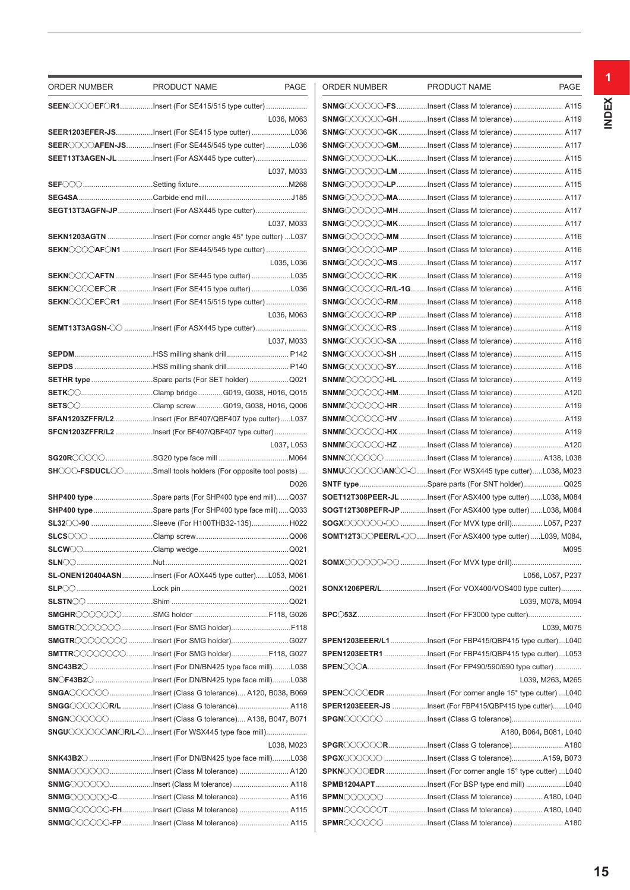| ORDER NUMBER         | PRODUCT NAME<br>PAGE                                                                                                                                                                                                                                                                                                                                                                                                                                                    | ORDER NUMBER | PRODUCT NAME                                                                                                                                                                                                                    | <b>PAGE</b>            |
|----------------------|-------------------------------------------------------------------------------------------------------------------------------------------------------------------------------------------------------------------------------------------------------------------------------------------------------------------------------------------------------------------------------------------------------------------------------------------------------------------------|--------------|---------------------------------------------------------------------------------------------------------------------------------------------------------------------------------------------------------------------------------|------------------------|
|                      |                                                                                                                                                                                                                                                                                                                                                                                                                                                                         |              | SNMGOOOOO-FSInsert (Class M tolerance)  A11                                                                                                                                                                                     |                        |
|                      | L036, M063                                                                                                                                                                                                                                                                                                                                                                                                                                                              |              | SNMG COOOO-GH Insert (Class M tolerance)  A119                                                                                                                                                                                  |                        |
|                      | SEER1203EFER-JSInsert (For SE415 type cutter)L036                                                                                                                                                                                                                                                                                                                                                                                                                       |              | SNMGOOOOO-GKInsert (Class M tolerance)  A11                                                                                                                                                                                     |                        |
|                      | SEER COOAFEN-JSInsert (For SE445/545 type cutter)L036                                                                                                                                                                                                                                                                                                                                                                                                                   |              | SNMG COOOO-GMInsert (Class M tolerance)  A11                                                                                                                                                                                    |                        |
|                      | SEET13T3AGEN-JL Insert (For ASX445 type cutter)                                                                                                                                                                                                                                                                                                                                                                                                                         |              | SNMGOOOOO-LKInsert (Class M tolerance)  A11                                                                                                                                                                                     |                        |
|                      | L037, M033                                                                                                                                                                                                                                                                                                                                                                                                                                                              |              | SNMGOOOOO-LM Insert (Class M tolerance)  A11                                                                                                                                                                                    |                        |
|                      |                                                                                                                                                                                                                                                                                                                                                                                                                                                                         |              | SNMGOOOOO-LPInsert (Class M tolerance) A11                                                                                                                                                                                      |                        |
|                      |                                                                                                                                                                                                                                                                                                                                                                                                                                                                         |              | SNMGOOOOO-MAInsert (Class M tolerance)  A11                                                                                                                                                                                     |                        |
|                      | SEGT13T3AGFN-JPInsert (For ASX445 type cutter)                                                                                                                                                                                                                                                                                                                                                                                                                          |              | SNMGOOOOOO-MHInsert (Class M tolerance)  A11                                                                                                                                                                                    |                        |
|                      | L037, M033                                                                                                                                                                                                                                                                                                                                                                                                                                                              |              | SNMGOOOOOO-MKInsert (Class M tolerance)  A117                                                                                                                                                                                   |                        |
|                      | SEKN1203AGTN Insert (For corner angle 45° type cutter) L037                                                                                                                                                                                                                                                                                                                                                                                                             |              | <b>SNMG</b> COOOC-MM Insert (Class M tolerance)  A116                                                                                                                                                                           |                        |
|                      | SEKNOOOAFON1 Insert (For SE445/545 type cutter)                                                                                                                                                                                                                                                                                                                                                                                                                         |              | SNMGOOOOOO-MP Insert (Class M tolerance)  A116                                                                                                                                                                                  |                        |
|                      | L035, L036                                                                                                                                                                                                                                                                                                                                                                                                                                                              |              | SNMG〇〇〇〇〇—MS Insert (Class M tolerance)  A11                                                                                                                                                                                    |                        |
|                      | SEKN COOAFTN Insert (For SE445 type cutter) L035                                                                                                                                                                                                                                                                                                                                                                                                                        |              | SNMG〇〇〇〇〇–RK Insert (Class M tolerance)  A119                                                                                                                                                                                   |                        |
|                      | SEKNOOOEFOR Insert (For SE415 type cutter) L036                                                                                                                                                                                                                                                                                                                                                                                                                         |              | SNMG〇〇〇〇〇-R/L-1GInsert (Class M tolerance)  A116                                                                                                                                                                                |                        |
|                      | SEKNOOOEFOR1 Insert (For SE415/515 type cutter)                                                                                                                                                                                                                                                                                                                                                                                                                         |              | SNMGOOOOO-RMInsert (Class M tolerance)  A118                                                                                                                                                                                    |                        |
|                      | L036, M063                                                                                                                                                                                                                                                                                                                                                                                                                                                              |              | SNMG〇〇〇〇〇–RP Insert (Class M tolerance)  A118                                                                                                                                                                                   |                        |
|                      | SEMT13T3AGSN-CO Insert (For ASX445 type cutter)                                                                                                                                                                                                                                                                                                                                                                                                                         |              | SNMGOOOOO-RS Insert (Class M tolerance)  A119                                                                                                                                                                                   |                        |
|                      | L037, M033                                                                                                                                                                                                                                                                                                                                                                                                                                                              |              | SNMG〇〇〇〇〇-SA Insert (Class M tolerance)  A116                                                                                                                                                                                   |                        |
|                      |                                                                                                                                                                                                                                                                                                                                                                                                                                                                         |              | SNMGOOOOOOSH Insert (Class M tolerance)  A11                                                                                                                                                                                    |                        |
|                      |                                                                                                                                                                                                                                                                                                                                                                                                                                                                         |              | SNMGOOOOOOSYInsert (Class M tolerance) A116                                                                                                                                                                                     |                        |
|                      | SETHR type Spare parts (For SET holder) Q021                                                                                                                                                                                                                                                                                                                                                                                                                            |              | SNMMOOOOOO-HL Insert (Class M tolerance)  A119                                                                                                                                                                                  |                        |
|                      | SETK COClamp bridge G019, G038, H016, Q015                                                                                                                                                                                                                                                                                                                                                                                                                              |              | SNMM〇〇〇〇〇一HMInsert (Class M tolerance)  A12(                                                                                                                                                                                    |                        |
|                      |                                                                                                                                                                                                                                                                                                                                                                                                                                                                         |              | SNMM◯◯◯◯◯◯→HRInsert (Class M tolerance)  A119                                                                                                                                                                                   |                        |
|                      | SFAN1203ZFFR/L2Insert (For BF407/QBF407 type cutter)L037                                                                                                                                                                                                                                                                                                                                                                                                                |              | SNMM〇〇〇〇〇-HV Insert (Class M tolerance)  A119                                                                                                                                                                                   |                        |
|                      | SFCN1203ZFFR/L2 Insert (For BF407/QBF407 type cutter)                                                                                                                                                                                                                                                                                                                                                                                                                   |              | SNMMOOOOO-HX Insert (Class M tolerance)  A119                                                                                                                                                                                   |                        |
|                      | L037, L053                                                                                                                                                                                                                                                                                                                                                                                                                                                              |              | SNMM〇〇〇〇〇-HZ Insert (Class M tolerance)  A12(                                                                                                                                                                                   |                        |
|                      |                                                                                                                                                                                                                                                                                                                                                                                                                                                                         |              |                                                                                                                                                                                                                                 |                        |
|                      | $\mathsf{SH}$ of $\circ$ - FSDUCL of $\circ$ Small tools holders (For opposite tool posts)                                                                                                                                                                                                                                                                                                                                                                              |              | <b>SNMN</b> COOOOInsert (Class M tolerance)  A138, L038                                                                                                                                                                         |                        |
|                      | D026                                                                                                                                                                                                                                                                                                                                                                                                                                                                    |              | $\mathsf{SNMU} \textcircled{\circ} \textcircled{\circ} \textcircled{\circ} \text{AN} \textcircled{\circ} \textcirc \textcirc} \textcirc$ Insert (For WSX445 type cutter)L038, M02.<br>SNTF typeSpare parts (For SNT holder)Q029 |                        |
|                      | SHP400 typeSpare parts (For SHP400 type end mill)Q037                                                                                                                                                                                                                                                                                                                                                                                                                   |              |                                                                                                                                                                                                                                 |                        |
|                      |                                                                                                                                                                                                                                                                                                                                                                                                                                                                         |              | SOET12T308PEER-JL Insert (For ASX400 type cutter)L038, M084                                                                                                                                                                     |                        |
|                      | SHP400 typeSpare parts (For SHP400 type face mill)Q033                                                                                                                                                                                                                                                                                                                                                                                                                  |              | SOGT12T308PEFR-JPInsert (For ASX400 type cutter)L038, M084                                                                                                                                                                      |                        |
|                      | SL32 0-90 Sleeve (For H100THB32-135)H022                                                                                                                                                                                                                                                                                                                                                                                                                                |              | SOGX COOOOCC Insert (For MVX type drill) L057, P237<br>SOMT12T3 CPEER/L-C  Insert (For ASX400 type cutter)L039, M084                                                                                                            |                        |
| SLCW <sup>O</sup> O. | Q021                                                                                                                                                                                                                                                                                                                                                                                                                                                                    |              |                                                                                                                                                                                                                                 | M095                   |
|                      |                                                                                                                                                                                                                                                                                                                                                                                                                                                                         |              |                                                                                                                                                                                                                                 |                        |
|                      | SL-ONEN120404ASNInsert (For AOX445 type cutter)L053, M061                                                                                                                                                                                                                                                                                                                                                                                                               |              |                                                                                                                                                                                                                                 | L056, L057, P237       |
|                      |                                                                                                                                                                                                                                                                                                                                                                                                                                                                         |              |                                                                                                                                                                                                                                 |                        |
|                      |                                                                                                                                                                                                                                                                                                                                                                                                                                                                         |              | SONX1206PER/LInsert (For VOX400/VOS400 type cutter)                                                                                                                                                                             |                        |
|                      |                                                                                                                                                                                                                                                                                                                                                                                                                                                                         |              |                                                                                                                                                                                                                                 | L039, M078, M094       |
|                      |                                                                                                                                                                                                                                                                                                                                                                                                                                                                         |              | SPC 53ZInsert (For FF3000 type cutter)                                                                                                                                                                                          |                        |
|                      | SMGTROOOOOO Insert (For SMG holder)F118                                                                                                                                                                                                                                                                                                                                                                                                                                 |              |                                                                                                                                                                                                                                 | L039, M07              |
|                      | SMGTROOOOOOOInsert (For SMG holder)G027                                                                                                                                                                                                                                                                                                                                                                                                                                 |              | SPEN1203EEER/L1Insert (For FBP415/QBP415 type cutter)L04                                                                                                                                                                        |                        |
|                      | SMTTROOOOOOOInsert (For SMG holder) F118, G027                                                                                                                                                                                                                                                                                                                                                                                                                          |              | SPEN1203EETR1Insert (For FBP415/QBP415 type cutter)L05                                                                                                                                                                          |                        |
|                      | SNC43B20 Insert (For DN/BN425 type face mill)L038                                                                                                                                                                                                                                                                                                                                                                                                                       |              | SPEN COAInsert (For FP490/590/690 type cutter)                                                                                                                                                                                  |                        |
|                      | SNCF43B20 Insert (For DN/BN425 type face mill)L038                                                                                                                                                                                                                                                                                                                                                                                                                      |              |                                                                                                                                                                                                                                 | L039, M263, M26        |
|                      | $\mathbf{SNGA}$ COOO Insert (Class G tolerance) A120, B038, B069                                                                                                                                                                                                                                                                                                                                                                                                        |              | <b>SPENCOOLEDR</b> Insert (For corner angle 15° type cutter) L040                                                                                                                                                               |                        |
|                      | SNGG COOOOR/L Insert (Class G tolerance) A118                                                                                                                                                                                                                                                                                                                                                                                                                           |              | SPER1203EEER-JS Insert (For FBP415/QBP415 type cutter)L040                                                                                                                                                                      |                        |
|                      |                                                                                                                                                                                                                                                                                                                                                                                                                                                                         |              |                                                                                                                                                                                                                                 |                        |
|                      | $\mathsf{SNGU}\hspace{-0.05cm} \subset \hspace{-0.05cm} \subset \hspace{-0.05cm} \subset \hspace{-0.05cm} \subset \hspace{-0.05cm} \subset \hspace{-0.05cm} \subset \hspace{-0.05cm} \subset \hspace{-0.05cm} \subset \hspace{-0.05cm} \subset \hspace{-0.05cm} \subset \hspace{-0.05cm} \subset \hspace{-0.05cm} \subset \hspace{-0.05cm} \subset \hspace{-0.05cm} \subset \hspace{-0.05cm} \subset \hspace{-0.05cm} \subset \hspace{-0.05cm} \subset \hspace{-0.05cm$ |              |                                                                                                                                                                                                                                 | A180, B064, B081, L040 |
|                      | L038, M023                                                                                                                                                                                                                                                                                                                                                                                                                                                              |              | SPGR〇〇〇〇〇RInsert (Class G tolerance) A180                                                                                                                                                                                       |                        |
|                      | SNK43B2〇Insert (For DN/BN425 type face mill)L038                                                                                                                                                                                                                                                                                                                                                                                                                        |              |                                                                                                                                                                                                                                 |                        |
|                      | SNMA〇〇〇〇〇Insert (Class M tolerance)  A120                                                                                                                                                                                                                                                                                                                                                                                                                               |              | SPKNOOOEDR Insert (For corner angle 15° type cutter) L040                                                                                                                                                                       |                        |
|                      | SNMGOOOOOInsert (Class M tolerance) A118                                                                                                                                                                                                                                                                                                                                                                                                                                |              | SPMB1204APTInsert (For BSP type end mill) L04                                                                                                                                                                                   |                        |
|                      | SNMG COOOO-C Insert (Class M tolerance)  A116                                                                                                                                                                                                                                                                                                                                                                                                                           |              | SPMN COOOO Insert (Class M tolerance)  A180, L04                                                                                                                                                                                |                        |
|                      | SNMGOOOOOO-FHInsert (Class M tolerance)  A115                                                                                                                                                                                                                                                                                                                                                                                                                           |              | SPMN COOOOTInsert (Class M tolerance) A180, L040                                                                                                                                                                                |                        |
|                      | SNMG COOOO-FPInsert (Class M tolerance) A115                                                                                                                                                                                                                                                                                                                                                                                                                            |              | SPMR COOO Insert (Class M tolerance)  A18                                                                                                                                                                                       |                        |

| ORDER NUMBER | <b>PRODUCT NAME</b>                                                                           | <b>PAGE</b>            |
|--------------|-----------------------------------------------------------------------------------------------|------------------------|
|              | ${\sf SNMG}$ COOOC-FSInsert (Class M tolerance)  A115                                         |                        |
|              | SNMG COOOC-GHInsert (Class M tolerance) A119                                                  |                        |
|              | SNMGOOOOO-GKInsert (Class M tolerance) A117                                                   |                        |
|              | SNMGOOOOO-GMInsert (Class M tolerance)  A117                                                  |                        |
|              | SNMGOOOOO-LKInsert (Class M tolerance) A115                                                   |                        |
|              | SNMGOOOOO-LM Insert (Class M tolerance)  A115                                                 |                        |
|              | SNMGOOOOO-LPInsert (Class M tolerance) A115                                                   |                        |
|              | SNMGOOOOO-MAInsert (Class M tolerance) A117                                                   |                        |
|              | SNMG COOOC-MHInsert (Class M tolerance) A117                                                  |                        |
|              | SNMG COOOC-MKInsert (Class M tolerance) A117                                                  |                        |
|              | SNMGOOOOO-MM Insert (Class M tolerance)  A116                                                 |                        |
|              | SNMGOOOOO-MP Insert (Class M tolerance)  A116                                                 |                        |
|              | SNMGOOOOO-MSInsert (Class M tolerance) A117                                                   |                        |
|              | SNMGOOOOO-RK Insert (Class M tolerance)  A119                                                 |                        |
|              | SNMG COOOO-R/L-1GInsert (Class M tolerance)  A116                                             |                        |
|              | SNMGOOOOO-RMInsert (Class M tolerance) A118                                                   |                        |
|              | SNMGOOOOO-RP Insert (Class M tolerance)  A118                                                 |                        |
|              | SNMGOOOOO-RS Insert (Class M tolerance)  A119                                                 |                        |
|              | SNMGOOOOO-SA Insert (Class M tolerance)  A116                                                 |                        |
|              | SNMGOOOOOO-SH Insert (Class M tolerance)  A115                                                |                        |
|              | SNMGOOOOO-SYInsert (Class M tolerance) A116                                                   |                        |
|              | SNMMOOOOOO-HL Insert (Class M tolerance)  A119                                                |                        |
|              | SNMMOOOOO-HMInsert (Class M tolerance) A120                                                   |                        |
|              | SNMM〇〇〇〇〇一HR Insert (Class M tolerance)  A119                                                 |                        |
|              | SNMM COOOO-HV Insert (Class M tolerance)  A119                                                |                        |
|              | SNMMOOOOOO-HX Insert (Class M tolerance)  A119                                                |                        |
|              | SNMM COOOO-HZ Insert (Class M tolerance)  A120                                                |                        |
|              | <b>SNMN</b> COOOOInsert (Class M tolerance)  A138, L038                                       |                        |
|              | SNMUCOOOOANCO-OInsert (For WSX445 type cutter)L038, M023                                      |                        |
|              |                                                                                               |                        |
|              | SOET12T308PEER-JL Insert (For ASX400 type cutter)L038, M084                                   |                        |
|              | SOGT12T308PEFR-JP Insert (For ASX400 type cutter)L038, M084                                   |                        |
|              | <b>SOGX</b> COOOO Insert (For MVX type drill) L057, P237                                      |                        |
|              | SOMT12T3 COPEER/L-COInsert (For ASX400 type cutter)L039, M084,                                |                        |
|              |                                                                                               | M095                   |
|              |                                                                                               |                        |
|              |                                                                                               | L056, L057, P237       |
|              | SONX1206PER/LInsert (For VOX400/VOS400 type cutter)                                           |                        |
|              |                                                                                               | L039, M078, M094       |
|              |                                                                                               |                        |
|              |                                                                                               | L039, M075             |
|              | SPEN1203EEER/L1Insert (For FBP415/QBP415 type cutter)L040                                     |                        |
|              | <b>SPEN1203EETR1</b> Insert (For FBP415/QBP415 type cutter)L053                               |                        |
|              | <b>SPEN</b> ◯◯◯AInsert (For FP490/590/690 type cutter)                                        |                        |
|              |                                                                                               | L039, M263, M265       |
|              | <b>SPEN</b> $\oslash\oslash\oslash$ <b>EDR</b> Insert (For corner angle 15° type cutter) L040 |                        |
|              | SPER1203EEER-JS Insert (For FBP415/QBP415 type cutter)L040                                    |                        |
|              |                                                                                               |                        |
|              |                                                                                               | A180, B064, B081, L040 |
|              | <b>SPGR</b> COOOORInsert (Class G tolerance) A180                                             |                        |
|              | <b>SPGX</b> ◯◯◯◯◯◯ Insert (Class G tolerance)A159, B073                                       |                        |
|              | ${\tt SPKN}$ . EDR Insert (For corner angle 15° type cutter) L040                             |                        |
|              | SPMB1204APTInsert (For BSP type end mill) L040                                                |                        |
|              | <b>SPMN</b> COOOOInsert (Class M tolerance)  A180, L040                                       |                        |
|              | SPMN COOOOTInsert (Class M tolerance) A180, L040                                              |                        |
|              |                                                                                               |                        |
|              | SPMR COOO Insert (Class M tolerance)  A180                                                    |                        |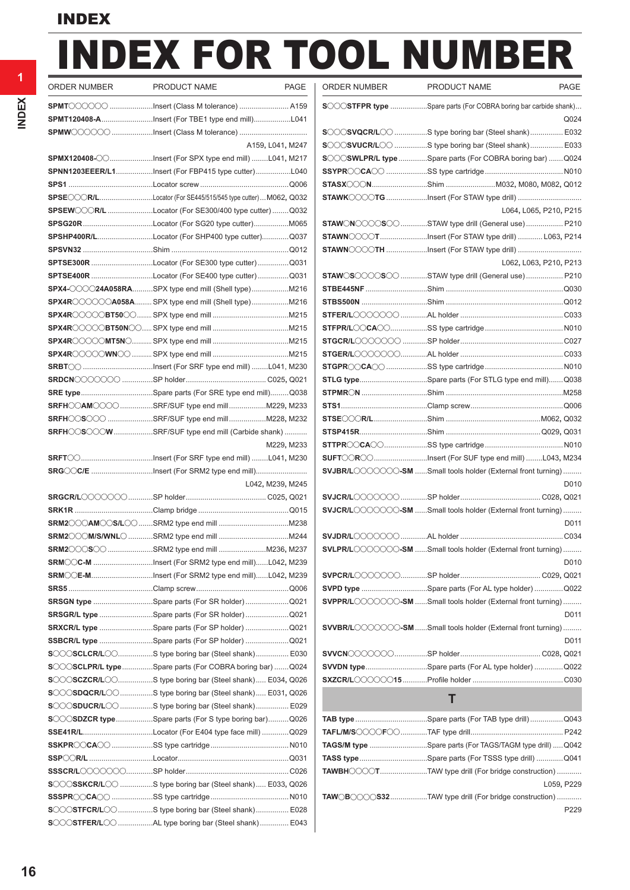# INDEX FOR TOOL NUMBER

**1**

| <b>ORDER NUMBER</b> | PRODUCT NAME<br><b>PAGE</b>                                                                                                        |
|---------------------|------------------------------------------------------------------------------------------------------------------------------------|
|                     | SPMT COOOO Insert (Class M tolerance)  A159                                                                                        |
|                     |                                                                                                                                    |
|                     |                                                                                                                                    |
|                     | A159, L041, M247                                                                                                                   |
|                     | SPMX120408-00Insert (For SPX type end mill)L041, M217                                                                              |
|                     | SPNN1203EEER/L1Insert (For FBP415 type cutter)L040                                                                                 |
|                     |                                                                                                                                    |
|                     | SPSE COR/LLocator (For SE445/515/545 type cutter)M062, Q032                                                                        |
|                     | SPSEW COR/L Locator (For SE300/400 type cutter) Q032                                                                               |
|                     |                                                                                                                                    |
|                     | SPSHP400R/LLocator (For SHP400 type cutter)Q037                                                                                    |
|                     |                                                                                                                                    |
|                     | <b>SPTSE300R</b> Locator (For SE300 type cutter) Q031                                                                              |
|                     | SPTSE400R Locator (For SE400 type cutter) Q031                                                                                     |
|                     | SPX4-00024A058RASPX type end mill (Shell type) M216                                                                                |
|                     |                                                                                                                                    |
|                     | $SPX4R$ $\odot$ $\odot$ $\odot$ $\cdots$ $\cdots$ $SPX$ type end mill $\cdots$ $\cdots$ $\cdots$ $\cdots$ $\cdots$ $\cdots$ $M215$ |
|                     |                                                                                                                                    |
|                     |                                                                                                                                    |
|                     |                                                                                                                                    |
|                     |                                                                                                                                    |
|                     |                                                                                                                                    |
|                     | SRE typeSpare parts (For SRE type end mill)Q038                                                                                    |
|                     |                                                                                                                                    |
|                     | SRFH CSCC SRF/SUF type end millM228, M232                                                                                          |
|                     | SRFHOOSOOOW SRF/SUF type end mill (Carbide shank)                                                                                  |
|                     | M229, M233                                                                                                                         |
|                     |                                                                                                                                    |
|                     | SRG CC/E Insert (For SRM2 type end mill)                                                                                           |
|                     | L042, M239, M245                                                                                                                   |
|                     |                                                                                                                                    |
|                     |                                                                                                                                    |
|                     |                                                                                                                                    |
|                     |                                                                                                                                    |
|                     |                                                                                                                                    |
|                     | SRM CC-M Insert (For SRM2 type end mill)L042, M239                                                                                 |
|                     | <b>SRM CE-MInsert (For SRM2 type end mill)L042, M239</b>                                                                           |
|                     |                                                                                                                                    |
|                     | SRSGN type Spare parts (For SR holder) Q021                                                                                        |
|                     | SRSGR/L type Spare parts (For SR holder)  Q021                                                                                     |
|                     | SRXCR/L type Spare parts (For SP holder)  Q021                                                                                     |
|                     | SSBCR/L type Spare parts (For SP holder)  Q021                                                                                     |
|                     | SOOSCLCR/LOOS type boring bar (Steel shank) E030                                                                                   |
|                     | SOOSCLPR/L type Spare parts (For COBRA boring bar) Q024                                                                            |
|                     | SOOSCZCR/LOS type boring bar (Steel shank) E034, Q026                                                                              |
|                     | SOOSDQCR/LOOS type boring bar (Steel shank) E031, Q026                                                                             |
|                     | SOOSDUCR/LOO S type boring bar (Steel shank) E029                                                                                  |
|                     | SCCSDZCR typeSpare parts (For S type boring bar)Q026                                                                               |
|                     |                                                                                                                                    |
|                     |                                                                                                                                    |
|                     |                                                                                                                                    |
|                     | SOOOSSKCR/LOO S type boring bar (Steel shank) E033, Q026                                                                           |
|                     |                                                                                                                                    |
|                     | SOOSTFCR/LOO S type boring bar (Steel shank) E028                                                                                  |
|                     | SOOSTFER/LOO AL type boring bar (Steel shank)  E043                                                                                |
|                     |                                                                                                                                    |

| ORDER NUMBER | PRODUCT NAME<br>PAGE                                                                                                                                                                                                                                                                                                                                                                                                                                                                                                                                                                                                                                                                                                                                      | ORDER NUMBER | PRODUCT NAME                                                                  | PAGE |
|--------------|-----------------------------------------------------------------------------------------------------------------------------------------------------------------------------------------------------------------------------------------------------------------------------------------------------------------------------------------------------------------------------------------------------------------------------------------------------------------------------------------------------------------------------------------------------------------------------------------------------------------------------------------------------------------------------------------------------------------------------------------------------------|--------------|-------------------------------------------------------------------------------|------|
|              | <b>SPMT</b> ◯◯◯◯◯◯ Insert (Class M tolerance)  A159                                                                                                                                                                                                                                                                                                                                                                                                                                                                                                                                                                                                                                                                                                       |              | <b>SOCOSTFPR type</b> Spare parts (For COBRA boring bar carbide shank)        |      |
|              | SPMT120408-AInsert (For TBE1 type end mill)L041                                                                                                                                                                                                                                                                                                                                                                                                                                                                                                                                                                                                                                                                                                           |              |                                                                               | Q024 |
|              |                                                                                                                                                                                                                                                                                                                                                                                                                                                                                                                                                                                                                                                                                                                                                           |              | SOOOSVQCR/LOO S type boring bar (Steel shank) E032                            |      |
|              | A159, L041, M247                                                                                                                                                                                                                                                                                                                                                                                                                                                                                                                                                                                                                                                                                                                                          |              | SOOOSVUCR/LOO S type boring bar (Steel shank) E033                            |      |
|              | SPMX120408-00Insert (For SPX type end mill)L041, M217                                                                                                                                                                                                                                                                                                                                                                                                                                                                                                                                                                                                                                                                                                     |              | SOOSWLPR/L type Spare parts (For COBRA boring bar) Q024                       |      |
|              | SPNN1203EEER/L1Insert (For FBP415 type cutter)L040                                                                                                                                                                                                                                                                                                                                                                                                                                                                                                                                                                                                                                                                                                        |              |                                                                               |      |
|              |                                                                                                                                                                                                                                                                                                                                                                                                                                                                                                                                                                                                                                                                                                                                                           |              | STASX CONShim M032, M080, M082, Q012                                          |      |
|              | SPSECCOR/LLocator (For SE445/515/545 type cutter)M062, Q032                                                                                                                                                                                                                                                                                                                                                                                                                                                                                                                                                                                                                                                                                               |              |                                                                               |      |
|              | SPSEWCOOR/L Locator (For SE300/400 type cutter) Q032                                                                                                                                                                                                                                                                                                                                                                                                                                                                                                                                                                                                                                                                                                      |              | L064, L065, P210, P215                                                        |      |
|              | SPSG20RLocator (For SG20 type cutter)M065                                                                                                                                                                                                                                                                                                                                                                                                                                                                                                                                                                                                                                                                                                                 |              | STAWONOOOSOO STAW type drill (General use)  P210                              |      |
|              | SPSHP400R/LLocator (For SHP400 type cutter)Q037                                                                                                                                                                                                                                                                                                                                                                                                                                                                                                                                                                                                                                                                                                           |              | STAWNOOOT Insert (For STAW type drill)  L063, P214                            |      |
|              |                                                                                                                                                                                                                                                                                                                                                                                                                                                                                                                                                                                                                                                                                                                                                           |              |                                                                               |      |
|              | SPTSE300R Locator (For SE300 type cutter) Q031                                                                                                                                                                                                                                                                                                                                                                                                                                                                                                                                                                                                                                                                                                            |              | L062, L063, P210, P213                                                        |      |
|              | SPTSE400R Locator (For SE400 type cutter) Q031                                                                                                                                                                                                                                                                                                                                                                                                                                                                                                                                                                                                                                                                                                            |              | STAW SOCOSO STAW type drill (General use) P210                                |      |
|              | $\textsf{SPX4}\text{-}\!\!\!\!\!\!\!\text{O}\!\!\!\!\text{O}\!\!\!\text{O}\!\!\text{24A058RA}\text{}. \textsf{SPX type end mill (Shell type) M216}$                                                                                                                                                                                                                                                                                                                                                                                                                                                                                                                                                                                                       |              |                                                                               |      |
|              | SPX4RCOOOOA058A SPX type end mill (Shell type)M216                                                                                                                                                                                                                                                                                                                                                                                                                                                                                                                                                                                                                                                                                                        |              |                                                                               |      |
|              |                                                                                                                                                                                                                                                                                                                                                                                                                                                                                                                                                                                                                                                                                                                                                           |              |                                                                               |      |
|              |                                                                                                                                                                                                                                                                                                                                                                                                                                                                                                                                                                                                                                                                                                                                                           |              |                                                                               |      |
|              |                                                                                                                                                                                                                                                                                                                                                                                                                                                                                                                                                                                                                                                                                                                                                           |              |                                                                               |      |
|              |                                                                                                                                                                                                                                                                                                                                                                                                                                                                                                                                                                                                                                                                                                                                                           |              |                                                                               |      |
|              |                                                                                                                                                                                                                                                                                                                                                                                                                                                                                                                                                                                                                                                                                                                                                           |              |                                                                               |      |
|              |                                                                                                                                                                                                                                                                                                                                                                                                                                                                                                                                                                                                                                                                                                                                                           |              | STLG typeSpare parts (For STLG type end mill)Q038                             |      |
|              | <b>SRE type</b> Spare parts (For SRE type end mill)Q038                                                                                                                                                                                                                                                                                                                                                                                                                                                                                                                                                                                                                                                                                                   |              |                                                                               |      |
|              | SRFHOOAMOOO SRF/SUF type end millM229, M233                                                                                                                                                                                                                                                                                                                                                                                                                                                                                                                                                                                                                                                                                                               |              |                                                                               |      |
|              | SRFH◯S◯◯◯ SRF/SUF type end millM228, M232                                                                                                                                                                                                                                                                                                                                                                                                                                                                                                                                                                                                                                                                                                                 |              |                                                                               |      |
|              | $\texttt{SRFH}\textcirclearrowright\textcirclearrowleft\textcirclearrowleft\textcirclearrowleft\textcirclearrowleft\textcirclearrowleft\textcirclearrowleft\textcirclearrowleft\textcirclearrowleft\textcirclearrowleft\textcirclearrowleft\textcirclearrowleft\textcirclearrowleft\textcirclearrowleft\textcirclearrowleft\textcirclearrowleft\textcirclearrowleft\textcirclearrowleft\textcirclearrowleft\textcirclearrowleft\textcirclearrowleft\textcirclearrowleft\textcirclearrowleft\textcirclearrowleft\textcirclearrowleft\textcirclearrowleft\textcirclearrowleft\textcirclearrowleft\textcirclearrowleft\textcirclearrowleft\textcirclearrowleft\textcirclearrowleft\textcirclearrowleft\textcirclearrowleft\textcirclearrowleft\textcirclear$ |              |                                                                               |      |
|              | M229, M233                                                                                                                                                                                                                                                                                                                                                                                                                                                                                                                                                                                                                                                                                                                                                |              |                                                                               |      |
|              | SRFT◯◯Insert (For SRF type end mill) L041, M230                                                                                                                                                                                                                                                                                                                                                                                                                                                                                                                                                                                                                                                                                                           |              | SUFT CROCInsert (For SUF type end mill) L043, M234                            |      |
|              | SRG CC/E Insert (For SRM2 type end mill)                                                                                                                                                                                                                                                                                                                                                                                                                                                                                                                                                                                                                                                                                                                  |              | SVJBR/LOOOOOO-SM Small tools holder (External front turning)                  |      |
|              | L042, M239, M245                                                                                                                                                                                                                                                                                                                                                                                                                                                                                                                                                                                                                                                                                                                                          |              |                                                                               | D010 |
|              |                                                                                                                                                                                                                                                                                                                                                                                                                                                                                                                                                                                                                                                                                                                                                           |              |                                                                               |      |
|              |                                                                                                                                                                                                                                                                                                                                                                                                                                                                                                                                                                                                                                                                                                                                                           |              | SVJCR/LOOOOOOOSM Small tools holder (External front turning)                  |      |
|              |                                                                                                                                                                                                                                                                                                                                                                                                                                                                                                                                                                                                                                                                                                                                                           |              |                                                                               | D011 |
|              |                                                                                                                                                                                                                                                                                                                                                                                                                                                                                                                                                                                                                                                                                                                                                           |              |                                                                               |      |
|              | SRM2◯◯◯S◯◯ SRM2 type end mill M236, M237                                                                                                                                                                                                                                                                                                                                                                                                                                                                                                                                                                                                                                                                                                                  |              | SVLPR/LOODOOOO-SM Small tools holder (External front turning)                 |      |
|              | <b>SRM◯◯C-M</b> Insert (For SRM2 type end mill)L042, M239                                                                                                                                                                                                                                                                                                                                                                                                                                                                                                                                                                                                                                                                                                 |              |                                                                               | D010 |
|              | SRM◯◯E-MInsert (For SRM2 type end mill)L042, M239                                                                                                                                                                                                                                                                                                                                                                                                                                                                                                                                                                                                                                                                                                         |              |                                                                               |      |
|              |                                                                                                                                                                                                                                                                                                                                                                                                                                                                                                                                                                                                                                                                                                                                                           |              | SVPD type Spare parts (For AL type holder) Q022                               |      |
|              | SRSGN type Spare parts (For SR holder) Q021                                                                                                                                                                                                                                                                                                                                                                                                                                                                                                                                                                                                                                                                                                               |              | SVPPR/LOOOOOO-SM Small tools holder (External front turning)                  |      |
|              | SRSGR/L type Spare parts (For SR holder) Q021                                                                                                                                                                                                                                                                                                                                                                                                                                                                                                                                                                                                                                                                                                             |              |                                                                               | D011 |
|              | SRXCR/L type Spare parts (For SP holder) Q021                                                                                                                                                                                                                                                                                                                                                                                                                                                                                                                                                                                                                                                                                                             |              | <b>SVVBR/L</b> OOOOOOO- <b>SM</b> Small tools holder (External front turning) |      |
|              | SSBCR/L type Spare parts (For SP holder) Q021                                                                                                                                                                                                                                                                                                                                                                                                                                                                                                                                                                                                                                                                                                             |              |                                                                               | D011 |
|              | SOOOSCLCR/LOOS type boring bar (Steel shank) E030                                                                                                                                                                                                                                                                                                                                                                                                                                                                                                                                                                                                                                                                                                         |              |                                                                               |      |
|              | SOOSCLPR/L typeSpare parts (For COBRA boring bar) Q024                                                                                                                                                                                                                                                                                                                                                                                                                                                                                                                                                                                                                                                                                                    |              | SVVDN typeSpare parts (For AL type holder)Q022                                |      |
|              | SCOSCZCR/LCOS type boring bar (Steel shank) E034, Q026                                                                                                                                                                                                                                                                                                                                                                                                                                                                                                                                                                                                                                                                                                    |              |                                                                               |      |
|              | SOOSDQCR/LOOS type boring bar (Steel shank) E031, Q026                                                                                                                                                                                                                                                                                                                                                                                                                                                                                                                                                                                                                                                                                                    |              |                                                                               |      |
|              | SOOSDUCR/LOO S type boring bar (Steel shank) E029                                                                                                                                                                                                                                                                                                                                                                                                                                                                                                                                                                                                                                                                                                         |              | Τ                                                                             |      |
|              | SCOCSDZCR typeSpare parts (For S type boring bar)Q026                                                                                                                                                                                                                                                                                                                                                                                                                                                                                                                                                                                                                                                                                                     |              | <b>TAB type</b> Spare parts (For TAB type drill)Q043                          |      |
|              | SSE41R/LLocator (For E404 type face mill) Q029                                                                                                                                                                                                                                                                                                                                                                                                                                                                                                                                                                                                                                                                                                            |              |                                                                               |      |
|              |                                                                                                                                                                                                                                                                                                                                                                                                                                                                                                                                                                                                                                                                                                                                                           |              | TAGS/M type Spare parts (For TAGS/TAGM type drill) Q042                       |      |
|              |                                                                                                                                                                                                                                                                                                                                                                                                                                                                                                                                                                                                                                                                                                                                                           |              | TASS typeSpare parts (For TSSS type drill) Q041                               |      |

**TAWBHOOOOT........................TAW type drill (For bridge construction) ............** 

**TAW**o**B**oooo**S32**..................TAW type drill (For bridge construction) ............

L059**,** P229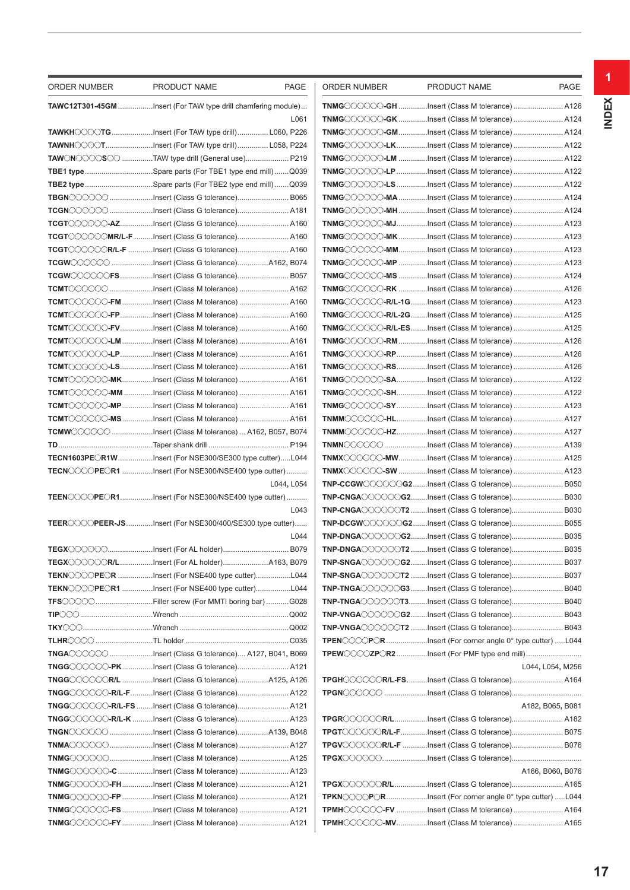| ORDER NUMBER | PRODUCT NAME<br>PAGE                                                                                                                                                                                                                                                                                                                                                                                                                                                                                                                                                | ORDER NUMBER | PRODUCT NAME                                                                                               | PAGE             |
|--------------|---------------------------------------------------------------------------------------------------------------------------------------------------------------------------------------------------------------------------------------------------------------------------------------------------------------------------------------------------------------------------------------------------------------------------------------------------------------------------------------------------------------------------------------------------------------------|--------------|------------------------------------------------------------------------------------------------------------|------------------|
|              | TAWC12T301-45GM Insert (For TAW type drill chamfering module)                                                                                                                                                                                                                                                                                                                                                                                                                                                                                                       |              | TNMGOOOOOOGH Insert (Class M tolerance)  A126                                                              |                  |
|              | L061                                                                                                                                                                                                                                                                                                                                                                                                                                                                                                                                                                |              | TNMGOOOOOOGK Insert (Class M tolerance)  A124                                                              |                  |
|              | <b>TAWKH</b> ◯◯◯◯T <b>G</b> Insert (For TAW type drill) L060, P226                                                                                                                                                                                                                                                                                                                                                                                                                                                                                                  |              | TNMGOOOOO-GMInsert (Class M tolerance) A124                                                                |                  |
|              | TAWNH COOTInsert (For TAW type drill) L058, P224                                                                                                                                                                                                                                                                                                                                                                                                                                                                                                                    |              | TNMGOOOOOO-LKInsert (Class M tolerance)  A122                                                              |                  |
|              | TAW◯N◯◯◯◯S◯◯ TAW type drill (General use) P219                                                                                                                                                                                                                                                                                                                                                                                                                                                                                                                      |              | TNMGOOOOO-LM Insert (Class M tolerance)  A122                                                              |                  |
|              | <b>TBE1 type</b> Spare parts (For TBE1 type end mill)Q039                                                                                                                                                                                                                                                                                                                                                                                                                                                                                                           |              | TNMG〇〇〇〇〇-LP Insert (Class M tolerance)  A122                                                              |                  |
|              | TBE2 type Spare parts (For TBE2 type end mill) Q039                                                                                                                                                                                                                                                                                                                                                                                                                                                                                                                 |              | TNMGOOOOOO-LS Insert (Class M tolerance)  A122                                                             |                  |
|              | <b>TBGN</b> COOOO Insert (Class G tolerance) B065                                                                                                                                                                                                                                                                                                                                                                                                                                                                                                                   |              | TNMGOOOOO-MAInsert (Class M tolerance) A124                                                                |                  |
|              | <b>TCGN</b> COCOO Insert (Class G tolerance) A181                                                                                                                                                                                                                                                                                                                                                                                                                                                                                                                   |              | TNMGOOOOO-MHInsert (Class M tolerance) A124                                                                |                  |
|              | TCGT〇〇〇〇〇-AZInsert (Class G tolerance) A160                                                                                                                                                                                                                                                                                                                                                                                                                                                                                                                         |              | TNMGOOOOO-MJInsert (Class M tolerance) A123                                                                |                  |
|              | <b>TCGT</b> ◯◯◯◯◯◯ <b>MR/L-F</b> Insert (Class G tolerance) A160                                                                                                                                                                                                                                                                                                                                                                                                                                                                                                    |              | TNMGOOOOO-MKInsert (Class M tolerance)  A123                                                               |                  |
|              | <b>TCGT</b> ◯◯◯◯◯◯R/L-F Insert (Class G tolerance) A160                                                                                                                                                                                                                                                                                                                                                                                                                                                                                                             |              | TNMG〇〇〇〇〇-MMInsert (Class M tolerance)  A123                                                               |                  |
|              | <b>TCGW</b> ◯◯◯◯◯◯ Insert (Class G tolerance)A162, B074                                                                                                                                                                                                                                                                                                                                                                                                                                                                                                             |              | TNMGOOOOO-MP Insert (Class M tolerance)  A123                                                              |                  |
|              | <b>TCGW</b> ◯◯◯◯◯◯FSInsert (Class G tolerance) B057                                                                                                                                                                                                                                                                                                                                                                                                                                                                                                                 |              | TNMGOOOOO-MS Insert (Class M tolerance)  A124                                                              |                  |
|              |                                                                                                                                                                                                                                                                                                                                                                                                                                                                                                                                                                     |              | TNMG〇〇〇〇〇一RK Insert (Class M tolerance)  A126                                                              |                  |
|              | <b>TCMT</b> ◯◯◯◯◯◯-F <b>M</b> Insert (Class M tolerance)  A160                                                                                                                                                                                                                                                                                                                                                                                                                                                                                                      |              | TNMG〇〇〇〇〇-R/L-1GInsert (Class M tolerance)  A123                                                           |                  |
|              |                                                                                                                                                                                                                                                                                                                                                                                                                                                                                                                                                                     |              | TNMG〇〇〇〇〇-R/L-2G Insert (Class M tolerance)  A125                                                          |                  |
|              | <b>TCMT</b> ◯◯◯◯◯◯- <b>FV</b> Insert (Class M tolerance)  A160                                                                                                                                                                                                                                                                                                                                                                                                                                                                                                      |              | TNMGOOOOO-R/L-ESInsert (Class M tolerance) A125                                                            |                  |
|              |                                                                                                                                                                                                                                                                                                                                                                                                                                                                                                                                                                     |              | TNMGOOOOO-RM Insert (Class M tolerance)  A126                                                              |                  |
|              | <b>TCMT</b> ◯◯◯◯◯◯-LPInsert (Class M tolerance)  A161                                                                                                                                                                                                                                                                                                                                                                                                                                                                                                               |              | TNMGOOOOO-RPInsert (Class M tolerance)  A126                                                               |                  |
|              |                                                                                                                                                                                                                                                                                                                                                                                                                                                                                                                                                                     |              | TNMGOOOOO-RSInsert (Class M tolerance)  A126                                                               |                  |
|              | <b>TCMT</b> ◯◯◯◯◯◯-MKInsert (Class M tolerance)  A161                                                                                                                                                                                                                                                                                                                                                                                                                                                                                                               |              | TNMGOOOOO-SAInsert (Class M tolerance) A122                                                                |                  |
|              | <b>TCMT</b> ◯◯◯◯◯◯-MM Insert (Class M tolerance)  A161                                                                                                                                                                                                                                                                                                                                                                                                                                                                                                              |              | TNMGOOOOO-SHInsert (Class M tolerance) A122                                                                |                  |
|              | <b>TCMT</b> ◯◯◯◯◯◯- <b>MP</b> Insert (Class M tolerance)  A161                                                                                                                                                                                                                                                                                                                                                                                                                                                                                                      |              | TNMG COOOO - SY Insert (Class M tolerance)  A123                                                           |                  |
|              | TCMT◯◯◯◯◯◯-MSInsert (Class M tolerance)  A161                                                                                                                                                                                                                                                                                                                                                                                                                                                                                                                       |              | TNMMOOOOO-HLInsert (Class M tolerance)  A127                                                               |                  |
|              | $\mathsf{TCMWCOCOC}\subset\ldots\ldots\ldots\ldots\ldots\ldots$ Insert (Class M tolerance)  A162, B057, B074                                                                                                                                                                                                                                                                                                                                                                                                                                                        |              | TNMMOOOOO-HZInsert (Class M tolerance)  A127                                                               |                  |
|              |                                                                                                                                                                                                                                                                                                                                                                                                                                                                                                                                                                     |              |                                                                                                            |                  |
|              | <b>TECN1603PECR1WInsert (For NSE300/SE300 type cutter)L044</b>                                                                                                                                                                                                                                                                                                                                                                                                                                                                                                      |              | TNMX COOOO-MWInsert (Class M tolerance)  A125                                                              |                  |
|              | TECNOOOPEOR1 Insert (For NSE300/NSE400 type cutter)                                                                                                                                                                                                                                                                                                                                                                                                                                                                                                                 |              | TNMX COOOO-SW Insert (Class M tolerance)  A123                                                             |                  |
|              | L044, L054                                                                                                                                                                                                                                                                                                                                                                                                                                                                                                                                                          |              | TNP-CCGW COOOG2Insert (Class G tolerance) B050                                                             |                  |
|              | TEENCOOPEOR1Insert (For NSE300/NSE400 type cutter)                                                                                                                                                                                                                                                                                                                                                                                                                                                                                                                  |              |                                                                                                            |                  |
|              | L043                                                                                                                                                                                                                                                                                                                                                                                                                                                                                                                                                                |              | TNP-CNGAOOOOOT2 Insert (Class G tolerance) B030                                                            |                  |
|              | <b>TEER◯◯◯◯PEER-JS</b> Insert (For NSE300/400/SE300 type cutter)                                                                                                                                                                                                                                                                                                                                                                                                                                                                                                    |              | TNP-DCGWOOOOC2Insert (Class G tolerance) B055                                                              |                  |
|              | L044                                                                                                                                                                                                                                                                                                                                                                                                                                                                                                                                                                |              | TNP-DNGAOOOOG2Insert (Class G tolerance) B035                                                              |                  |
|              |                                                                                                                                                                                                                                                                                                                                                                                                                                                                                                                                                                     |              | TNP-DNGAOOOOOT2 Insert (Class G tolerance) B035                                                            |                  |
|              | <b>TEGX</b> ◯◯◯◯◯◯R/LInsert (For AL holder)A163, B079                                                                                                                                                                                                                                                                                                                                                                                                                                                                                                               |              | TNP-SNGACCOOG2Insert (Class G tolerance) B037                                                              |                  |
|              | TEKNOOOPEOR Insert (For NSE400 type cutter)L044                                                                                                                                                                                                                                                                                                                                                                                                                                                                                                                     |              | TNP-SNGAOOOOOT2 Insert (Class G tolerance) B037                                                            |                  |
|              | TEKNOOOPEOR1 Insert (For NSE400 type cutter)L044                                                                                                                                                                                                                                                                                                                                                                                                                                                                                                                    |              | TNP-TNGACOOOG3 Insert (Class G tolerance) B040                                                             |                  |
|              | TFS〇〇〇〇………………………Filler screw (For MMTI boring bar) G028                                                                                                                                                                                                                                                                                                                                                                                                                                                                                                             |              | TNP-TNGACOOCOT3Insert (Class G tolerance) B040                                                             |                  |
|              |                                                                                                                                                                                                                                                                                                                                                                                                                                                                                                                                                                     |              | TNP-VNGAOOOOG2Insert (Class G tolerance) B043                                                              |                  |
|              |                                                                                                                                                                                                                                                                                                                                                                                                                                                                                                                                                                     |              | TNP-VNGAOOOOOT2 Insert (Class G tolerance) B043<br>TPENCOOPORInsert (For corner angle 0° type cutter) L044 |                  |
|              | TNGA COOO Insert (Class G tolerance) A127, B041, B069                                                                                                                                                                                                                                                                                                                                                                                                                                                                                                               |              |                                                                                                            |                  |
|              | TNGG◯◯◯◯◯◯-PKInsert (Class G tolerance) A121                                                                                                                                                                                                                                                                                                                                                                                                                                                                                                                        |              |                                                                                                            | L044, L054, M256 |
|              | $\mathsf{TNGG}\hspace{-1mm}\subset\hspace{-1mm}\subset\hspace{-1mm}\subset\hspace{-1mm}\subset\hspace{-1mm}\subset\hspace{-1mm}\subset\hspace{-1mm}\subset\hspace{-1mm}\subset\hspace{-1mm}\subset\hspace{-1mm}\subset\hspace{-1mm}\subset\hspace{-1mm}\subset\hspace{-1mm}\subset\hspace{-1mm}\subset\hspace{-1mm}\subset\hspace{-1mm}\subset\hspace{-1mm}\subset\hspace{-1mm}\subset\hspace{-1mm}\subset\hspace{-1mm}\subset\hspace{-1mm}\subset\hspace{-1mm}\subset\hspace{-1mm}\subset\hspace{-1mm}\subset\hspace{-1mm}\subset\hspace{-1mm}\subset\hspace{-1mm$ |              | <b>TPGHCOOOOR/L-FSInsert (Class G tolerance) A164</b>                                                      |                  |
|              | TNGG◯◯◯◯◯◯-R/L-FInsert (Class G tolerance) A122                                                                                                                                                                                                                                                                                                                                                                                                                                                                                                                     |              |                                                                                                            |                  |
|              |                                                                                                                                                                                                                                                                                                                                                                                                                                                                                                                                                                     |              |                                                                                                            | A182, B065, B081 |
|              | $\mathsf{TNGG}\hspace{-1mm}\subset\hspace{-1mm}\subset\hspace{-1mm}\subset\hspace{-1mm}\subset\hspace{-1mm}\subset\hspace{-1mm}\subset\hspace{-1mm}\mathbb{R}/\mathbb{L}\hspace{-1mm}$ -K Insert (Class G tolerance) A123                                                                                                                                                                                                                                                                                                                                           |              | TPGR COOOOR/LInsert (Class G tolerance) A182                                                               |                  |
|              | TNGN COOOO Insert (Class G tolerance)A139, B048                                                                                                                                                                                                                                                                                                                                                                                                                                                                                                                     |              | TPGT COOOOR/L-FInsert (Class G tolerance) B075                                                             |                  |
|              | TNMA COOOO Insert (Class M tolerance)  A127                                                                                                                                                                                                                                                                                                                                                                                                                                                                                                                         |              | TPGV COOOCR/L-F Insert (Class G tolerance) B076                                                            |                  |
|              | TNMG COOO Insert (Class M tolerance)  A125                                                                                                                                                                                                                                                                                                                                                                                                                                                                                                                          |              |                                                                                                            |                  |
|              | TNMG◯◯◯◯◯◯◯-C Insert (Class M tolerance)  A123                                                                                                                                                                                                                                                                                                                                                                                                                                                                                                                      |              |                                                                                                            | A166, B060, B076 |
|              |                                                                                                                                                                                                                                                                                                                                                                                                                                                                                                                                                                     |              | TPGX COOOCR/LInsert (Class G tolerance) A165                                                               |                  |
|              | <b>TNMG</b> ◯◯◯◯◯◯-FP Insert (Class M tolerance)  A121                                                                                                                                                                                                                                                                                                                                                                                                                                                                                                              |              | TPKNOOOPORInsert (For corner angle 0° type cutter) L044                                                    |                  |
|              | TNMG〇〇〇〇〇-FS Insert (Class M tolerance)  A121                                                                                                                                                                                                                                                                                                                                                                                                                                                                                                                       |              | TPMH COOOO-FV Insert (Class M tolerance)  A164                                                             |                  |
|              | TNMG◯◯◯◯◯◯-FYInsert (Class M tolerance)  A121                                                                                                                                                                                                                                                                                                                                                                                                                                                                                                                       |              | TPMHOOOOO-MVInsert (Class M tolerance)  A165                                                               |                  |
|              |                                                                                                                                                                                                                                                                                                                                                                                                                                                                                                                                                                     |              |                                                                                                            |                  |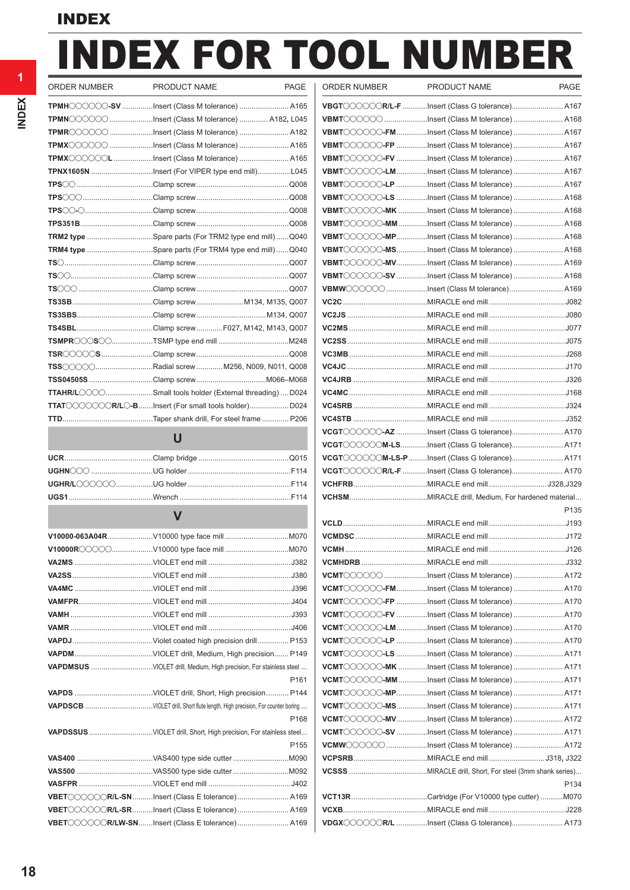# INDEX FOR TOOL NUMBER

| <b>ORDER NUMBER</b> | PRODUCT NAME                                             | <b>PAGE</b> |
|---------------------|----------------------------------------------------------|-------------|
|                     | TPMH COOOO-SV Insert (Class M tolerance)  A165           |             |
|                     | TPMN COOOO Insert (Class M tolerance)  A182, L045        |             |
|                     | TPMR COOOO Insert (Class M tolerance)  A182              |             |
|                     | TPMX COOOO Insert (Class M tolerance)  A165              |             |
|                     | TPMX COOCOL Insert (Class M tolerance)  A165             |             |
|                     | TPNX1605N Insert (For VIPER type end mill)L045           |             |
|                     |                                                          |             |
|                     |                                                          |             |
|                     |                                                          |             |
|                     |                                                          |             |
|                     | TRM2 type Spare parts (For TRM2 type end mill) Q040      |             |
|                     | TRM4 type Spare parts (For TRM4 type end mill)  Q040     |             |
|                     |                                                          |             |
|                     |                                                          |             |
|                     |                                                          |             |
|                     |                                                          |             |
|                     |                                                          |             |
|                     |                                                          |             |
|                     |                                                          |             |
|                     |                                                          |             |
|                     | TSS◯◯◯◯◯Radial screwM256, N009, N011, Q008               |             |
|                     |                                                          |             |
|                     | TTAHR/LOOO Small tools holder (External threading)  D024 |             |
|                     | TTAT COOCCOR/LC-BInsert (For small tools holder) D024    |             |
|                     |                                                          |             |
|                     |                                                          |             |

#### **U**

| VAPDMSUS VIOLET drill, Medium, High precision, For stainless steel |
|--------------------------------------------------------------------|
| P <sub>161</sub>                                                   |
|                                                                    |
|                                                                    |
| P168                                                               |
|                                                                    |
| P155                                                               |
|                                                                    |
|                                                                    |
|                                                                    |
| VBET COOOCR/L-SN Insert (Class E tolerance) A169                   |
| VBET COOOCR/L-SRInsert (Class E tolerance) A169                    |
| VBET COOOOR/LW-SNInsert (Class E tolerance) A169                   |

| ORDER NUMBER | PRODUCT NAME                                                                                                                                                                                                                                                                                                                                                                                                                                                                                                                            | PAGE             | ORDER NUMBER | PRODUCT NAME                                                                                     | PAGE             |
|--------------|-----------------------------------------------------------------------------------------------------------------------------------------------------------------------------------------------------------------------------------------------------------------------------------------------------------------------------------------------------------------------------------------------------------------------------------------------------------------------------------------------------------------------------------------|------------------|--------------|--------------------------------------------------------------------------------------------------|------------------|
|              | <b>TPMH</b> COOOC <b>-SV</b> Insert (Class M tolerance)  A165                                                                                                                                                                                                                                                                                                                                                                                                                                                                           |                  |              | VBGT COOOCR/L-F Insert (Class G tolerance) A167                                                  |                  |
|              | $\mathsf{TPMN}\hspace{-1.5pt}\circ\hspace{-1.5pt} 0\hspace{-1.5pt}\circ\hspace{-1.5pt} 0\hspace{-1.5pt}\circ\hspace{-1.5pt} 0\hspace{-1.5pt}\circ\hspace{-1.5pt} $ A182, L045                                                                                                                                                                                                                                                                                                                                                           |                  |              | VBMT COOOO Insert (Class M tolerance)  A168                                                      |                  |
|              | TPMR◯◯◯◯◯◯ Insert (Class M tolerance)  A182                                                                                                                                                                                                                                                                                                                                                                                                                                                                                             |                  |              | VBMT COOOO-FMInsert (Class M tolerance) A167                                                     |                  |
|              | <b>TPMX</b> ◯◯◯◯◯◯ Insert (Class M tolerance)  A165                                                                                                                                                                                                                                                                                                                                                                                                                                                                                     |                  |              | VBMT COOOO-FP Insert (Class M tolerance)  A167                                                   |                  |
|              | <b>TPMX</b> ◯◯◯◯◯◯L Insert (Class M tolerance)  A165                                                                                                                                                                                                                                                                                                                                                                                                                                                                                    |                  |              | VBMT COOOO-FV Insert (Class M tolerance)  A167                                                   |                  |
|              | <b>TPNX1605N</b> Insert (For VIPER type end mill)L045                                                                                                                                                                                                                                                                                                                                                                                                                                                                                   |                  |              | VBMT COOOO-LMInsert (Class M tolerance)  A167                                                    |                  |
|              |                                                                                                                                                                                                                                                                                                                                                                                                                                                                                                                                         |                  |              | VBMT〇〇〇〇〇-LP Insert (Class M tolerance)  A167                                                    |                  |
|              |                                                                                                                                                                                                                                                                                                                                                                                                                                                                                                                                         |                  |              | VBMT COOOO-LS Insert (Class M tolerance)  A168                                                   |                  |
|              |                                                                                                                                                                                                                                                                                                                                                                                                                                                                                                                                         |                  |              | VBMT COOOO-MK Insert (Class M tolerance)  A168                                                   |                  |
|              |                                                                                                                                                                                                                                                                                                                                                                                                                                                                                                                                         |                  |              | VBMT COOOO-MM Insert (Class M tolerance)  A168                                                   |                  |
|              | <b>TRM2 type</b> Spare parts (For TRM2 type end mill) Q040                                                                                                                                                                                                                                                                                                                                                                                                                                                                              |                  |              | VBMT COOOO-MPInsert (Class M tolerance)  A168                                                    |                  |
|              | TRM4 type Spare parts (For TRM4 type end mill) Q040                                                                                                                                                                                                                                                                                                                                                                                                                                                                                     |                  |              | VBMT COOCO-MSInsert (Class M tolerance)  A168                                                    |                  |
|              |                                                                                                                                                                                                                                                                                                                                                                                                                                                                                                                                         |                  |              | VBMT COOOO-MVInsert (Class M tolerance)  A169                                                    |                  |
|              |                                                                                                                                                                                                                                                                                                                                                                                                                                                                                                                                         |                  |              | VBMT COOOO - SV Insert (Class M tolerance)  A168                                                 |                  |
|              |                                                                                                                                                                                                                                                                                                                                                                                                                                                                                                                                         |                  |              | VBMWCOOOO Insert (Class M tolerance)  A169                                                       |                  |
|              |                                                                                                                                                                                                                                                                                                                                                                                                                                                                                                                                         |                  |              |                                                                                                  |                  |
|              |                                                                                                                                                                                                                                                                                                                                                                                                                                                                                                                                         |                  |              |                                                                                                  |                  |
|              |                                                                                                                                                                                                                                                                                                                                                                                                                                                                                                                                         |                  |              |                                                                                                  |                  |
|              |                                                                                                                                                                                                                                                                                                                                                                                                                                                                                                                                         |                  |              |                                                                                                  |                  |
|              |                                                                                                                                                                                                                                                                                                                                                                                                                                                                                                                                         |                  |              |                                                                                                  |                  |
|              | TSS◯◯◯◯◯Radial screwM256, N009, N011, Q008                                                                                                                                                                                                                                                                                                                                                                                                                                                                                              |                  |              |                                                                                                  |                  |
|              |                                                                                                                                                                                                                                                                                                                                                                                                                                                                                                                                         |                  |              |                                                                                                  |                  |
|              | TTAHR/LOOO Small tools holder (External threading)  D024                                                                                                                                                                                                                                                                                                                                                                                                                                                                                |                  |              |                                                                                                  |                  |
|              |                                                                                                                                                                                                                                                                                                                                                                                                                                                                                                                                         |                  |              |                                                                                                  |                  |
|              |                                                                                                                                                                                                                                                                                                                                                                                                                                                                                                                                         |                  |              |                                                                                                  |                  |
|              | U                                                                                                                                                                                                                                                                                                                                                                                                                                                                                                                                       |                  |              | VCGT COOOC-AZ Insert (Class G tolerance) A170                                                    |                  |
|              |                                                                                                                                                                                                                                                                                                                                                                                                                                                                                                                                         |                  |              | VCGT COOOOM-LSInsert (Class G tolerance) A171                                                    |                  |
|              |                                                                                                                                                                                                                                                                                                                                                                                                                                                                                                                                         |                  |              | VCGT COOCOM-LS-P Insert (Class G tolerance) A171                                                 |                  |
|              |                                                                                                                                                                                                                                                                                                                                                                                                                                                                                                                                         |                  |              | VCGT COOOOR/L-F Insert (Class G tolerance) A170                                                  |                  |
|              |                                                                                                                                                                                                                                                                                                                                                                                                                                                                                                                                         |                  |              |                                                                                                  |                  |
|              |                                                                                                                                                                                                                                                                                                                                                                                                                                                                                                                                         |                  |              |                                                                                                  |                  |
|              | $\mathbf V$                                                                                                                                                                                                                                                                                                                                                                                                                                                                                                                             |                  |              |                                                                                                  | P <sub>135</sub> |
|              |                                                                                                                                                                                                                                                                                                                                                                                                                                                                                                                                         |                  |              |                                                                                                  |                  |
|              |                                                                                                                                                                                                                                                                                                                                                                                                                                                                                                                                         |                  |              |                                                                                                  |                  |
|              |                                                                                                                                                                                                                                                                                                                                                                                                                                                                                                                                         |                  |              |                                                                                                  |                  |
|              |                                                                                                                                                                                                                                                                                                                                                                                                                                                                                                                                         |                  |              |                                                                                                  |                  |
|              |                                                                                                                                                                                                                                                                                                                                                                                                                                                                                                                                         |                  |              | <b>VCMT</b> COOOO Insert (Class M tolerance)  A172                                               |                  |
|              |                                                                                                                                                                                                                                                                                                                                                                                                                                                                                                                                         |                  |              | VCMT COOOO-FM Insert (Class M tolerance)  A170                                                   |                  |
|              |                                                                                                                                                                                                                                                                                                                                                                                                                                                                                                                                         |                  |              | VCMT COOOO-FP Insert (Class M tolerance)  A170                                                   |                  |
|              |                                                                                                                                                                                                                                                                                                                                                                                                                                                                                                                                         |                  |              | VCMT COOOO-FV Insert (Class M tolerance)  A170                                                   |                  |
|              |                                                                                                                                                                                                                                                                                                                                                                                                                                                                                                                                         |                  |              | VCMTOOOOO-LMInsert (Class M tolerance) A170                                                      |                  |
|              |                                                                                                                                                                                                                                                                                                                                                                                                                                                                                                                                         |                  |              | VCMTOOOOO-LP Insert (Class M tolerance)  A170                                                    |                  |
|              | VAPDMSUS VIOLET drill, Medium, High precision, For stainless steel                                                                                                                                                                                                                                                                                                                                                                                                                                                                      |                  |              | VCMT COOOO-LS Insert (Class M tolerance)  A171<br>VCMT COOOO-MK Insert (Class M tolerance)  A171 |                  |
|              |                                                                                                                                                                                                                                                                                                                                                                                                                                                                                                                                         | P <sub>161</sub> |              | VCMT COOOO-MM Insert (Class M tolerance)  A171                                                   |                  |
|              |                                                                                                                                                                                                                                                                                                                                                                                                                                                                                                                                         |                  |              | VCMT COOOO-MPInsert (Class M tolerance)  A171                                                    |                  |
|              |                                                                                                                                                                                                                                                                                                                                                                                                                                                                                                                                         |                  |              | VCMTOOOOO-MSInsert (Class M tolerance) A171                                                      |                  |
|              |                                                                                                                                                                                                                                                                                                                                                                                                                                                                                                                                         | P <sub>168</sub> |              | VCMT COOOO-MVInsert (Class M tolerance)  A172                                                    |                  |
|              | VAPDSSUS VIOLET drill, Short, High precision, For stainless steel                                                                                                                                                                                                                                                                                                                                                                                                                                                                       |                  |              | VCMT COOOO-SV Insert (Class M tolerance)  A171                                                   |                  |
|              |                                                                                                                                                                                                                                                                                                                                                                                                                                                                                                                                         | P155             |              | VCMWCOOOO Insert (Class M tolerance)  A172                                                       |                  |
|              |                                                                                                                                                                                                                                                                                                                                                                                                                                                                                                                                         |                  |              |                                                                                                  |                  |
|              |                                                                                                                                                                                                                                                                                                                                                                                                                                                                                                                                         |                  |              |                                                                                                  |                  |
|              |                                                                                                                                                                                                                                                                                                                                                                                                                                                                                                                                         |                  |              |                                                                                                  | P <sub>134</sub> |
|              | VBET COOOOR/L-SN Insert (Class E tolerance) A169                                                                                                                                                                                                                                                                                                                                                                                                                                                                                        |                  |              |                                                                                                  |                  |
|              | $\mathsf{VBET}\hspace{-0.01cm}\circlearrowright\hspace{-0.01cm}\circlearrowright\hspace{-0.01cm}\circlearrowright\hspace{-0.01cm}\circlearrowright\hspace{-0.01cm}\circlearrowright\hspace{-0.01cm}\circlearrowright\hspace{-0.01cm}\circlearrowright\hspace{-0.01cm}\circlearrowright\hspace{-0.01cm}\circlearrowright\hspace{-0.01cm}\circlearrowright\hspace{-0.01cm}\circlearrowright\hspace{-0.01cm}\circlearrowright\hspace{-0.01cm}\circlearrowright\hspace{-0.01cm}\circlearrowright\hspace{-0.01cm}\circlearrowright\hspace{-$ |                  |              |                                                                                                  |                  |
|              | $\mathsf{VBET}\hspace{-0.01cm}\circlearrowright\hspace{-0.01cm}\circlearrowright\hspace{-0.01cm}\circlearrowright\hspace{-0.01cm}\circlearrowright\hspace{-0.01cm}\circ\mathsf{IN}.\hspace{-0.01cm}\circlearrowright\hspace{-0.01cm}\circlearrowright\hspace{-0.01cm}\circlearrowright\hspace{-0.01cm}\circlearrowright\hspace{-0.01cm}\circlearrowright\hspace{-0.01cm}\circlearrowright\hspace{-0.01cm}\circlearrowright\hspace{-0.01cm}\circlearrowright\hspace{-0.01cm}\circlearrowright\hspace{-0.01cm}\circlearrowright\$         |                  |              | VDGXOOOOOR/L Insert (Class G tolerance) A173                                                     |                  |
|              |                                                                                                                                                                                                                                                                                                                                                                                                                                                                                                                                         |                  |              |                                                                                                  |                  |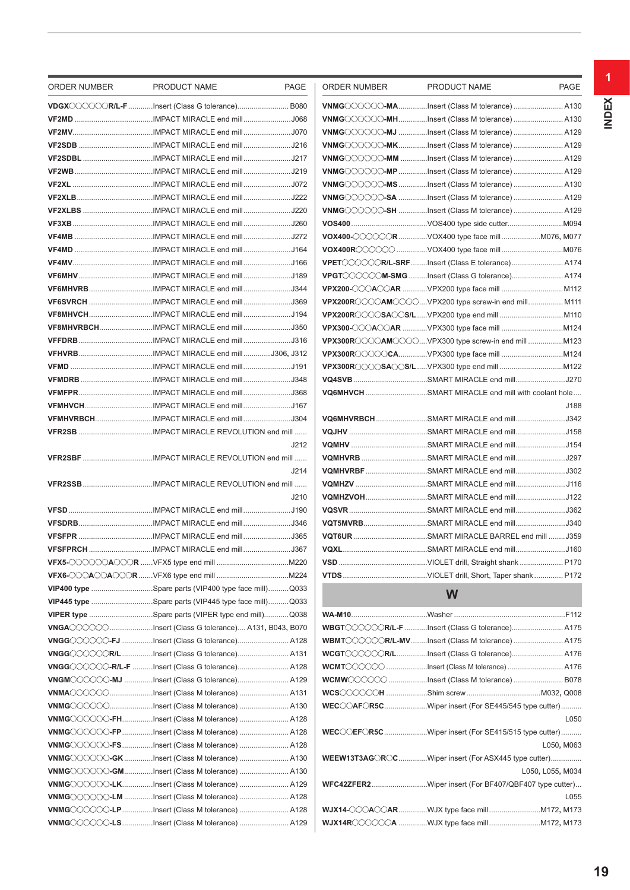| ORDER NUMBER | PRODUCT NAME                                                 | PAGE | ORDER NUMBER | PRODUCT NAME                                                          | PAGE             |
|--------------|--------------------------------------------------------------|------|--------------|-----------------------------------------------------------------------|------------------|
|              | VDGXOOOOOR/L-F Insert (Class G tolerance) B080               |      |              | VNMGOOOOO-MAInsert (Class M tolerance)  A130                          |                  |
|              |                                                              |      |              | VNMG COOOO-MHInsert (Class M tolerance)  A130                         |                  |
|              |                                                              |      |              | VNMGOOOOOO-MJ Insert (Class M tolerance)  A129                        |                  |
|              |                                                              |      |              | VNMGOOOOOO-MKInsert (Class M tolerance)  A129                         |                  |
|              |                                                              |      |              | VNMG COOOO-MM Insert (Class M tolerance)  A129                        |                  |
|              |                                                              |      |              | VNMG COOOO-MP Insert (Class M tolerance)  A129                        |                  |
|              |                                                              |      |              | ${\color{red}\mathsf{VMGCOOOO}}$ -MS Insert (Class M tolerance)  A130 |                  |
|              |                                                              |      |              | VNMGOOOOO-SA Insert (Class M tolerance)  A129                         |                  |
|              |                                                              |      |              | VNMGOOOOO-SH Insert (Class M tolerance)  A129                         |                  |
|              |                                                              |      |              |                                                                       |                  |
|              |                                                              |      |              | VOX400-OOOOOR VOX400 type face mill  M076, M077                       |                  |
|              |                                                              |      |              |                                                                       |                  |
|              |                                                              |      |              | VPET COOOCR/L-SRF Insert (Class E tolerance) A174                     |                  |
|              |                                                              |      |              | VPGT COOOOM-SMG Insert (Class G tolerance) A174                       |                  |
|              | VF6MHVRBIMPACT MIRACLE end millJ344                          |      |              |                                                                       |                  |
|              |                                                              |      |              | VPX200ROOOOAMOOOOVPX200 type screw-in end mill M111                   |                  |
|              | VF8MHVCHIMPACT MIRACLE end millJ194                          |      |              |                                                                       |                  |
|              | VF8MHVRBCHIMPACT MIRACLE end millJ350                        |      |              |                                                                       |                  |
|              |                                                              |      |              |                                                                       |                  |
|              |                                                              |      |              |                                                                       |                  |
|              |                                                              |      |              |                                                                       |                  |
|              |                                                              |      |              |                                                                       |                  |
|              |                                                              |      |              | VQ6MHVCH SMART MIRACLE end mill with coolant hole                     |                  |
|              | VFMHVCHIMPACT MIRACLE end millJ167                           |      |              |                                                                       | J188             |
|              |                                                              |      |              | VQ6MHVRBCHSMART MIRACLE end millJ342                                  |                  |
|              |                                                              |      |              |                                                                       |                  |
|              |                                                              | J212 |              |                                                                       |                  |
|              |                                                              |      |              |                                                                       |                  |
|              |                                                              | J214 |              | VQMHVRBFSMART MIRACLE end mill302                                     |                  |
|              |                                                              |      |              |                                                                       |                  |
|              |                                                              | J210 |              | VQMHZVOHSMART MIRACLE end millJ122                                    |                  |
|              |                                                              |      |              |                                                                       |                  |
|              |                                                              |      |              | VQT5MVRBSMART MIRACLE end millJ340                                    |                  |
|              |                                                              |      |              |                                                                       |                  |
|              | VFSFPRCH IMPACT MIRACLE end millJ367                         |      |              |                                                                       |                  |
|              |                                                              |      |              |                                                                       |                  |
|              |                                                              |      |              |                                                                       |                  |
|              | VIP400 type Spare parts (VIP400 type face mill)Q033          |      |              | W                                                                     |                  |
|              | <b>VIP445 type</b> Spare parts (VIP445 type face mill)Q033   |      |              |                                                                       |                  |
|              | <b>VIPER type</b> Spare parts (VIPER type end mill)Q038      |      |              |                                                                       |                  |
|              | <b>VNGA</b> OOOO Insert (Class G tolerance) A131, B043, B070 |      |              | WBGTOOOOOR/L-F Insert (Class G tolerance) A175                        |                  |
|              | VNGGOOOOOO-FJ Insert (Class G tolerance) A128                |      |              | WBMT COOOOR/L-MV Insert (Class M tolerance)  A175                     |                  |
|              | VNGGOOOOOR/LInsert (Class G tolerance) A131                  |      |              | WCGT COOOOR/LInsert (Class G tolerance) A176                          |                  |
|              | VNGGOOOOO-R/L-F Insert (Class G tolerance) A128              |      |              | WCMTOOOOO Insert (Class M tolerance)  A176                            |                  |
|              | VNGMOOOOO-MJ Insert (Class G tolerance) A129                 |      |              | WCMWOOOOOInsert (Class M tolerance) B078                              |                  |
|              | VNMAOOOOOInsert (Class M tolerance) A131                     |      |              |                                                                       |                  |
|              | VNMGOOOOOInsert (Class M tolerance) A130                     |      |              | WECCOAFCR5CWiper insert (For SE445/545 type cutter)                   |                  |
|              | VNMGOOOOOO-FHInsert (Class M tolerance)  A128                |      |              |                                                                       | L050             |
|              | VNMG COOOO-FPInsert (Class M tolerance) A128                 |      |              | <b>WEC</b> COLEFOR5CWiper insert (For SE415/515 type cutter)          |                  |
|              | VNMGOOOOOO-FSInsert (Class M tolerance)  A128                |      |              |                                                                       | L050, M063       |
|              |                                                              |      |              | <b>WEEW13T3AGOROG</b> Wiper insert (For ASX445 type cutter)           |                  |
|              | VNMG COOOO-GMInsert (Class M tolerance) A130                 |      |              |                                                                       | L050, L055, M034 |
|              |                                                              |      |              | WFC42ZFER2Wiper insert (For BF407/QBF407 type cutter)                 |                  |
|              | VNMG COOOO-LM Insert (Class M tolerance)  A128               |      |              |                                                                       | L055             |
|              | VNMG COOOO-LPInsert (Class M tolerance) A128                 |      |              | <b>WJX14-CCCACCARWJX type face mill 1172, M173</b>                    |                  |
|              | VNMG COOOO-LSInsert (Class M tolerance) A129                 |      |              |                                                                       |                  |
|              |                                                              |      |              |                                                                       |                  |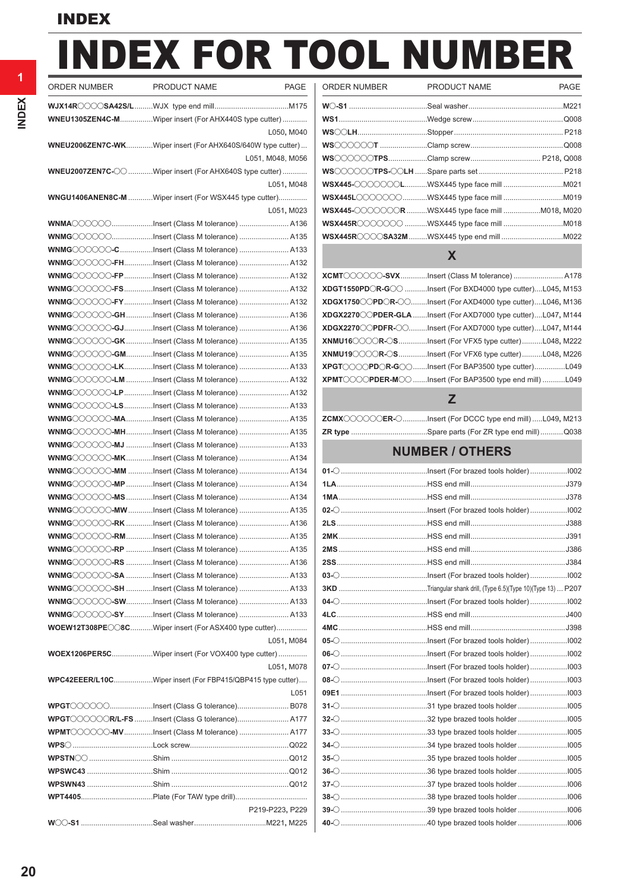# INDEX FOR TOOL NUMBER

| ORDER NUMBER | PRODUCT NAME                                                | PAGE             |
|--------------|-------------------------------------------------------------|------------------|
|              |                                                             |                  |
|              | WNEU1305ZEN4C-MWiper insert (For AHX440S type cutter)       |                  |
|              |                                                             | L050, M040       |
|              | WNEU2006ZEN7C-WKWiper insert (For AHX640S/640W type cutter) |                  |
|              |                                                             | L051, M048, M056 |
|              | WNEU2007ZEN7C-O Wiper insert (For AHX640S type cutter)      |                  |
|              |                                                             | L051, M048       |
|              | WNGU1406ANEN8C-M Wiper insert (For WSX445 type cutter)      |                  |
|              |                                                             | L051, M023       |
|              | WNMAOOOOOInsert (Class M tolerance)  A136                   |                  |
|              | WNMG COOOOInsert (Class M tolerance)  A135                  |                  |
|              | WNMG COOOC-C Insert (Class M tolerance)  A133               |                  |
|              | WNMGOOOOOO-FHInsert (Class M tolerance)  A132               |                  |
|              | WNMGOOOOOO-FPInsert (Class M tolerance) A132                |                  |
|              | WNMGOOOOOO-FSInsert (Class M tolerance) A132                |                  |
|              | WNMGOOOOOO-FYInsert (Class M tolerance) A132                |                  |
|              | WNMGOOOOO-GHInsert (Class M tolerance) A136                 |                  |
|              | WNMGOOOOOO-GJInsert (Class M tolerance)  A136               |                  |
|              | WNMGOOOOO-GKInsert (Class M tolerance) A135                 |                  |
|              | WNMGOOOOO-GMInsert (Class M tolerance)  A135                |                  |
|              | WNMGOOOOO-LKInsert (Class M tolerance)  A133                |                  |
|              | WNMG COOOC-LM Insert (Class M tolerance)  A132              |                  |
|              | WNMG OCOOO-LPInsert (Class M tolerance) A132                |                  |
|              | WNMG COOOO-LSInsert (Class M tolerance)  A133               |                  |
|              | WNMGOOOOO-MAInsert (Class M tolerance)  A135                |                  |
|              | WNMGOOOOOO-MHInsert (Class M tolerance) A135                |                  |
|              | WNMGOOOOOO-MJ Insert (Class M tolerance)  A133              |                  |
|              | WNMGOOOOOO-MKInsert (Class M tolerance)  A134               |                  |
|              | WNMGOOOOO-MM Insert (Class M tolerance)  A134               |                  |
|              | WNMGOOOOOO-MP Insert (Class M tolerance)  A134              |                  |
|              | WNMGOOOOOO-MSInsert (Class M tolerance) A134                |                  |
|              | WNMGOOOOO-MWInsert (Class M tolerance)  A135                |                  |
|              | WNMG COOOC-RK Insert (Class M tolerance)  A136              |                  |
|              |                                                             |                  |
|              | WNMGOOOOOO-RP Insert (Class M tolerance)  A135              |                  |
|              |                                                             |                  |
|              |                                                             |                  |
|              | WNMGOOOOO-SH Insert (Class M tolerance)  A133               |                  |
|              | WNMGOOOOO-SWInsert (Class M tolerance)  A133                |                  |
|              | WNMGOOOOO-SYInsert (Class M tolerance) A133                 |                  |
|              | WOEW12T308PECO8CWiper insert (For ASX400 type cutter)       |                  |
|              |                                                             | L051, M084       |
|              | WOEX1206PER5CWiper insert (For VOX400 type cutter)          |                  |
|              |                                                             | L051, M078       |
|              | WPC42EEER/L10CWiper insert (For FBP415/QBP415 type cutter)  |                  |
|              |                                                             | L051             |
|              | WPGT COOOCInsert (Class G tolerance) B078                   |                  |
|              | WPGT COOOCR/L-FS Insert (Class G tolerance) A177            |                  |
|              | WPMT COOOO-MVInsert (Class M tolerance) A177                |                  |
|              |                                                             |                  |
|              |                                                             |                  |
|              |                                                             |                  |
|              |                                                             |                  |
|              |                                                             |                  |
|              |                                                             | P219-P223, P229  |
|              |                                                             |                  |

| ORDER NUMBER | PRODUCT NAME                                                           | PAGE             | ORDER NUMBER | PRODUCT NAME                                    | PAGE |
|--------------|------------------------------------------------------------------------|------------------|--------------|-------------------------------------------------|------|
|              |                                                                        |                  |              |                                                 |      |
|              | WNEU1305ZEN4C-MWiper insert (For AHX440S type cutter)                  |                  |              |                                                 |      |
|              |                                                                        | L050, M040       |              |                                                 |      |
|              | WNEU2006ZEN7C-WKWiper insert (For AHX640S/640W type cutter)            |                  |              |                                                 |      |
|              |                                                                        | L051, M048, M056 |              |                                                 |      |
|              | <b>WNEU2007ZEN7C-</b> $\oslash$ Wiper insert (For AHX640S type cutter) |                  |              |                                                 |      |
|              |                                                                        | L051, M048       |              |                                                 |      |
|              | WNGU1406ANEN8C-M Wiper insert (For WSX445 type cutter)                 |                  |              |                                                 |      |
|              |                                                                        | L051, M023       |              | WSX445-000000R WSX445 type face mill M018, M020 |      |
|              | WNMA00000Insert (Class M tolerance) A136                               |                  |              |                                                 |      |
|              | ${\sf WNMG}$ Insert (Class M tolerance)  A135                          |                  |              |                                                 |      |
|              |                                                                        |                  |              |                                                 |      |

#### **X**

| XCMT COOOO-SVXInsert (Class M tolerance)  A178                                                         |  |
|--------------------------------------------------------------------------------------------------------|--|
| $XDGT1550PDOR-G$ Insert (For BXD4000 type cutter)L045, M153                                            |  |
| $XDGX1750$ $\bigcirc$ PD $\bigcirc$ R $\bigcirc$ $\bigcirc$ Insert (For AXD4000 type cutter)L046, M136 |  |
| XDGX2270 CPDER-GLA Insert (For AXD7000 type cutter)L047, M144                                          |  |
| $XDGX2270\diagup\emptyset PDFR\diagup\diagup\lim\limits$ insert (For AXD7000 type cutter)L047, M144    |  |
| $XNMU16\text{O}\text{O}\text{O}$ R $\text{O}\text{S}$ Insert (For VFX5 type cutter)L048, M222          |  |
| $XNMU190000R-S$ lnsert (For VFX6 type cutter)L048, M226                                                |  |
|                                                                                                        |  |
| $XPMTOOOPDER-MO.$ Insert (For BAP3500 type end mill)  L049                                             |  |

### **Z**

| ZCMXOOOOOER-OInsert (For DCCC type end mill)L049, M213 |  |
|--------------------------------------------------------|--|
|                                                        |  |

### **NUMBER / OTHERS**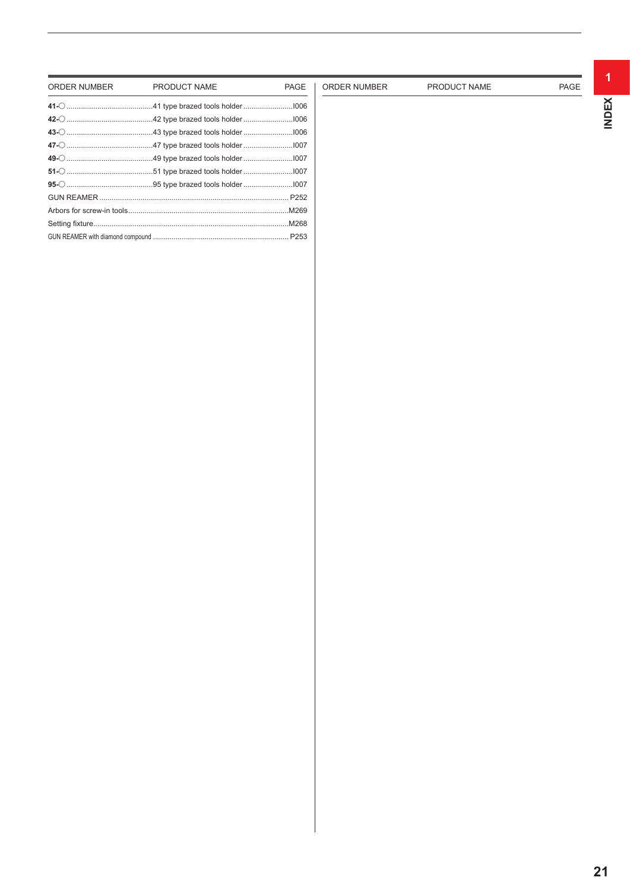| ORDER NUMBER | PRODUCT NAME                                                                                                                                                                                                                         | <b>PAGE</b> |
|--------------|--------------------------------------------------------------------------------------------------------------------------------------------------------------------------------------------------------------------------------------|-------------|
|              |                                                                                                                                                                                                                                      |             |
|              | 42- <u>2011 magazara manuscriptana and the set of the set of the set of the set of the set of the set of the set of the set of the set of the set of the set of the set of the set of the set of the set of the set of the set o</u> |             |
|              |                                                                                                                                                                                                                                      |             |
|              |                                                                                                                                                                                                                                      |             |
|              |                                                                                                                                                                                                                                      |             |
|              |                                                                                                                                                                                                                                      |             |
|              |                                                                                                                                                                                                                                      |             |
|              |                                                                                                                                                                                                                                      |             |
|              |                                                                                                                                                                                                                                      |             |
|              |                                                                                                                                                                                                                                      |             |
|              |                                                                                                                                                                                                                                      |             |

ORDER NUMBER PRODUCT NAME PAGE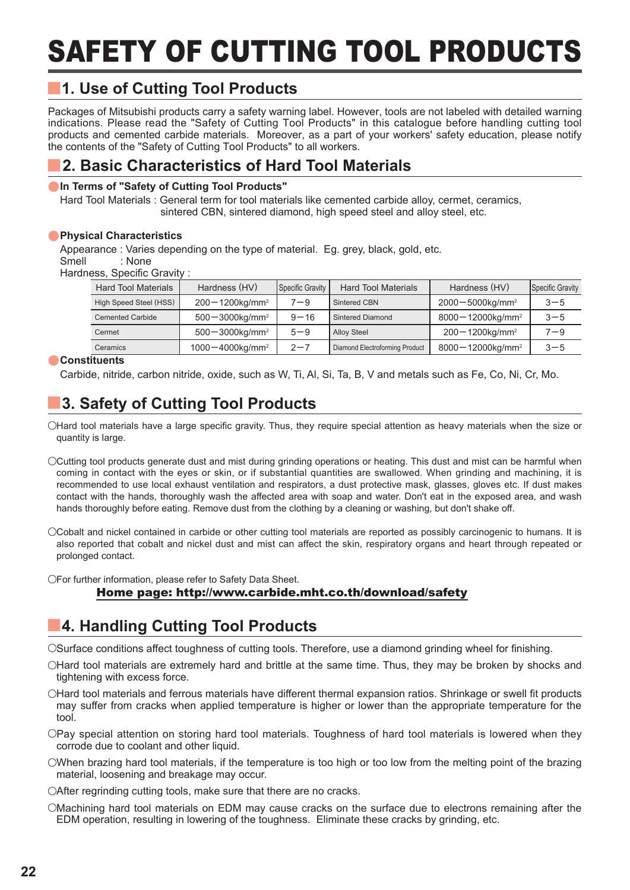# SAFETY OF CUTTING TOOL PRODUCTS

#### y **1. Use of Cutting Tool Products**

Packages of Mitsubishi products carry a safety warning label. However, tools are not labeled with detailed warning indications. Please read the "Safety of Cutting Tool Products" in this catalogue before handling cutting tool products and cemented carbide materials. Moreover, as a part of your workers' safety education, please notify the contents of the "Safety of Cutting Tool Products" to all workers.

#### y **2. Basic Characteristics of Hard Tool Materials**

#### **In Terms of "Safety of Cutting Tool Products"**

Hard Tool Materials : General term for tool materials like cemented carbide alloy, cermet, ceramics, sintered CBN, sintered diamond, high speed steel and alloy steel, etc.

#### **• Physical Characteristics**

Appearance : Varies depending on the type of material. Eg. grey, black, gold, etc. Smell : None

Hardness, Specific Gravity :

| <b>Hard Tool Materials</b> | Hardness (HV)                    | Specific Gravity | <b>Hard Tool Materials</b>     | Hardness (HV)                    | Specific Gravity |
|----------------------------|----------------------------------|------------------|--------------------------------|----------------------------------|------------------|
| High Speed Steel (HSS)     | $200 - 1200$ kg/mm <sup>2</sup>  | $7 - 9$          | Sintered CBN                   | $2000 - 5000$ kg/mm <sup>2</sup> | $3 - 5$          |
| <b>Cemented Carbide</b>    | $500 - 3000$ kg/mm <sup>2</sup>  | $9 - 16$         | <b>Sintered Diamond</b>        | 8000-12000kg/mm <sup>2</sup>     | $3 - 5$          |
| Cermet                     | $500 - 3000$ kg/mm <sup>2</sup>  | $5 - 9$          | <b>Alloy Steel</b>             | $200 - 1200$ kg/mm <sup>2</sup>  | $7 - 9$          |
| Ceramics                   | $1000 - 4000$ kg/mm <sup>2</sup> | $2 - 7$          | Diamond Electroforming Product | 8000-12000kg/mm <sup>2</sup>     | $3 - 5$          |

#### **Constituents**

Carbide, nitride, carbon nitride, oxide, such as W, Ti, Al, Si, Ta, B, V and metals such as Fe, Co, Ni, Cr, Mo.

#### y **3. Safety of Cutting Tool Products**

OHard tool materials have a large specific gravity. Thus, they require special attention as heavy materials when the size or quantity is large.

- OCutting tool products generate dust and mist during grinding operations or heating. This dust and mist can be harmful when coming in contact with the eyes or skin, or if substantial quantities are swallowed. When grinding and machining, it is recommended to use local exhaust ventilation and respirators, a dust protective mask, glasses, gloves etc. If dust makes contact with the hands, thoroughly wash the affected area with soap and water. Don't eat in the exposed area, and wash hands thoroughly before eating. Remove dust from the clothing by a cleaning or washing, but don't shake off.
- OCobalt and nickel contained in carbide or other cutting tool materials are reported as possibly carcinogenic to humans. It is also reported that cobalt and nickel dust and mist can affect the skin, respiratory organs and heart through repeated or prolonged contact.

 $\bigcirc$  For further information, please refer to Safety Data Sheet.

#### Home page: http://www.carbide.mht.co.th/download/safety

# **4. Handling Cutting Tool Products**

OSurface conditions affect toughness of cutting tools. Therefore, use a diamond grinding wheel for finishing.

- OHard tool materials are extremely hard and brittle at the same time. Thus, they may be broken by shocks and tightening with excess force.
- OHard tool materials and ferrous materials have different thermal expansion ratios. Shrinkage or swell fit products may suffer from cracks when applied temperature is higher or lower than the appropriate temperature for the tool.
- OPay special attention on storing hard tool materials. Toughness of hard tool materials is lowered when they corrode due to coolant and other liquid.
- $\circ$ When brazing hard tool materials, if the temperature is too high or too low from the melting point of the brazing material, loosening and breakage may occur.

OAfter regrinding cutting tools, make sure that there are no cracks.

OMachining hard tool materials on EDM may cause cracks on the surface due to electrons remaining after the EDM operation, resulting in lowering of the toughness. Eliminate these cracks by grinding, etc.